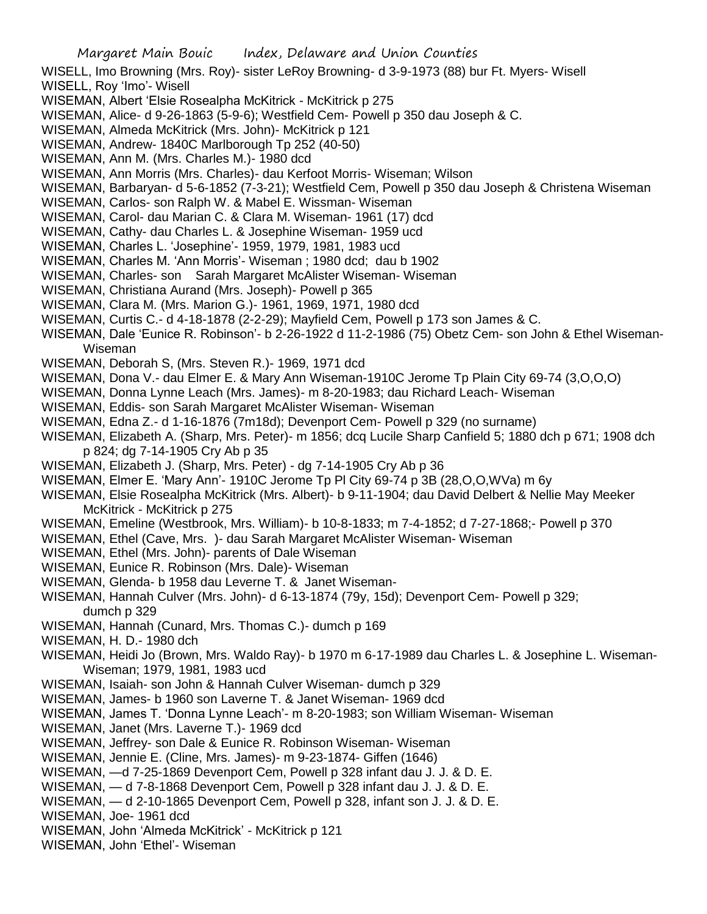WISELL, Imo Browning (Mrs. Roy)- sister LeRoy Browning- d 3-9-1973 (88) bur Ft. Myers- Wisell WISELL, Roy 'Imo'- Wisell

- WISEMAN, Albert 'Elsie Rosealpha McKitrick McKitrick p 275
- WISEMAN, Alice- d 9-26-1863 (5-9-6); Westfield Cem- Powell p 350 dau Joseph & C.
- WISEMAN, Almeda McKitrick (Mrs. John)- McKitrick p 121
- WISEMAN, Andrew- 1840C Marlborough Tp 252 (40-50)
- WISEMAN, Ann M. (Mrs. Charles M.)- 1980 dcd
- WISEMAN, Ann Morris (Mrs. Charles)- dau Kerfoot Morris- Wiseman; Wilson
- WISEMAN, Barbaryan- d 5-6-1852 (7-3-21); Westfield Cem, Powell p 350 dau Joseph & Christena Wiseman
- WISEMAN, Carlos- son Ralph W. & Mabel E. Wissman- Wiseman
- WISEMAN, Carol- dau Marian C. & Clara M. Wiseman- 1961 (17) dcd
- WISEMAN, Cathy- dau Charles L. & Josephine Wiseman- 1959 ucd
- WISEMAN, Charles L. 'Josephine'- 1959, 1979, 1981, 1983 ucd
- WISEMAN, Charles M. 'Ann Morris'- Wiseman ; 1980 dcd; dau b 1902
- WISEMAN, Charles- son Sarah Margaret McAlister Wiseman- Wiseman
- WISEMAN, Christiana Aurand (Mrs. Joseph)- Powell p 365
- WISEMAN, Clara M. (Mrs. Marion G.)- 1961, 1969, 1971, 1980 dcd
- WISEMAN, Curtis C.- d 4-18-1878 (2-2-29); Mayfield Cem, Powell p 173 son James & C.
- WISEMAN, Dale 'Eunice R. Robinson'- b 2-26-1922 d 11-2-1986 (75) Obetz Cem- son John & Ethel Wiseman-Wiseman
- WISEMAN, Deborah S, (Mrs. Steven R.)- 1969, 1971 dcd
- WISEMAN, Dona V.- dau Elmer E. & Mary Ann Wiseman-1910C Jerome Tp Plain City 69-74 (3,O,O,O)
- WISEMAN, Donna Lynne Leach (Mrs. James)- m 8-20-1983; dau Richard Leach- Wiseman
- WISEMAN, Eddis- son Sarah Margaret McAlister Wiseman- Wiseman
- WISEMAN, Edna Z.- d 1-16-1876 (7m18d); Devenport Cem- Powell p 329 (no surname)
- WISEMAN, Elizabeth A. (Sharp, Mrs. Peter)- m 1856; dcq Lucile Sharp Canfield 5; 1880 dch p 671; 1908 dch p 824; dg 7-14-1905 Cry Ab p 35
- WISEMAN, Elizabeth J. (Sharp, Mrs. Peter) dg 7-14-1905 Cry Ab p 36
- WISEMAN, Elmer E. 'Mary Ann'- 1910C Jerome Tp Pl City 69-74 p 3B (28,O,O,WVa) m 6y
- WISEMAN, Elsie Rosealpha McKitrick (Mrs. Albert)- b 9-11-1904; dau David Delbert & Nellie May Meeker McKitrick - McKitrick p 275
- WISEMAN, Emeline (Westbrook, Mrs. William)- b 10-8-1833; m 7-4-1852; d 7-27-1868;- Powell p 370
- WISEMAN, Ethel (Cave, Mrs. )- dau Sarah Margaret McAlister Wiseman- Wiseman
- WISEMAN, Ethel (Mrs. John)- parents of Dale Wiseman
- WISEMAN, Eunice R. Robinson (Mrs. Dale)- Wiseman
- WISEMAN, Glenda- b 1958 dau Leverne T. & Janet Wiseman-
- WISEMAN, Hannah Culver (Mrs. John)- d 6-13-1874 (79y, 15d); Devenport Cem- Powell p 329; dumch p 329
- WISEMAN, Hannah (Cunard, Mrs. Thomas C.)- dumch p 169
- WISEMAN, H. D.- 1980 dch
- WISEMAN, Heidi Jo (Brown, Mrs. Waldo Ray)- b 1970 m 6-17-1989 dau Charles L. & Josephine L. Wiseman-Wiseman; 1979, 1981, 1983 ucd
- WISEMAN, Isaiah- son John & Hannah Culver Wiseman- dumch p 329
- WISEMAN, James- b 1960 son Laverne T. & Janet Wiseman- 1969 dcd
- WISEMAN, James T. 'Donna Lynne Leach'- m 8-20-1983; son William Wiseman- Wiseman
- WISEMAN, Janet (Mrs. Laverne T.)- 1969 dcd
- WISEMAN, Jeffrey- son Dale & Eunice R. Robinson Wiseman- Wiseman
- WISEMAN, Jennie E. (Cline, Mrs. James)- m 9-23-1874- Giffen (1646)
- WISEMAN, —d 7-25-1869 Devenport Cem, Powell p 328 infant dau J. J. & D. E.
- WISEMAN, d 7-8-1868 Devenport Cem, Powell p 328 infant dau J. J. & D. E.
- WISEMAN, d 2-10-1865 Devenport Cem, Powell p 328, infant son J. J. & D. E.
- WISEMAN, Joe- 1961 dcd
- WISEMAN, John 'Almeda McKitrick' McKitrick p 121
- WISEMAN, John 'Ethel'- Wiseman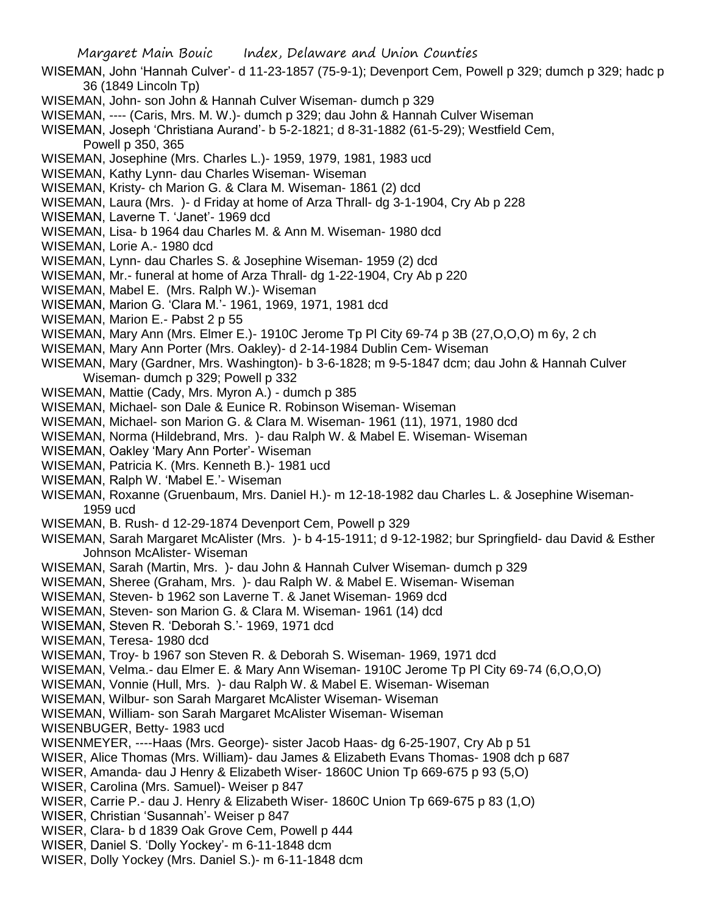- WISEMAN, John 'Hannah Culver'- d 11-23-1857 (75-9-1); Devenport Cem, Powell p 329; dumch p 329; hadc p 36 (1849 Lincoln Tp)
- WISEMAN, John- son John & Hannah Culver Wiseman- dumch p 329
- WISEMAN, ---- (Caris, Mrs. M. W.)- dumch p 329; dau John & Hannah Culver Wiseman

WISEMAN, Joseph 'Christiana Aurand'- b 5-2-1821; d 8-31-1882 (61-5-29); Westfield Cem, Powell p 350, 365

- WISEMAN, Josephine (Mrs. Charles L.)- 1959, 1979, 1981, 1983 ucd
- WISEMAN, Kathy Lynn- dau Charles Wiseman- Wiseman
- WISEMAN, Kristy- ch Marion G. & Clara M. Wiseman- 1861 (2) dcd
- WISEMAN, Laura (Mrs. )- d Friday at home of Arza Thrall- dg 3-1-1904, Cry Ab p 228
- WISEMAN, Laverne T. 'Janet'- 1969 dcd
- WISEMAN, Lisa- b 1964 dau Charles M. & Ann M. Wiseman- 1980 dcd
- WISEMAN, Lorie A.- 1980 dcd
- WISEMAN, Lynn- dau Charles S. & Josephine Wiseman- 1959 (2) dcd
- WISEMAN, Mr.- funeral at home of Arza Thrall- dg 1-22-1904, Cry Ab p 220
- WISEMAN, Mabel E. (Mrs. Ralph W.)- Wiseman
- WISEMAN, Marion G. 'Clara M.'- 1961, 1969, 1971, 1981 dcd
- WISEMAN, Marion E.- Pabst 2 p 55
- WISEMAN, Mary Ann (Mrs. Elmer E.)- 1910C Jerome Tp Pl City 69-74 p 3B (27,O,O,O) m 6y, 2 ch
- WISEMAN, Mary Ann Porter (Mrs. Oakley)- d 2-14-1984 Dublin Cem- Wiseman
- WISEMAN, Mary (Gardner, Mrs. Washington)- b 3-6-1828; m 9-5-1847 dcm; dau John & Hannah Culver Wiseman- dumch p 329; Powell p 332
- WISEMAN, Mattie (Cady, Mrs. Myron A.) dumch p 385
- WISEMAN, Michael- son Dale & Eunice R. Robinson Wiseman- Wiseman
- WISEMAN, Michael- son Marion G. & Clara M. Wiseman- 1961 (11), 1971, 1980 dcd
- WISEMAN, Norma (Hildebrand, Mrs. )- dau Ralph W. & Mabel E. Wiseman- Wiseman
- WISEMAN, Oakley 'Mary Ann Porter'- Wiseman
- WISEMAN, Patricia K. (Mrs. Kenneth B.)- 1981 ucd
- WISEMAN, Ralph W. 'Mabel E.'- Wiseman
- WISEMAN, Roxanne (Gruenbaum, Mrs. Daniel H.)- m 12-18-1982 dau Charles L. & Josephine Wiseman-1959 ucd
- WISEMAN, B. Rush- d 12-29-1874 Devenport Cem, Powell p 329
- WISEMAN, Sarah Margaret McAlister (Mrs. )- b 4-15-1911; d 9-12-1982; bur Springfield- dau David & Esther Johnson McAlister- Wiseman
- WISEMAN, Sarah (Martin, Mrs. )- dau John & Hannah Culver Wiseman- dumch p 329
- WISEMAN, Sheree (Graham, Mrs. )- dau Ralph W. & Mabel E. Wiseman- Wiseman
- WISEMAN, Steven- b 1962 son Laverne T. & Janet Wiseman- 1969 dcd
- WISEMAN, Steven- son Marion G. & Clara M. Wiseman- 1961 (14) dcd
- WISEMAN, Steven R. 'Deborah S.'- 1969, 1971 dcd
- WISEMAN, Teresa- 1980 dcd
- WISEMAN, Troy- b 1967 son Steven R. & Deborah S. Wiseman- 1969, 1971 dcd
- WISEMAN, Velma.- dau Elmer E. & Mary Ann Wiseman- 1910C Jerome Tp Pl City 69-74 (6,O,O,O)
- WISEMAN, Vonnie (Hull, Mrs. )- dau Ralph W. & Mabel E. Wiseman- Wiseman
- WISEMAN, Wilbur- son Sarah Margaret McAlister Wiseman- Wiseman
- WISEMAN, William- son Sarah Margaret McAlister Wiseman- Wiseman
- WISENBUGER, Betty- 1983 ucd
- WISENMEYER, ----Haas (Mrs. George)- sister Jacob Haas- dg 6-25-1907, Cry Ab p 51
- WISER, Alice Thomas (Mrs. William)- dau James & Elizabeth Evans Thomas- 1908 dch p 687
- WISER, Amanda- dau J Henry & Elizabeth Wiser- 1860C Union Tp 669-675 p 93 (5,O)
- WISER, Carolina (Mrs. Samuel)- Weiser p 847
- WISER, Carrie P.- dau J. Henry & Elizabeth Wiser- 1860C Union Tp 669-675 p 83 (1,O)
- WISER, Christian 'Susannah'- Weiser p 847
- WISER, Clara- b d 1839 Oak Grove Cem, Powell p 444
- WISER, Daniel S. 'Dolly Yockey'- m 6-11-1848 dcm
- WISER, Dolly Yockey (Mrs. Daniel S.)- m 6-11-1848 dcm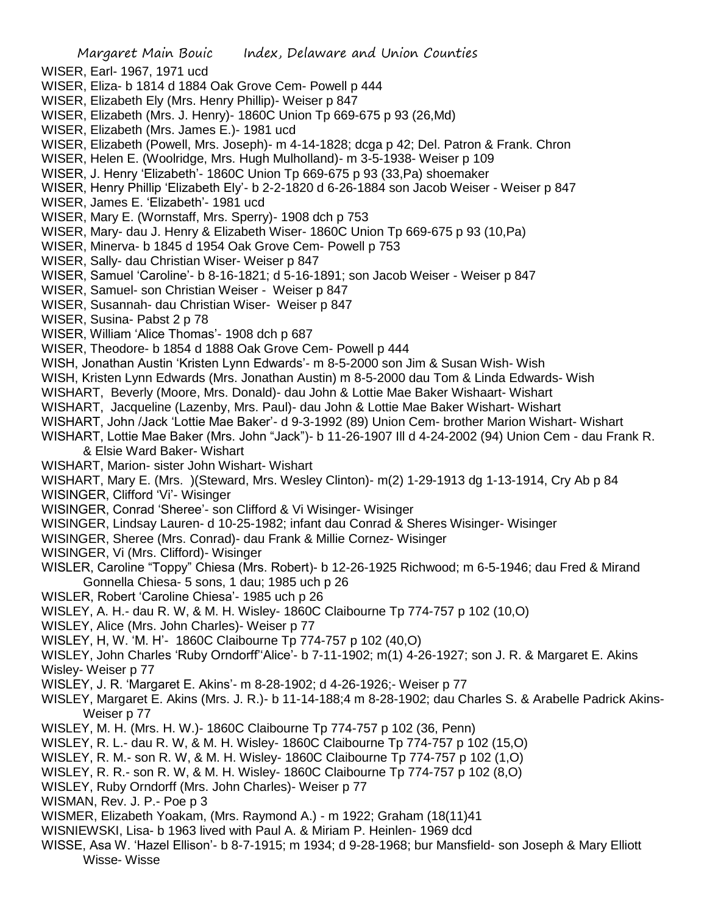WISER, Earl- 1967, 1971 ucd

WISER, Eliza- b 1814 d 1884 Oak Grove Cem- Powell p 444

- WISER, Elizabeth Ely (Mrs. Henry Phillip)- Weiser p 847
- WISER, Elizabeth (Mrs. J. Henry)- 1860C Union Tp 669-675 p 93 (26,Md)
- WISER, Elizabeth (Mrs. James E.)- 1981 ucd
- WISER, Elizabeth (Powell, Mrs. Joseph)- m 4-14-1828; dcga p 42; Del. Patron & Frank. Chron
- WISER, Helen E. (Woolridge, Mrs. Hugh Mulholland)- m 3-5-1938- Weiser p 109

WISER, J. Henry 'Elizabeth'- 1860C Union Tp 669-675 p 93 (33,Pa) shoemaker

WISER, Henry Phillip 'Elizabeth Ely'- b 2-2-1820 d 6-26-1884 son Jacob Weiser - Weiser p 847

WISER, James E. 'Elizabeth'- 1981 ucd

WISER, Mary E. (Wornstaff, Mrs. Sperry)- 1908 dch p 753

- WISER, Mary- dau J. Henry & Elizabeth Wiser- 1860C Union Tp 669-675 p 93 (10,Pa)
- WISER, Minerva- b 1845 d 1954 Oak Grove Cem- Powell p 753
- WISER, Sally- dau Christian Wiser- Weiser p 847
- WISER, Samuel 'Caroline'- b 8-16-1821; d 5-16-1891; son Jacob Weiser Weiser p 847
- WISER, Samuel- son Christian Weiser Weiser p 847
- WISER, Susannah- dau Christian Wiser- Weiser p 847

WISER, Susina- Pabst 2 p 78

- WISER, William 'Alice Thomas'- 1908 dch p 687
- WISER, Theodore- b 1854 d 1888 Oak Grove Cem- Powell p 444

WISH, Jonathan Austin 'Kristen Lynn Edwards'- m 8-5-2000 son Jim & Susan Wish- Wish

- WISH, Kristen Lynn Edwards (Mrs. Jonathan Austin) m 8-5-2000 dau Tom & Linda Edwards- Wish
- WISHART, Beverly (Moore, Mrs. Donald)- dau John & Lottie Mae Baker Wishaart- Wishart
- WISHART, Jacqueline (Lazenby, Mrs. Paul)- dau John & Lottie Mae Baker Wishart- Wishart
- WISHART, John /Jack 'Lottie Mae Baker'- d 9-3-1992 (89) Union Cem- brother Marion Wishart- Wishart
- WISHART, Lottie Mae Baker (Mrs. John "Jack")- b 11-26-1907 Ill d 4-24-2002 (94) Union Cem dau Frank R. & Elsie Ward Baker- Wishart
- WISHART, Marion- sister John Wishart- Wishart

WISHART, Mary E. (Mrs. )(Steward, Mrs. Wesley Clinton)- m(2) 1-29-1913 dg 1-13-1914, Cry Ab p 84

- WISINGER, Clifford 'Vi'- Wisinger
- WISINGER, Conrad 'Sheree'- son Clifford & Vi Wisinger- Wisinger
- WISINGER, Lindsay Lauren- d 10-25-1982; infant dau Conrad & Sheres Wisinger- Wisinger
- WISINGER, Sheree (Mrs. Conrad)- dau Frank & Millie Cornez- Wisinger
- WISINGER, Vi (Mrs. Clifford)- Wisinger
- WISLER, Caroline "Toppy" Chiesa (Mrs. Robert)- b 12-26-1925 Richwood; m 6-5-1946; dau Fred & Mirand Gonnella Chiesa- 5 sons, 1 dau; 1985 uch p 26
- WISLER, Robert 'Caroline Chiesa'- 1985 uch p 26
- WISLEY, A. H.- dau R. W, & M. H. Wisley- 1860C Claibourne Tp 774-757 p 102 (10,O)
- WISLEY, Alice (Mrs. John Charles)- Weiser p 77
- WISLEY, H, W. 'M. H'- 1860C Claibourne Tp 774-757 p 102 (40,O)
- WISLEY, John Charles 'Ruby Orndorff''Alice'- b 7-11-1902; m(1) 4-26-1927; son J. R. & Margaret E. Akins Wisley- Weiser p 77
- WISLEY, J. R. 'Margaret E. Akins'- m 8-28-1902; d 4-26-1926;- Weiser p 77
- WISLEY, Margaret E. Akins (Mrs. J. R.)- b 11-14-188;4 m 8-28-1902; dau Charles S. & Arabelle Padrick Akins-Weiser p 77
- WISLEY, M. H. (Mrs. H. W.)- 1860C Claibourne Tp 774-757 p 102 (36, Penn)
- WISLEY, R. L.- dau R. W, & M. H. Wisley- 1860C Claibourne Tp 774-757 p 102 (15,O)
- WISLEY, R. M.- son R. W, & M. H. Wisley- 1860C Claibourne Tp 774-757 p 102 (1,O)
- WISLEY, R. R.- son R. W, & M. H. Wisley- 1860C Claibourne Tp 774-757 p 102 (8,O)
- WISLEY, Ruby Orndorff (Mrs. John Charles)- Weiser p 77
- WISMAN, Rev. J. P.- Poe p 3
- WISMER, Elizabeth Yoakam, (Mrs. Raymond A.) m 1922; Graham (18(11)41
- WISNIEWSKI, Lisa- b 1963 lived with Paul A. & Miriam P. Heinlen- 1969 dcd
- WISSE, Asa W. 'Hazel Ellison'- b 8-7-1915; m 1934; d 9-28-1968; bur Mansfield- son Joseph & Mary Elliott Wisse- Wisse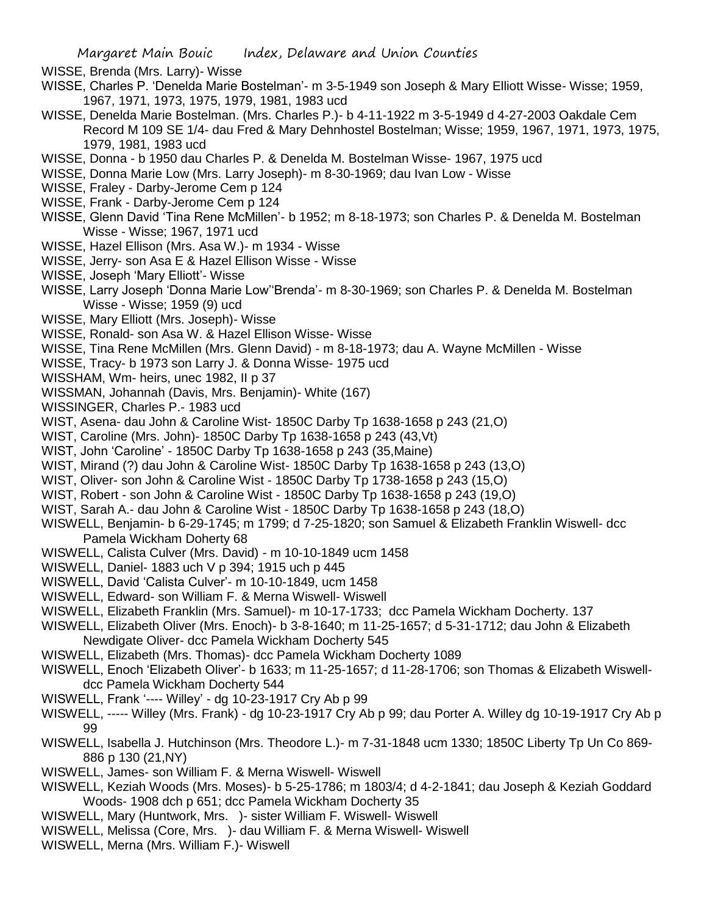WISSE, Brenda (Mrs. Larry)- Wisse

- WISSE, Charles P. 'Denelda Marie Bostelman'- m 3-5-1949 son Joseph & Mary Elliott Wisse- Wisse; 1959, 1967, 1971, 1973, 1975, 1979, 1981, 1983 ucd
- WISSE, Denelda Marie Bostelman. (Mrs. Charles P.)- b 4-11-1922 m 3-5-1949 d 4-27-2003 Oakdale Cem Record M 109 SE 1/4- dau Fred & Mary Dehnhostel Bostelman; Wisse; 1959, 1967, 1971, 1973, 1975, 1979, 1981, 1983 ucd
- WISSE, Donna b 1950 dau Charles P. & Denelda M. Bostelman Wisse- 1967, 1975 ucd
- WISSE, Donna Marie Low (Mrs. Larry Joseph)- m 8-30-1969; dau Ivan Low Wisse
- WISSE, Fraley Darby-Jerome Cem p 124
- WISSE, Frank Darby-Jerome Cem p 124
- WISSE, Glenn David 'Tina Rene McMillen'- b 1952; m 8-18-1973; son Charles P. & Denelda M. Bostelman Wisse - Wisse; 1967, 1971 ucd
- WISSE, Hazel Ellison (Mrs. Asa W.)- m 1934 Wisse
- WISSE, Jerry- son Asa E & Hazel Ellison Wisse Wisse
- WISSE, Joseph 'Mary Elliott'- Wisse
- WISSE, Larry Joseph 'Donna Marie Low''Brenda'- m 8-30-1969; son Charles P. & Denelda M. Bostelman Wisse - Wisse; 1959 (9) ucd
- WISSE, Mary Elliott (Mrs. Joseph)- Wisse
- WISSE, Ronald- son Asa W. & Hazel Ellison Wisse- Wisse
- WISSE, Tina Rene McMillen (Mrs. Glenn David) m 8-18-1973; dau A. Wayne McMillen Wisse
- WISSE, Tracy- b 1973 son Larry J. & Donna Wisse- 1975 ucd
- WISSHAM, Wm- heirs, unec 1982, II p 37
- WISSMAN, Johannah (Davis, Mrs. Benjamin)- White (167)
- WISSINGER, Charles P.- 1983 ucd
- WIST, Asena- dau John & Caroline Wist- 1850C Darby Tp 1638-1658 p 243 (21,O)
- WIST, Caroline (Mrs. John)- 1850C Darby Tp 1638-1658 p 243 (43,Vt)
- WIST, John 'Caroline' 1850C Darby Tp 1638-1658 p 243 (35,Maine)
- WIST, Mirand (?) dau John & Caroline Wist- 1850C Darby Tp 1638-1658 p 243 (13,O)
- WIST, Oliver- son John & Caroline Wist 1850C Darby Tp 1738-1658 p 243 (15,O)
- WIST, Robert son John & Caroline Wist 1850C Darby Tp 1638-1658 p 243 (19,O)
- WIST, Sarah A.- dau John & Caroline Wist 1850C Darby Tp 1638-1658 p 243 (18,O)
- WISWELL, Benjamin- b 6-29-1745; m 1799; d 7-25-1820; son Samuel & Elizabeth Franklin Wiswell- dcc Pamela Wickham Doherty 68
- WISWELL, Calista Culver (Mrs. David) m 10-10-1849 ucm 1458
- WISWELL, Daniel- 1883 uch V p 394; 1915 uch p 445
- WISWELL, David 'Calista Culver'- m 10-10-1849, ucm 1458
- WISWELL, Edward- son William F. & Merna Wiswell- Wiswell
- WISWELL, Elizabeth Franklin (Mrs. Samuel)- m 10-17-1733; dcc Pamela Wickham Docherty. 137
- WISWELL, Elizabeth Oliver (Mrs. Enoch)- b 3-8-1640; m 11-25-1657; d 5-31-1712; dau John & Elizabeth Newdigate Oliver- dcc Pamela Wickham Docherty 545
- WISWELL, Elizabeth (Mrs. Thomas)- dcc Pamela Wickham Docherty 1089
- WISWELL, Enoch 'Elizabeth Oliver'- b 1633; m 11-25-1657; d 11-28-1706; son Thomas & Elizabeth Wiswelldcc Pamela Wickham Docherty 544
- WISWELL, Frank '---- Willey' dg 10-23-1917 Cry Ab p 99
- WISWELL, ----- Willey (Mrs. Frank) dg 10-23-1917 Cry Ab p 99; dau Porter A. Willey dg 10-19-1917 Cry Ab p 99
- WISWELL, Isabella J. Hutchinson (Mrs. Theodore L.)- m 7-31-1848 ucm 1330; 1850C Liberty Tp Un Co 869- 886 p 130 (21,NY)
- WISWELL, James- son William F. & Merna Wiswell- Wiswell
- WISWELL, Keziah Woods (Mrs. Moses)- b 5-25-1786; m 1803/4; d 4-2-1841; dau Joseph & Keziah Goddard Woods- 1908 dch p 651; dcc Pamela Wickham Docherty 35
- WISWELL, Mary (Huntwork, Mrs. )- sister William F. Wiswell- Wiswell
- WISWELL, Melissa (Core, Mrs. )- dau William F. & Merna Wiswell- Wiswell
- WISWELL, Merna (Mrs. William F.)- Wiswell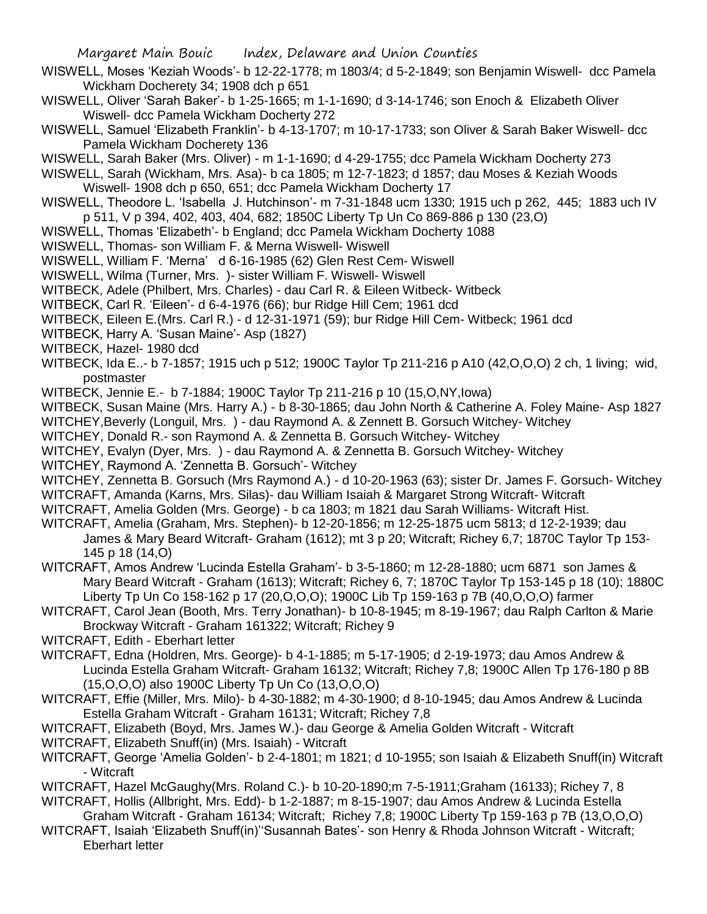- WISWELL, Moses 'Keziah Woods'- b 12-22-1778; m 1803/4; d 5-2-1849; son Benjamin Wiswell- dcc Pamela Wickham Docherety 34; 1908 dch p 651
- WISWELL, Oliver 'Sarah Baker'- b 1-25-1665; m 1-1-1690; d 3-14-1746; son Enoch & Elizabeth Oliver Wiswell- dcc Pamela Wickham Docherty 272
- WISWELL, Samuel 'Elizabeth Franklin'- b 4-13-1707; m 10-17-1733; son Oliver & Sarah Baker Wiswell- dcc Pamela Wickham Docherety 136
- WISWELL, Sarah Baker (Mrs. Oliver) m 1-1-1690; d 4-29-1755; dcc Pamela Wickham Docherty 273
- WISWELL, Sarah (Wickham, Mrs. Asa)- b ca 1805; m 12-7-1823; d 1857; dau Moses & Keziah Woods Wiswell- 1908 dch p 650, 651; dcc Pamela Wickham Docherty 17
- WISWELL, Theodore L. 'Isabella J. Hutchinson'- m 7-31-1848 ucm 1330; 1915 uch p 262, 445; 1883 uch IV p 511, V p 394, 402, 403, 404, 682; 1850C Liberty Tp Un Co 869-886 p 130 (23,O)
- WISWELL, Thomas 'Elizabeth'- b England; dcc Pamela Wickham Docherty 1088
- WISWELL, Thomas- son William F. & Merna Wiswell- Wiswell
- WISWELL, William F. 'Merna' d 6-16-1985 (62) Glen Rest Cem- Wiswell
- WISWELL, Wilma (Turner, Mrs. )- sister William F. Wiswell- Wiswell
- WITBECK, Adele (Philbert, Mrs. Charles) dau Carl R. & Eileen Witbeck- Witbeck
- WITBECK, Carl R. 'Eileen'- d 6-4-1976 (66); bur Ridge Hill Cem; 1961 dcd
- WITBECK, Eileen E.(Mrs. Carl R.) d 12-31-1971 (59); bur Ridge Hill Cem- Witbeck; 1961 dcd
- WITBECK, Harry A. 'Susan Maine'- Asp (1827)
- WITBECK, Hazel- 1980 dcd
- WITBECK, Ida E..- b 7-1857; 1915 uch p 512; 1900C Taylor Tp 211-216 p A10 (42,O,O,O) 2 ch, 1 living; wid, postmaster
- WITBECK, Jennie E.- b 7-1884; 1900C Taylor Tp 211-216 p 10 (15,O,NY,Iowa)
- WITBECK, Susan Maine (Mrs. Harry A.) b 8-30-1865; dau John North & Catherine A. Foley Maine- Asp 1827
- WITCHEY,Beverly (Longuil, Mrs. ) dau Raymond A. & Zennett B. Gorsuch Witchey- Witchey
- WITCHEY, Donald R.- son Raymond A. & Zennetta B. Gorsuch Witchey- Witchey
- WITCHEY, Evalyn (Dyer, Mrs. ) dau Raymond A. & Zennetta B. Gorsuch Witchey- Witchey
- WITCHEY, Raymond A. 'Zennetta B. Gorsuch'- Witchey
- WITCHEY, Zennetta B. Gorsuch (Mrs Raymond A.) d 10-20-1963 (63); sister Dr. James F. Gorsuch- Witchey WITCRAFT, Amanda (Karns, Mrs. Silas)- dau William Isaiah & Margaret Strong Witcraft- Witcraft
- WITCRAFT, Amelia Golden (Mrs. George) b ca 1803; m 1821 dau Sarah Williams- Witcraft Hist.
- WITCRAFT, Amelia (Graham, Mrs. Stephen)- b 12-20-1856; m 12-25-1875 ucm 5813; d 12-2-1939; dau James & Mary Beard Witcraft- Graham (1612); mt 3 p 20; Witcraft; Richey 6,7; 1870C Taylor Tp 153- 145 p 18 (14,O)
- WITCRAFT, Amos Andrew 'Lucinda Estella Graham'- b 3-5-1860; m 12-28-1880; ucm 6871 son James & Mary Beard Witcraft - Graham (1613); Witcraft; Richey 6, 7; 1870C Taylor Tp 153-145 p 18 (10); 1880C Liberty Tp Un Co 158-162 p 17 (20,O,O,O); 1900C Lib Tp 159-163 p 7B (40,O,O,O) farmer
- WITCRAFT, Carol Jean (Booth, Mrs. Terry Jonathan)- b 10-8-1945; m 8-19-1967; dau Ralph Carlton & Marie Brockway Witcraft - Graham 161322; Witcraft; Richey 9
- WITCRAFT, Edith Eberhart letter
- WITCRAFT, Edna (Holdren, Mrs. George)- b 4-1-1885; m 5-17-1905; d 2-19-1973; dau Amos Andrew & Lucinda Estella Graham Witcraft- Graham 16132; Witcraft; Richey 7,8; 1900C Allen Tp 176-180 p 8B (15,O,O,O) also 1900C Liberty Tp Un Co (13,O,O,O)
- WITCRAFT, Effie (Miller, Mrs. Milo)- b 4-30-1882; m 4-30-1900; d 8-10-1945; dau Amos Andrew & Lucinda Estella Graham Witcraft - Graham 16131; Witcraft; Richey 7,8
- WITCRAFT, Elizabeth (Boyd, Mrs. James W.)- dau George & Amelia Golden Witcraft Witcraft
- WITCRAFT, Elizabeth Snuff(in) (Mrs. Isaiah) Witcraft
- WITCRAFT, George 'Amelia Golden'- b 2-4-1801; m 1821; d 10-1955; son Isaiah & Elizabeth Snuff(in) Witcraft - Witcraft
- WITCRAFT, Hazel McGaughy(Mrs. Roland C.)- b 10-20-1890;m 7-5-1911;Graham (16133); Richey 7, 8 WITCRAFT, Hollis (Allbright, Mrs. Edd)- b 1-2-1887; m 8-15-1907; dau Amos Andrew & Lucinda Estella
- Graham Witcraft Graham 16134; Witcraft; Richey 7,8; 1900C Liberty Tp 159-163 p 7B (13,O,O,O)
- WITCRAFT, Isaiah 'Elizabeth Snuff(in)''Susannah Bates'- son Henry & Rhoda Johnson Witcraft Witcraft; Eberhart letter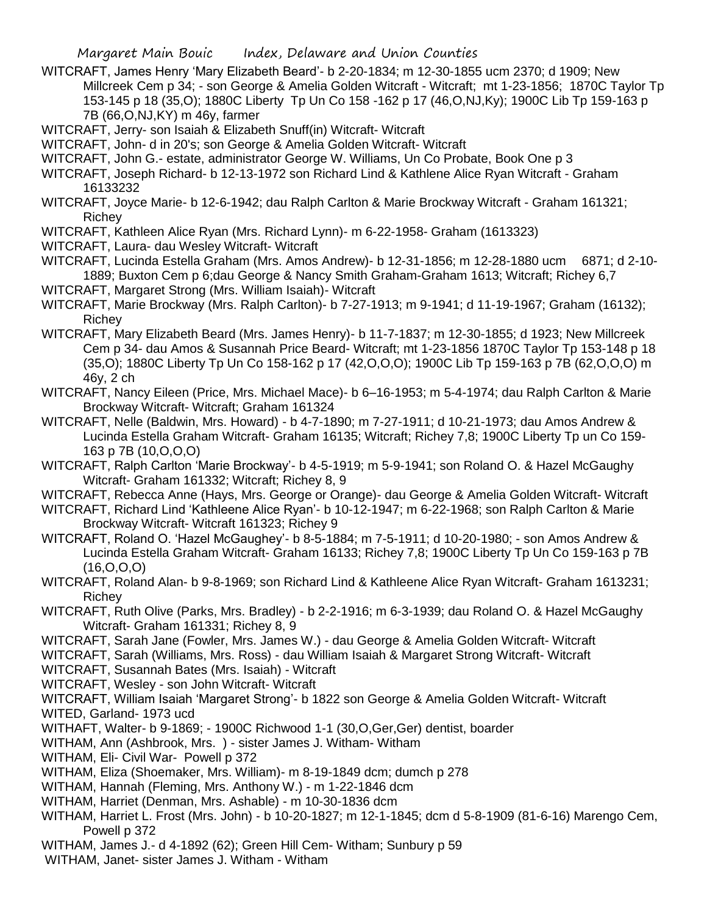WITCRAFT, James Henry 'Mary Elizabeth Beard'- b 2-20-1834; m 12-30-1855 ucm 2370; d 1909; New Millcreek Cem p 34; - son George & Amelia Golden Witcraft - Witcraft; mt 1-23-1856; 1870C Taylor Tp 153-145 p 18 (35,O); 1880C Liberty Tp Un Co 158 -162 p 17 (46,O,NJ,Ky); 1900C Lib Tp 159-163 p 7B (66,O,NJ,KY) m 46y, farmer

WITCRAFT, Jerry- son Isaiah & Elizabeth Snuff(in) Witcraft- Witcraft

WITCRAFT, John- d in 20's; son George & Amelia Golden Witcraft- Witcraft

WITCRAFT, John G.- estate, administrator George W. Williams, Un Co Probate, Book One p 3

WITCRAFT, Joseph Richard- b 12-13-1972 son Richard Lind & Kathlene Alice Ryan Witcraft - Graham 16133232

WITCRAFT, Joyce Marie- b 12-6-1942; dau Ralph Carlton & Marie Brockway Witcraft - Graham 161321; Richey

WITCRAFT, Kathleen Alice Ryan (Mrs. Richard Lynn)- m 6-22-1958- Graham (1613323)

WITCRAFT, Laura- dau Wesley Witcraft- Witcraft

WITCRAFT, Lucinda Estella Graham (Mrs. Amos Andrew)- b 12-31-1856; m 12-28-1880 ucm 6871; d 2-10- 1889; Buxton Cem p 6;dau George & Nancy Smith Graham-Graham 1613; Witcraft; Richey 6,7

WITCRAFT, Margaret Strong (Mrs. William Isaiah)- Witcraft

WITCRAFT, Marie Brockway (Mrs. Ralph Carlton)- b 7-27-1913; m 9-1941; d 11-19-1967; Graham (16132); Richey

WITCRAFT, Mary Elizabeth Beard (Mrs. James Henry)- b 11-7-1837; m 12-30-1855; d 1923; New Millcreek Cem p 34- dau Amos & Susannah Price Beard- Witcraft; mt 1-23-1856 1870C Taylor Tp 153-148 p 18 (35,O); 1880C Liberty Tp Un Co 158-162 p 17 (42,O,O,O); 1900C Lib Tp 159-163 p 7B (62,O,O,O) m 46y, 2 ch

WITCRAFT, Nancy Eileen (Price, Mrs. Michael Mace)- b 6–16-1953; m 5-4-1974; dau Ralph Carlton & Marie Brockway Witcraft- Witcraft; Graham 161324

WITCRAFT, Nelle (Baldwin, Mrs. Howard) - b 4-7-1890; m 7-27-1911; d 10-21-1973; dau Amos Andrew & Lucinda Estella Graham Witcraft- Graham 16135; Witcraft; Richey 7,8; 1900C Liberty Tp un Co 159- 163 p 7B (10,O,O,O)

WITCRAFT, Ralph Carlton 'Marie Brockway'- b 4-5-1919; m 5-9-1941; son Roland O. & Hazel McGaughy Witcraft- Graham 161332; Witcraft; Richey 8, 9

WITCRAFT, Rebecca Anne (Hays, Mrs. George or Orange)- dau George & Amelia Golden Witcraft- Witcraft

WITCRAFT, Richard Lind 'Kathleene Alice Ryan'- b 10-12-1947; m 6-22-1968; son Ralph Carlton & Marie Brockway Witcraft- Witcraft 161323; Richey 9

WITCRAFT, Roland O. 'Hazel McGaughey'- b 8-5-1884; m 7-5-1911; d 10-20-1980; - son Amos Andrew & Lucinda Estella Graham Witcraft- Graham 16133; Richey 7,8; 1900C Liberty Tp Un Co 159-163 p 7B (16,O,O,O)

WITCRAFT, Roland Alan- b 9-8-1969; son Richard Lind & Kathleene Alice Ryan Witcraft- Graham 1613231; Richey

WITCRAFT, Ruth Olive (Parks, Mrs. Bradley) - b 2-2-1916; m 6-3-1939; dau Roland O. & Hazel McGaughy Witcraft- Graham 161331; Richey 8, 9

WITCRAFT, Sarah Jane (Fowler, Mrs. James W.) - dau George & Amelia Golden Witcraft- Witcraft

WITCRAFT, Sarah (Williams, Mrs. Ross) - dau William Isaiah & Margaret Strong Witcraft- Witcraft

WITCRAFT, Susannah Bates (Mrs. Isaiah) - Witcraft

WITCRAFT, Wesley - son John Witcraft- Witcraft

WITCRAFT, William Isaiah 'Margaret Strong'- b 1822 son George & Amelia Golden Witcraft- Witcraft WITED, Garland- 1973 ucd

WITHAFT, Walter- b 9-1869; - 1900C Richwood 1-1 (30,O,Ger,Ger) dentist, boarder

WITHAM, Ann (Ashbrook, Mrs. ) - sister James J. Witham- Witham

WITHAM, Eli- Civil War- Powell p 372

WITHAM, Eliza (Shoemaker, Mrs. William)- m 8-19-1849 dcm; dumch p 278

WITHAM, Hannah (Fleming, Mrs. Anthony W.) - m 1-22-1846 dcm

WITHAM, Harriet (Denman, Mrs. Ashable) - m 10-30-1836 dcm

WITHAM, Harriet L. Frost (Mrs. John) - b 10-20-1827; m 12-1-1845; dcm d 5-8-1909 (81-6-16) Marengo Cem, Powell p 372

WITHAM, James J.- d 4-1892 (62); Green Hill Cem- Witham; Sunbury p 59

WITHAM, Janet- sister James J. Witham - Witham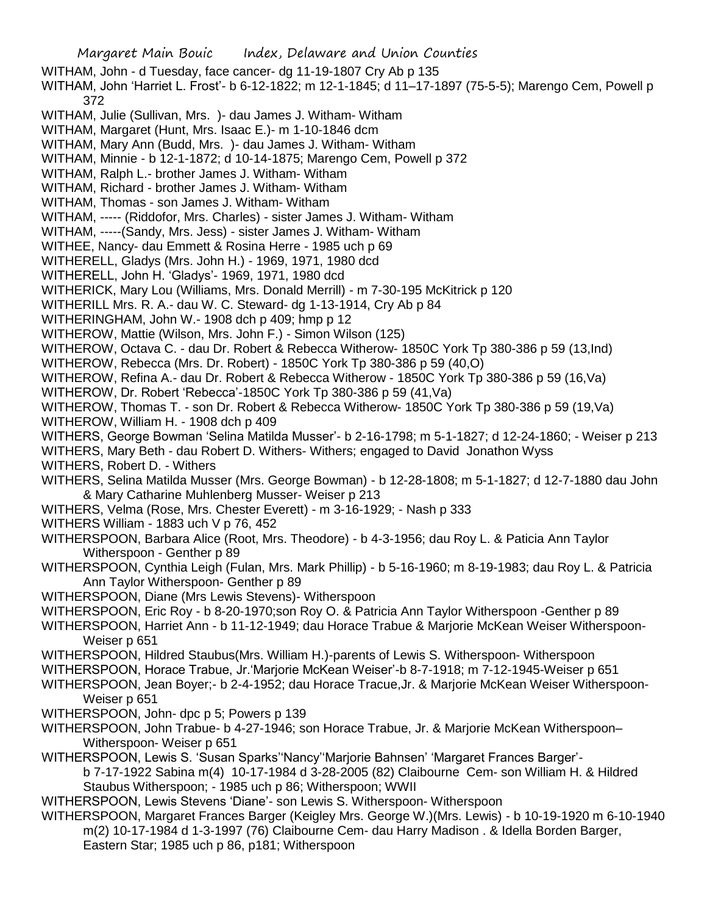Margaret Main Bouic Index, Delaware and Union Counties WITHAM, John - d Tuesday, face cancer- dg 11-19-1807 Cry Ab p 135 WITHAM, John 'Harriet L. Frost'- b 6-12-1822; m 12-1-1845; d 11–17-1897 (75-5-5); Marengo Cem, Powell p 372 WITHAM, Julie (Sullivan, Mrs. )- dau James J. Witham- Witham WITHAM, Margaret (Hunt, Mrs. Isaac E.)- m 1-10-1846 dcm WITHAM, Mary Ann (Budd, Mrs. )- dau James J. Witham- Witham WITHAM, Minnie - b 12-1-1872; d 10-14-1875; Marengo Cem, Powell p 372 WITHAM, Ralph L.- brother James J. Witham- Witham WITHAM, Richard - brother James J. Witham- Witham WITHAM, Thomas - son James J. Witham- Witham WITHAM, ----- (Riddofor, Mrs. Charles) - sister James J. Witham- Witham WITHAM, -----(Sandy, Mrs. Jess) - sister James J. Witham- Witham WITHEE, Nancy- dau Emmett & Rosina Herre - 1985 uch p 69 WITHERELL, Gladys (Mrs. John H.) - 1969, 1971, 1980 dcd WITHERELL, John H. 'Gladys'- 1969, 1971, 1980 dcd WITHERICK, Mary Lou (Williams, Mrs. Donald Merrill) - m 7-30-195 McKitrick p 120 WITHERILL Mrs. R. A.- dau W. C. Steward- dg 1-13-1914, Cry Ab p 84 WITHERINGHAM, John W.- 1908 dch p 409; hmp p 12 WITHEROW, Mattie (Wilson, Mrs. John F.) - Simon Wilson (125) WITHEROW, Octava C. - dau Dr. Robert & Rebecca Witherow- 1850C York Tp 380-386 p 59 (13,Ind) WITHEROW, Rebecca (Mrs. Dr. Robert) - 1850C York Tp 380-386 p 59 (40,O) WITHEROW, Refina A.- dau Dr. Robert & Rebecca Witherow - 1850C York Tp 380-386 p 59 (16,Va) WITHEROW, Dr. Robert 'Rebecca'-1850C York Tp 380-386 p 59 (41,Va) WITHEROW, Thomas T. - son Dr. Robert & Rebecca Witherow- 1850C York Tp 380-386 p 59 (19,Va) WITHEROW, William H. - 1908 dch p 409 WITHERS, George Bowman 'Selina Matilda Musser'- b 2-16-1798; m 5-1-1827; d 12-24-1860; - Weiser p 213 WITHERS, Mary Beth - dau Robert D. Withers- Withers; engaged to David Jonathon Wyss WITHERS, Robert D. - Withers WITHERS, Selina Matilda Musser (Mrs. George Bowman) - b 12-28-1808; m 5-1-1827; d 12-7-1880 dau John & Mary Catharine Muhlenberg Musser- Weiser p 213 WITHERS, Velma (Rose, Mrs. Chester Everett) - m 3-16-1929; - Nash p 333 WITHERS William - 1883 uch V p 76, 452 WITHERSPOON, Barbara Alice (Root, Mrs. Theodore) - b 4-3-1956; dau Roy L. & Paticia Ann Taylor Witherspoon - Genther p 89 WITHERSPOON, Cynthia Leigh (Fulan, Mrs. Mark Phillip) - b 5-16-1960; m 8-19-1983; dau Roy L. & Patricia Ann Taylor Witherspoon- Genther p 89 WITHERSPOON, Diane (Mrs Lewis Stevens)- Witherspoon WITHERSPOON, Eric Roy - b 8-20-1970;son Roy O. & Patricia Ann Taylor Witherspoon -Genther p 89 WITHERSPOON, Harriet Ann - b 11-12-1949; dau Horace Trabue & Marjorie McKean Weiser Witherspoon-Weiser p 651 WITHERSPOON, Hildred Staubus(Mrs. William H.)-parents of Lewis S. Witherspoon- Witherspoon WITHERSPOON, Horace Trabue, Jr.'Marjorie McKean Weiser'-b 8-7-1918; m 7-12-1945-Weiser p 651 WITHERSPOON, Jean Boyer;- b 2-4-1952; dau Horace Tracue,Jr. & Marjorie McKean Weiser Witherspoon-Weiser p 651 WITHERSPOON, John- dpc p 5; Powers p 139 WITHERSPOON, John Trabue- b 4-27-1946; son Horace Trabue, Jr. & Marjorie McKean Witherspoon– Witherspoon- Weiser p 651 WITHERSPOON, Lewis S. 'Susan Sparks''Nancy''Marjorie Bahnsen' 'Margaret Frances Barger' b 7-17-1922 Sabina m(4) 10-17-1984 d 3-28-2005 (82) Claibourne Cem- son William H. & Hildred Staubus Witherspoon; - 1985 uch p 86; Witherspoon; WWII WITHERSPOON, Lewis Stevens 'Diane'- son Lewis S. Witherspoon- Witherspoon WITHERSPOON, Margaret Frances Barger (Keigley Mrs. George W.)(Mrs. Lewis) - b 10-19-1920 m 6-10-1940 m(2) 10-17-1984 d 1-3-1997 (76) Claibourne Cem- dau Harry Madison . & Idella Borden Barger, Eastern Star; 1985 uch p 86, p181; Witherspoon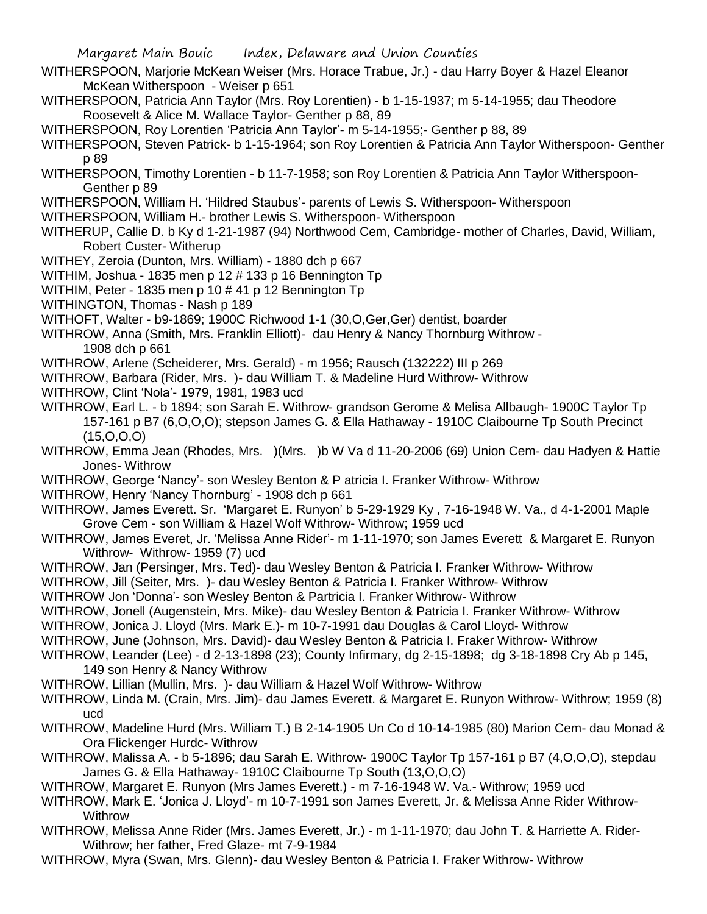- WITHERSPOON, Marjorie McKean Weiser (Mrs. Horace Trabue, Jr.) dau Harry Boyer & Hazel Eleanor McKean Witherspoon - Weiser p 651
- WITHERSPOON, Patricia Ann Taylor (Mrs. Roy Lorentien) b 1-15-1937; m 5-14-1955; dau Theodore Roosevelt & Alice M. Wallace Taylor- Genther p 88, 89

WITHERSPOON, Roy Lorentien 'Patricia Ann Taylor'- m 5-14-1955;- Genther p 88, 89

WITHERSPOON, Steven Patrick- b 1-15-1964; son Roy Lorentien & Patricia Ann Taylor Witherspoon- Genther p 89

WITHERSPOON, Timothy Lorentien - b 11-7-1958; son Roy Lorentien & Patricia Ann Taylor Witherspoon-Genther p 89

WITHERSPOON, William H. 'Hildred Staubus'- parents of Lewis S. Witherspoon- Witherspoon

WITHERSPOON, William H.- brother Lewis S. Witherspoon- Witherspoon

- WITHERUP, Callie D. b Ky d 1-21-1987 (94) Northwood Cem, Cambridge- mother of Charles, David, William, Robert Custer- Witherup
- WITHEY, Zeroia (Dunton, Mrs. William) 1880 dch p 667

WITHIM, Joshua - 1835 men p 12 # 133 p 16 Bennington Tp

WITHIM, Peter - 1835 men p 10 # 41 p 12 Bennington Tp

WITHINGTON, Thomas - Nash p 189

WITHOFT, Walter - b9-1869; 1900C Richwood 1-1 (30,O,Ger,Ger) dentist, boarder

WITHROW, Anna (Smith, Mrs. Franklin Elliott)- dau Henry & Nancy Thornburg Withrow - 1908 dch p 661

WITHROW, Arlene (Scheiderer, Mrs. Gerald) - m 1956; Rausch (132222) III p 269

- WITHROW, Barbara (Rider, Mrs. )- dau William T. & Madeline Hurd Withrow- Withrow
- WITHROW, Clint 'Nola'- 1979, 1981, 1983 ucd
- WITHROW, Earl L. b 1894; son Sarah E. Withrow- grandson Gerome & Melisa Allbaugh- 1900C Taylor Tp 157-161 p B7 (6,O,O,O); stepson James G. & Ella Hathaway - 1910C Claibourne Tp South Precinct  $(15,0,0,0)$
- WITHROW, Emma Jean (Rhodes, Mrs. ) (Mrs. )b W Va d 11-20-2006 (69) Union Cem- dau Hadyen & Hattie Jones- Withrow
- WITHROW, George 'Nancy'- son Wesley Benton & P atricia I. Franker Withrow- Withrow
- WITHROW, Henry 'Nancy Thornburg' 1908 dch p 661

WITHROW, James Everett. Sr. 'Margaret E. Runyon' b 5-29-1929 Ky , 7-16-1948 W. Va., d 4-1-2001 Maple Grove Cem - son William & Hazel Wolf Withrow- Withrow; 1959 ucd

- WITHROW, James Everet, Jr. 'Melissa Anne Rider'- m 1-11-1970; son James Everett & Margaret E. Runyon Withrow- Withrow- 1959 (7) ucd
- WITHROW, Jan (Persinger, Mrs. Ted)- dau Wesley Benton & Patricia I. Franker Withrow- Withrow
- WITHROW, Jill (Seiter, Mrs. )- dau Wesley Benton & Patricia I. Franker Withrow- Withrow

WITHROW Jon 'Donna'- son Wesley Benton & Partricia I. Franker Withrow- Withrow

- WITHROW, Jonell (Augenstein, Mrs. Mike)- dau Wesley Benton & Patricia I. Franker Withrow- Withrow
- WITHROW, Jonica J. Lloyd (Mrs. Mark E.)- m 10-7-1991 dau Douglas & Carol Lloyd- Withrow
- WITHROW, June (Johnson, Mrs. David)- dau Wesley Benton & Patricia I. Fraker Withrow- Withrow
- WITHROW, Leander (Lee) d 2-13-1898 (23); County Infirmary, dg 2-15-1898; dg 3-18-1898 Cry Ab p 145, 149 son Henry & Nancy Withrow
- WITHROW, Lillian (Mullin, Mrs. )- dau William & Hazel Wolf Withrow- Withrow
- WITHROW, Linda M. (Crain, Mrs. Jim)- dau James Everett. & Margaret E. Runyon Withrow- Withrow; 1959 (8) ucd
- WITHROW, Madeline Hurd (Mrs. William T.) B 2-14-1905 Un Co d 10-14-1985 (80) Marion Cem- dau Monad & Ora Flickenger Hurdc- Withrow
- WITHROW, Malissa A. b 5-1896; dau Sarah E. Withrow- 1900C Taylor Tp 157-161 p B7 (4,O,O,O), stepdau James G. & Ella Hathaway- 1910C Claibourne Tp South (13,O,O,O)

WITHROW, Margaret E. Runyon (Mrs James Everett.) - m 7-16-1948 W. Va.- Withrow; 1959 ucd

- WITHROW, Mark E. 'Jonica J. Lloyd'- m 10-7-1991 son James Everett, Jr. & Melissa Anne Rider Withrow-**Withrow**
- WITHROW, Melissa Anne Rider (Mrs. James Everett, Jr.) m 1-11-1970; dau John T. & Harriette A. Rider-Withrow; her father, Fred Glaze- mt 7-9-1984
- WITHROW, Myra (Swan, Mrs. Glenn)- dau Wesley Benton & Patricia I. Fraker Withrow- Withrow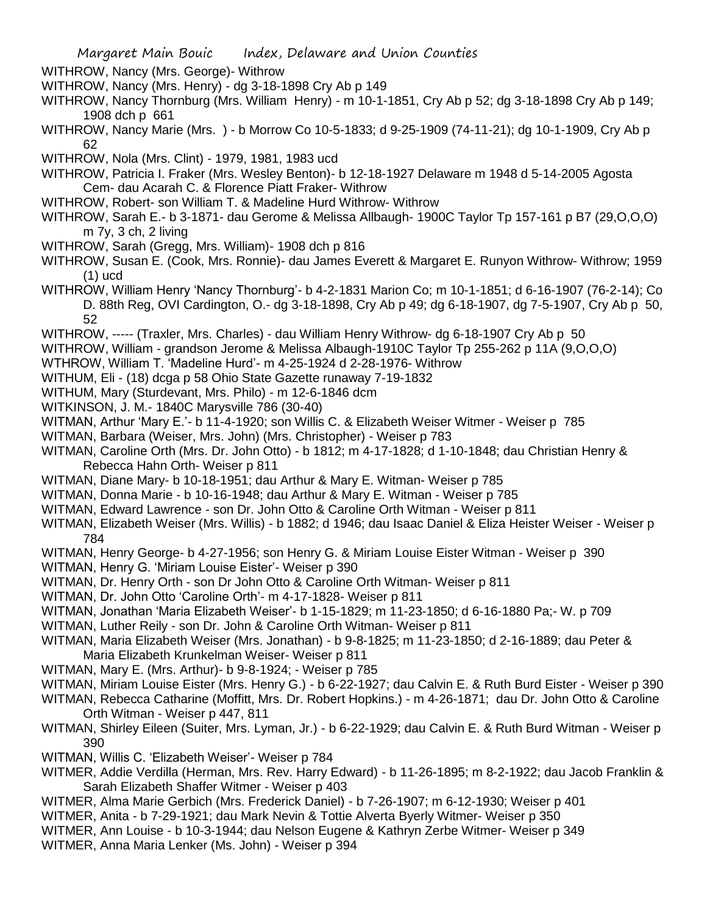WITHROW, Nancy (Mrs. George)- Withrow

- WITHROW, Nancy (Mrs. Henry) dg 3-18-1898 Cry Ab p 149
- WITHROW, Nancy Thornburg (Mrs. William Henry) m 10-1-1851, Cry Ab p 52; dg 3-18-1898 Cry Ab p 149; 1908 dch p 661
- WITHROW, Nancy Marie (Mrs. ) b Morrow Co 10-5-1833; d 9-25-1909 (74-11-21); dg 10-1-1909, Cry Ab p 62
- WITHROW, Nola (Mrs. Clint) 1979, 1981, 1983 ucd

WITHROW, Patricia I. Fraker (Mrs. Wesley Benton)- b 12-18-1927 Delaware m 1948 d 5-14-2005 Agosta Cem- dau Acarah C. & Florence Piatt Fraker- Withrow

- WITHROW, Robert- son William T. & Madeline Hurd Withrow- Withrow
- WITHROW, Sarah E.- b 3-1871- dau Gerome & Melissa Allbaugh- 1900C Taylor Tp 157-161 p B7 (29,O,O,O) m 7y, 3 ch, 2 living
- WITHROW, Sarah (Gregg, Mrs. William)- 1908 dch p 816
- WITHROW, Susan E. (Cook, Mrs. Ronnie)- dau James Everett & Margaret E. Runyon Withrow- Withrow; 1959 (1) ucd
- WITHROW, William Henry 'Nancy Thornburg'- b 4-2-1831 Marion Co; m 10-1-1851; d 6-16-1907 (76-2-14); Co D. 88th Reg, OVI Cardington, O.- dg 3-18-1898, Cry Ab p 49; dg 6-18-1907, dg 7-5-1907, Cry Ab p 50, 52
- WITHROW, ----- (Traxler, Mrs. Charles) dau William Henry Withrow- dg 6-18-1907 Cry Ab p 50
- WITHROW, William grandson Jerome & Melissa Albaugh-1910C Taylor Tp 255-262 p 11A (9,O,O,O)
- WTHROW, William T. 'Madeline Hurd'- m 4-25-1924 d 2-28-1976- Withrow
- WITHUM, Eli (18) dcga p 58 Ohio State Gazette runaway 7-19-1832
- WITHUM, Mary (Sturdevant, Mrs. Philo) m 12-6-1846 dcm
- WITKINSON, J. M.- 1840C Marysville 786 (30-40)
- WITMAN, Arthur 'Mary E.'- b 11-4-1920; son Willis C. & Elizabeth Weiser Witmer Weiser p 785
- WITMAN, Barbara (Weiser, Mrs. John) (Mrs. Christopher) Weiser p 783
- WITMAN, Caroline Orth (Mrs. Dr. John Otto) b 1812; m 4-17-1828; d 1-10-1848; dau Christian Henry & Rebecca Hahn Orth- Weiser p 811
- WITMAN, Diane Mary- b 10-18-1951; dau Arthur & Mary E. Witman- Weiser p 785
- WITMAN, Donna Marie b 10-16-1948; dau Arthur & Mary E. Witman Weiser p 785
- WITMAN, Edward Lawrence son Dr. John Otto & Caroline Orth Witman Weiser p 811
- WITMAN, Elizabeth Weiser (Mrs. Willis) b 1882; d 1946; dau Isaac Daniel & Eliza Heister Weiser Weiser p 784
- WITMAN, Henry George- b 4-27-1956; son Henry G. & Miriam Louise Eister Witman Weiser p 390
- WITMAN, Henry G. 'Miriam Louise Eister'- Weiser p 390
- WITMAN, Dr. Henry Orth son Dr John Otto & Caroline Orth Witman- Weiser p 811
- WITMAN, Dr. John Otto 'Caroline Orth'- m 4-17-1828- Weiser p 811
- WITMAN, Jonathan 'Maria Elizabeth Weiser'- b 1-15-1829; m 11-23-1850; d 6-16-1880 Pa;- W. p 709
- WITMAN, Luther Reily son Dr. John & Caroline Orth Witman- Weiser p 811
- WITMAN, Maria Elizabeth Weiser (Mrs. Jonathan) b 9-8-1825; m 11-23-1850; d 2-16-1889; dau Peter & Maria Elizabeth Krunkelman Weiser- Weiser p 811
- WITMAN, Mary E. (Mrs. Arthur)- b 9-8-1924; Weiser p 785
- WITMAN, Miriam Louise Eister (Mrs. Henry G.) b 6-22-1927; dau Calvin E. & Ruth Burd Eister Weiser p 390
- WITMAN, Rebecca Catharine (Moffitt, Mrs. Dr. Robert Hopkins.) m 4-26-1871; dau Dr. John Otto & Caroline Orth Witman - Weiser p 447, 811
- WITMAN, Shirley Eileen (Suiter, Mrs. Lyman, Jr.) b 6-22-1929; dau Calvin E. & Ruth Burd Witman Weiser p 390
- WITMAN, Willis C. 'Elizabeth Weiser'- Weiser p 784
- WITMER, Addie Verdilla (Herman, Mrs. Rev. Harry Edward) b 11-26-1895; m 8-2-1922; dau Jacob Franklin & Sarah Elizabeth Shaffer Witmer - Weiser p 403
- WITMER, Alma Marie Gerbich (Mrs. Frederick Daniel) b 7-26-1907; m 6-12-1930; Weiser p 401
- WITMER, Anita b 7-29-1921; dau Mark Nevin & Tottie Alverta Byerly Witmer- Weiser p 350
- WITMER, Ann Louise b 10-3-1944; dau Nelson Eugene & Kathryn Zerbe Witmer- Weiser p 349
- WITMER, Anna Maria Lenker (Ms. John) Weiser p 394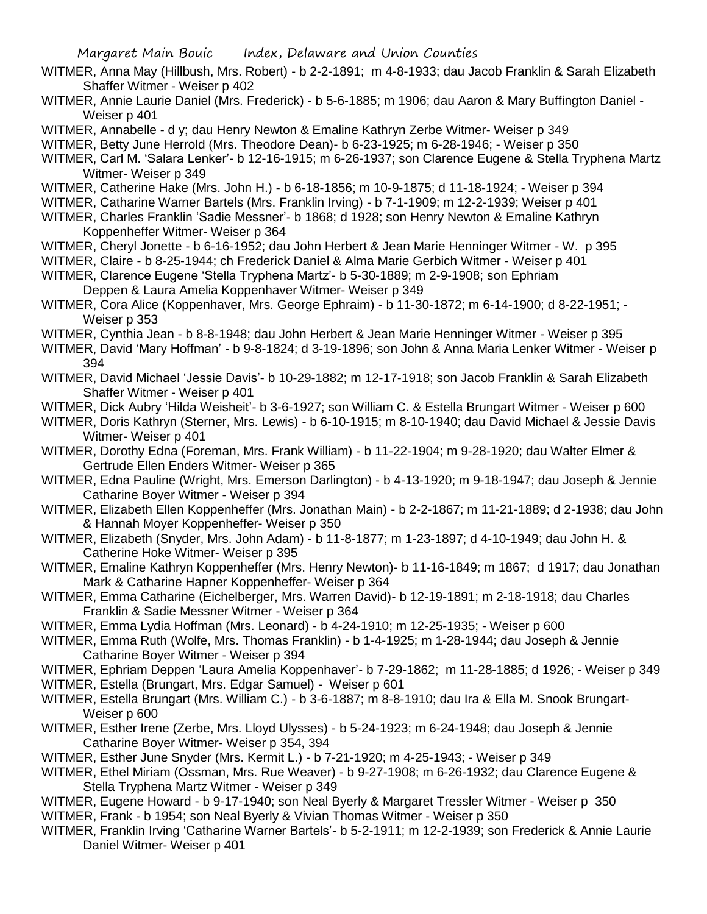- WITMER, Anna May (Hillbush, Mrs. Robert) b 2-2-1891; m 4-8-1933; dau Jacob Franklin & Sarah Elizabeth Shaffer Witmer - Weiser p 402
- WITMER, Annie Laurie Daniel (Mrs. Frederick) b 5-6-1885; m 1906; dau Aaron & Mary Buffington Daniel Weiser p 401
- WITMER, Annabelle d y; dau Henry Newton & Emaline Kathryn Zerbe Witmer- Weiser p 349
- WITMER, Betty June Herrold (Mrs. Theodore Dean)- b 6-23-1925; m 6-28-1946; Weiser p 350
- WITMER, Carl M. 'Salara Lenker'- b 12-16-1915; m 6-26-1937; son Clarence Eugene & Stella Tryphena Martz Witmer- Weiser p 349
- WITMER, Catherine Hake (Mrs. John H.) b 6-18-1856; m 10-9-1875; d 11-18-1924; Weiser p 394
- WITMER, Catharine Warner Bartels (Mrs. Franklin Irving) b 7-1-1909; m 12-2-1939; Weiser p 401
- WITMER, Charles Franklin 'Sadie Messner'- b 1868; d 1928; son Henry Newton & Emaline Kathryn Koppenheffer Witmer- Weiser p 364
- WITMER, Cheryl Jonette b 6-16-1952; dau John Herbert & Jean Marie Henninger Witmer W. p 395
- WITMER, Claire b 8-25-1944; ch Frederick Daniel & Alma Marie Gerbich Witmer Weiser p 401
- WITMER, Clarence Eugene 'Stella Tryphena Martz'- b 5-30-1889; m 2-9-1908; son Ephriam Deppen & Laura Amelia Koppenhaver Witmer- Weiser p 349
- WITMER, Cora Alice (Koppenhaver, Mrs. George Ephraim) b 11-30-1872; m 6-14-1900; d 8-22-1951; Weiser p 353
- WITMER, Cynthia Jean b 8-8-1948; dau John Herbert & Jean Marie Henninger Witmer Weiser p 395
- WITMER, David 'Mary Hoffman' b 9-8-1824; d 3-19-1896; son John & Anna Maria Lenker Witmer Weiser p 394
- WITMER, David Michael 'Jessie Davis'- b 10-29-1882; m 12-17-1918; son Jacob Franklin & Sarah Elizabeth Shaffer Witmer - Weiser p 401
- WITMER, Dick Aubry 'Hilda Weisheit'- b 3-6-1927; son William C. & Estella Brungart Witmer Weiser p 600
- WITMER, Doris Kathryn (Sterner, Mrs. Lewis) b 6-10-1915; m 8-10-1940; dau David Michael & Jessie Davis Witmer- Weiser p 401
- WITMER, Dorothy Edna (Foreman, Mrs. Frank William) b 11-22-1904; m 9-28-1920; dau Walter Elmer & Gertrude Ellen Enders Witmer- Weiser p 365
- WITMER, Edna Pauline (Wright, Mrs. Emerson Darlington) b 4-13-1920; m 9-18-1947; dau Joseph & Jennie Catharine Boyer Witmer - Weiser p 394
- WITMER, Elizabeth Ellen Koppenheffer (Mrs. Jonathan Main) b 2-2-1867; m 11-21-1889; d 2-1938; dau John & Hannah Moyer Koppenheffer- Weiser p 350
- WITMER, Elizabeth (Snyder, Mrs. John Adam) b 11-8-1877; m 1-23-1897; d 4-10-1949; dau John H. & Catherine Hoke Witmer- Weiser p 395
- WITMER, Emaline Kathryn Koppenheffer (Mrs. Henry Newton)- b 11-16-1849; m 1867; d 1917; dau Jonathan Mark & Catharine Hapner Koppenheffer- Weiser p 364
- WITMER, Emma Catharine (Eichelberger, Mrs. Warren David)- b 12-19-1891; m 2-18-1918; dau Charles Franklin & Sadie Messner Witmer - Weiser p 364
- WITMER, Emma Lydia Hoffman (Mrs. Leonard) b 4-24-1910; m 12-25-1935; Weiser p 600
- WITMER, Emma Ruth (Wolfe, Mrs. Thomas Franklin) b 1-4-1925; m 1-28-1944; dau Joseph & Jennie Catharine Boyer Witmer - Weiser p 394
- WITMER, Ephriam Deppen 'Laura Amelia Koppenhaver'- b 7-29-1862; m 11-28-1885; d 1926; Weiser p 349
- WITMER, Estella (Brungart, Mrs. Edgar Samuel) Weiser p 601
- WITMER, Estella Brungart (Mrs. William C.) b 3-6-1887; m 8-8-1910; dau Ira & Ella M. Snook Brungart-Weiser p 600
- WITMER, Esther Irene (Zerbe, Mrs. Lloyd Ulysses) b 5-24-1923; m 6-24-1948; dau Joseph & Jennie Catharine Boyer Witmer- Weiser p 354, 394
- WITMER, Esther June Snyder (Mrs. Kermit L.) b 7-21-1920; m 4-25-1943; Weiser p 349
- WITMER, Ethel Miriam (Ossman, Mrs. Rue Weaver) b 9-27-1908; m 6-26-1932; dau Clarence Eugene & Stella Tryphena Martz Witmer - Weiser p 349
- WITMER, Eugene Howard b 9-17-1940; son Neal Byerly & Margaret Tressler Witmer Weiser p 350 WITMER, Frank - b 1954; son Neal Byerly & Vivian Thomas Witmer - Weiser p 350
- WITMER, Franklin Irving 'Catharine Warner Bartels'- b 5-2-1911; m 12-2-1939; son Frederick & Annie Laurie Daniel Witmer- Weiser p 401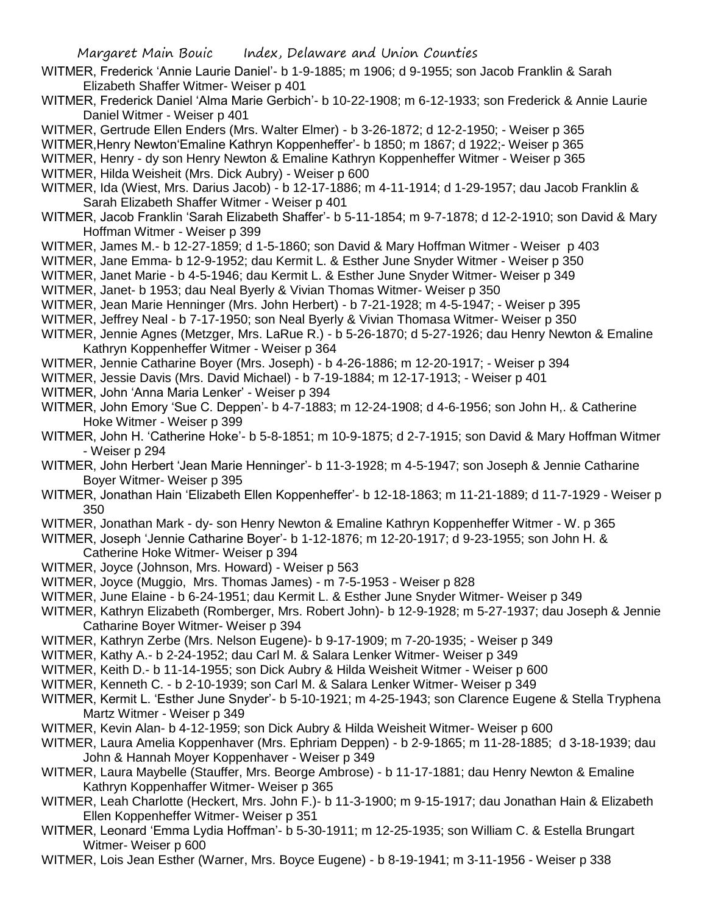- WITMER, Frederick 'Annie Laurie Daniel'- b 1-9-1885; m 1906; d 9-1955; son Jacob Franklin & Sarah Elizabeth Shaffer Witmer- Weiser p 401
- WITMER, Frederick Daniel 'Alma Marie Gerbich'- b 10-22-1908; m 6-12-1933; son Frederick & Annie Laurie Daniel Witmer - Weiser p 401
- WITMER, Gertrude Ellen Enders (Mrs. Walter Elmer) b 3-26-1872; d 12-2-1950; Weiser p 365
- WITMER,Henry Newton'Emaline Kathryn Koppenheffer'- b 1850; m 1867; d 1922;- Weiser p 365
- WITMER, Henry dy son Henry Newton & Emaline Kathryn Koppenheffer Witmer Weiser p 365
- WITMER, Hilda Weisheit (Mrs. Dick Aubry) Weiser p 600
- WITMER, Ida (Wiest, Mrs. Darius Jacob) b 12-17-1886; m 4-11-1914; d 1-29-1957; dau Jacob Franklin & Sarah Elizabeth Shaffer Witmer - Weiser p 401
- WITMER, Jacob Franklin 'Sarah Elizabeth Shaffer'- b 5-11-1854; m 9-7-1878; d 12-2-1910; son David & Mary Hoffman Witmer - Weiser p 399
- WITMER, James M.- b 12-27-1859; d 1-5-1860; son David & Mary Hoffman Witmer Weiser p 403
- WITMER, Jane Emma- b 12-9-1952; dau Kermit L. & Esther June Snyder Witmer Weiser p 350
- WITMER, Janet Marie b 4-5-1946; dau Kermit L. & Esther June Snyder Witmer- Weiser p 349
- WITMER, Janet- b 1953; dau Neal Byerly & Vivian Thomas Witmer- Weiser p 350
- WITMER, Jean Marie Henninger (Mrs. John Herbert) b 7-21-1928; m 4-5-1947; Weiser p 395
- WITMER, Jeffrey Neal b 7-17-1950; son Neal Byerly & Vivian Thomasa Witmer- Weiser p 350
- WITMER, Jennie Agnes (Metzger, Mrs. LaRue R.) b 5-26-1870; d 5-27-1926; dau Henry Newton & Emaline Kathryn Koppenheffer Witmer - Weiser p 364
- WITMER, Jennie Catharine Boyer (Mrs. Joseph) b 4-26-1886; m 12-20-1917; Weiser p 394
- WITMER, Jessie Davis (Mrs. David Michael) b 7-19-1884; m 12-17-1913; Weiser p 401
- WITMER, John 'Anna Maria Lenker' Weiser p 394
- WITMER, John Emory 'Sue C. Deppen'- b 4-7-1883; m 12-24-1908; d 4-6-1956; son John H,. & Catherine Hoke Witmer - Weiser p 399
- WITMER, John H. 'Catherine Hoke'- b 5-8-1851; m 10-9-1875; d 2-7-1915; son David & Mary Hoffman Witmer - Weiser p 294
- WITMER, John Herbert 'Jean Marie Henninger'- b 11-3-1928; m 4-5-1947; son Joseph & Jennie Catharine Boyer Witmer- Weiser p 395
- WITMER, Jonathan Hain 'Elizabeth Ellen Koppenheffer'- b 12-18-1863; m 11-21-1889; d 11-7-1929 Weiser p 350
- WITMER, Jonathan Mark dy- son Henry Newton & Emaline Kathryn Koppenheffer Witmer W. p 365
- WITMER, Joseph 'Jennie Catharine Boyer'- b 1-12-1876; m 12-20-1917; d 9-23-1955; son John H. & Catherine Hoke Witmer- Weiser p 394
- WITMER, Joyce (Johnson, Mrs. Howard) Weiser p 563
- WITMER, Joyce (Muggio, Mrs. Thomas James) m 7-5-1953 Weiser p 828
- WITMER, June Elaine b 6-24-1951; dau Kermit L. & Esther June Snyder Witmer- Weiser p 349
- WITMER, Kathryn Elizabeth (Romberger, Mrs. Robert John)- b 12-9-1928; m 5-27-1937; dau Joseph & Jennie Catharine Boyer Witmer- Weiser p 394
- WITMER, Kathryn Zerbe (Mrs. Nelson Eugene)- b 9-17-1909; m 7-20-1935; Weiser p 349
- WITMER, Kathy A.- b 2-24-1952; dau Carl M. & Salara Lenker Witmer- Weiser p 349
- WITMER, Keith D.- b 11-14-1955; son Dick Aubry & Hilda Weisheit Witmer Weiser p 600
- WITMER, Kenneth C. b 2-10-1939; son Carl M. & Salara Lenker Witmer- Weiser p 349
- WITMER, Kermit L. 'Esther June Snyder'- b 5-10-1921; m 4-25-1943; son Clarence Eugene & Stella Tryphena Martz Witmer - Weiser p 349
- WITMER, Kevin Alan- b 4-12-1959; son Dick Aubry & Hilda Weisheit Witmer- Weiser p 600
- WITMER, Laura Amelia Koppenhaver (Mrs. Ephriam Deppen) b 2-9-1865; m 11-28-1885; d 3-18-1939; dau John & Hannah Moyer Koppenhaver - Weiser p 349
- WITMER, Laura Maybelle (Stauffer, Mrs. Beorge Ambrose) b 11-17-1881; dau Henry Newton & Emaline Kathryn Koppenhaffer Witmer- Weiser p 365
- WITMER, Leah Charlotte (Heckert, Mrs. John F.)- b 11-3-1900; m 9-15-1917; dau Jonathan Hain & Elizabeth Ellen Koppenheffer Witmer- Weiser p 351
- WITMER, Leonard 'Emma Lydia Hoffman'- b 5-30-1911; m 12-25-1935; son William C. & Estella Brungart Witmer- Weiser p 600
- WITMER, Lois Jean Esther (Warner, Mrs. Boyce Eugene) b 8-19-1941; m 3-11-1956 Weiser p 338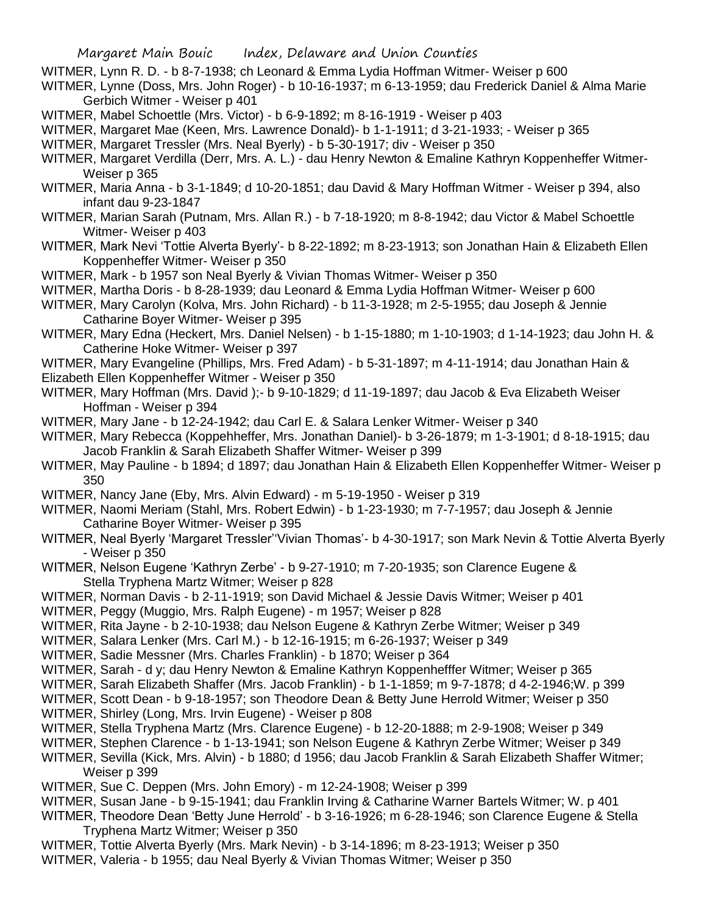- WITMER, Lynn R. D. b 8-7-1938; ch Leonard & Emma Lydia Hoffman Witmer- Weiser p 600
- WITMER, Lynne (Doss, Mrs. John Roger) b 10-16-1937; m 6-13-1959; dau Frederick Daniel & Alma Marie Gerbich Witmer - Weiser p 401
- WITMER, Mabel Schoettle (Mrs. Victor) b 6-9-1892; m 8-16-1919 Weiser p 403
- WITMER, Margaret Mae (Keen, Mrs. Lawrence Donald)- b 1-1-1911; d 3-21-1933; Weiser p 365
- WITMER, Margaret Tressler (Mrs. Neal Byerly) b 5-30-1917; div Weiser p 350
- WITMER, Margaret Verdilla (Derr, Mrs. A. L.) dau Henry Newton & Emaline Kathryn Koppenheffer Witmer-Weiser p 365
- WITMER, Maria Anna b 3-1-1849; d 10-20-1851; dau David & Mary Hoffman Witmer Weiser p 394, also infant dau 9-23-1847
- WITMER, Marian Sarah (Putnam, Mrs. Allan R.) b 7-18-1920; m 8-8-1942; dau Victor & Mabel Schoettle Witmer- Weiser p 403
- WITMER, Mark Nevi 'Tottie Alverta Byerly'- b 8-22-1892; m 8-23-1913; son Jonathan Hain & Elizabeth Ellen Koppenheffer Witmer- Weiser p 350
- WITMER, Mark b 1957 son Neal Byerly & Vivian Thomas Witmer- Weiser p 350
- WITMER, Martha Doris b 8-28-1939; dau Leonard & Emma Lydia Hoffman Witmer- Weiser p 600
- WITMER, Mary Carolyn (Kolva, Mrs. John Richard) b 11-3-1928; m 2-5-1955; dau Joseph & Jennie Catharine Boyer Witmer- Weiser p 395
- WITMER, Mary Edna (Heckert, Mrs. Daniel Nelsen) b 1-15-1880; m 1-10-1903; d 1-14-1923; dau John H. & Catherine Hoke Witmer- Weiser p 397
- WITMER, Mary Evangeline (Phillips, Mrs. Fred Adam) b 5-31-1897; m 4-11-1914; dau Jonathan Hain & Elizabeth Ellen Koppenheffer Witmer - Weiser p 350
- WITMER, Mary Hoffman (Mrs. David );- b 9-10-1829; d 11-19-1897; dau Jacob & Eva Elizabeth Weiser Hoffman - Weiser p 394
- WITMER, Mary Jane b 12-24-1942; dau Carl E. & Salara Lenker Witmer- Weiser p 340
- WITMER, Mary Rebecca (Koppehheffer, Mrs. Jonathan Daniel)- b 3-26-1879; m 1-3-1901; d 8-18-1915; dau Jacob Franklin & Sarah Elizabeth Shaffer Witmer- Weiser p 399
- WITMER, May Pauline b 1894; d 1897; dau Jonathan Hain & Elizabeth Ellen Koppenheffer Witmer- Weiser p 350
- WITMER, Nancy Jane (Eby, Mrs. Alvin Edward) m 5-19-1950 Weiser p 319
- WITMER, Naomi Meriam (Stahl, Mrs. Robert Edwin) b 1-23-1930; m 7-7-1957; dau Joseph & Jennie Catharine Boyer Witmer- Weiser p 395
- WITMER, Neal Byerly 'Margaret Tressler''Vivian Thomas'- b 4-30-1917; son Mark Nevin & Tottie Alverta Byerly - Weiser p 350
- WITMER, Nelson Eugene 'Kathryn Zerbe' b 9-27-1910; m 7-20-1935; son Clarence Eugene & Stella Tryphena Martz Witmer; Weiser p 828
- WITMER, Norman Davis b 2-11-1919; son David Michael & Jessie Davis Witmer; Weiser p 401
- WITMER, Peggy (Muggio, Mrs. Ralph Eugene) m 1957; Weiser p 828
- WITMER, Rita Jayne b 2-10-1938; dau Nelson Eugene & Kathryn Zerbe Witmer; Weiser p 349
- WITMER, Salara Lenker (Mrs. Carl M.) b 12-16-1915; m 6-26-1937; Weiser p 349
- WITMER, Sadie Messner (Mrs. Charles Franklin) b 1870; Weiser p 364
- WITMER, Sarah d y; dau Henry Newton & Emaline Kathryn Koppenhefffer Witmer; Weiser p 365
- WITMER, Sarah Elizabeth Shaffer (Mrs. Jacob Franklin) b 1-1-1859; m 9-7-1878; d 4-2-1946;W. p 399
- WITMER, Scott Dean b 9-18-1957; son Theodore Dean & Betty June Herrold Witmer; Weiser p 350
- WITMER, Shirley (Long, Mrs. Irvin Eugene) Weiser p 808
- WITMER, Stella Tryphena Martz (Mrs. Clarence Eugene) b 12-20-1888; m 2-9-1908; Weiser p 349
- WITMER, Stephen Clarence b 1-13-1941; son Nelson Eugene & Kathryn Zerbe Witmer; Weiser p 349
- WITMER, Sevilla (Kick, Mrs. Alvin) b 1880; d 1956; dau Jacob Franklin & Sarah Elizabeth Shaffer Witmer; Weiser p 399
- WITMER, Sue C. Deppen (Mrs. John Emory) m 12-24-1908; Weiser p 399
- WITMER, Susan Jane b 9-15-1941; dau Franklin Irving & Catharine Warner Bartels Witmer; W. p 401
- WITMER, Theodore Dean 'Betty June Herrold' b 3-16-1926; m 6-28-1946; son Clarence Eugene & Stella Tryphena Martz Witmer; Weiser p 350
- WITMER, Tottie Alverta Byerly (Mrs. Mark Nevin) b 3-14-1896; m 8-23-1913; Weiser p 350 WITMER, Valeria - b 1955; dau Neal Byerly & Vivian Thomas Witmer; Weiser p 350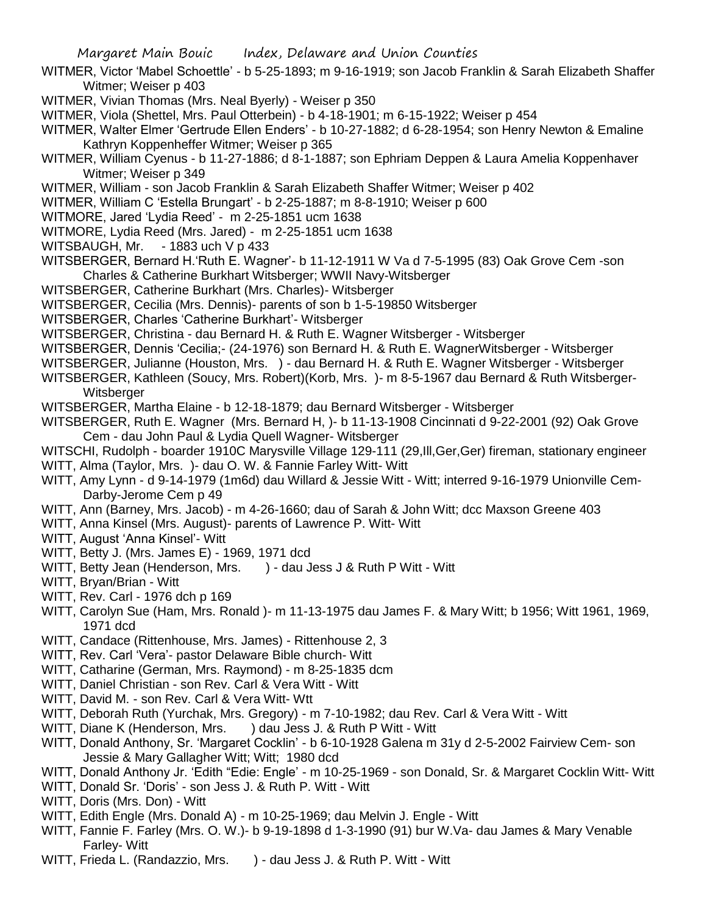- WITMER, Victor 'Mabel Schoettle' b 5-25-1893; m 9-16-1919; son Jacob Franklin & Sarah Elizabeth Shaffer Witmer; Weiser p 403
- WITMER, Vivian Thomas (Mrs. Neal Byerly) Weiser p 350
- WITMER, Viola (Shettel, Mrs. Paul Otterbein) b 4-18-1901; m 6-15-1922; Weiser p 454
- WITMER, Walter Elmer 'Gertrude Ellen Enders' b 10-27-1882; d 6-28-1954; son Henry Newton & Emaline Kathryn Koppenheffer Witmer; Weiser p 365
- WITMER, William Cyenus b 11-27-1886; d 8-1-1887; son Ephriam Deppen & Laura Amelia Koppenhaver Witmer; Weiser p 349
- WITMER, William son Jacob Franklin & Sarah Elizabeth Shaffer Witmer; Weiser p 402
- WITMER, William C 'Estella Brungart' b 2-25-1887; m 8-8-1910; Weiser p 600
- WITMORE, Jared 'Lydia Reed' m 2-25-1851 ucm 1638
- WITMORE, Lydia Reed (Mrs. Jared) m 2-25-1851 ucm 1638
- WITSBAUGH, Mr. 1883 uch V p 433
- WITSBERGER, Bernard H.'Ruth E. Wagner'- b 11-12-1911 W Va d 7-5-1995 (83) Oak Grove Cem -son Charles & Catherine Burkhart Witsberger; WWII Navy-Witsberger
- WITSBERGER, Catherine Burkhart (Mrs. Charles)- Witsberger
- WITSBERGER, Cecilia (Mrs. Dennis)- parents of son b 1-5-19850 Witsberger
- WITSBERGER, Charles 'Catherine Burkhart'- Witsberger
- WITSBERGER, Christina dau Bernard H. & Ruth E. Wagner Witsberger Witsberger
- WITSBERGER, Dennis 'Cecilia;- (24-1976) son Bernard H. & Ruth E. WagnerWitsberger Witsberger
- WITSBERGER, Julianne (Houston, Mrs. ) dau Bernard H. & Ruth E. Wagner Witsberger Witsberger
- WITSBERGER, Kathleen (Soucy, Mrs. Robert)(Korb, Mrs. )- m 8-5-1967 dau Bernard & Ruth Witsberger-**Witsberger**
- WITSBERGER, Martha Elaine b 12-18-1879; dau Bernard Witsberger Witsberger
- WITSBERGER, Ruth E. Wagner (Mrs. Bernard H, )- b 11-13-1908 Cincinnati d 9-22-2001 (92) Oak Grove Cem - dau John Paul & Lydia Quell Wagner- Witsberger
- WITSCHI, Rudolph boarder 1910C Marysville Village 129-111 (29,Ill,Ger,Ger) fireman, stationary engineer WITT, Alma (Taylor, Mrs. )- dau O. W. & Fannie Farley Witt- Witt
- WITT, Amy Lynn d 9-14-1979 (1m6d) dau Willard & Jessie Witt Witt; interred 9-16-1979 Unionville Cem-Darby-Jerome Cem p 49
- WITT, Ann (Barney, Mrs. Jacob) m 4-26-1660; dau of Sarah & John Witt; dcc Maxson Greene 403
- WITT, Anna Kinsel (Mrs. August)- parents of Lawrence P. Witt- Witt
- WITT, August 'Anna Kinsel'- Witt
- WITT, Betty J. (Mrs. James E) 1969, 1971 dcd
- WITT, Betty Jean (Henderson, Mrs. ) dau Jess J & Ruth P Witt Witt
- WITT, Bryan/Brian Witt
- WITT, Rev. Carl 1976 dch p 169
- WITT, Carolyn Sue (Ham, Mrs. Ronald )- m 11-13-1975 dau James F. & Mary Witt; b 1956; Witt 1961, 1969, 1971 dcd
- WITT, Candace (Rittenhouse, Mrs. James) Rittenhouse 2, 3
- WITT, Rev. Carl 'Vera'- pastor Delaware Bible church- Witt
- WITT, Catharine (German, Mrs. Raymond) m 8-25-1835 dcm
- WITT, Daniel Christian son Rev. Carl & Vera Witt Witt
- WITT, David M. son Rev. Carl & Vera Witt- Wtt
- WITT, Deborah Ruth (Yurchak, Mrs. Gregory) m 7-10-1982; dau Rev. Carl & Vera Witt Witt
- WITT, Diane K (Henderson, Mrs. ) dau Jess J. & Ruth P Witt Witt
- WITT, Donald Anthony, Sr. 'Margaret Cocklin' b 6-10-1928 Galena m 31y d 2-5-2002 Fairview Cem- son Jessie & Mary Gallagher Witt; Witt; 1980 dcd
- WITT, Donald Anthony Jr. 'Edith "Edie: Engle' m 10-25-1969 son Donald, Sr. & Margaret Cocklin Witt- Witt
- WITT, Donald Sr. 'Doris' son Jess J. & Ruth P. Witt Witt
- WITT, Doris (Mrs. Don) Witt
- WITT, Edith Engle (Mrs. Donald A) m 10-25-1969; dau Melvin J. Engle Witt
- WITT, Fannie F. Farley (Mrs. O. W.)- b 9-19-1898 d 1-3-1990 (91) bur W.Va- dau James & Mary Venable Farley- Witt
- WITT, Frieda L. (Randazzio, Mrs. ) dau Jess J. & Ruth P. Witt Witt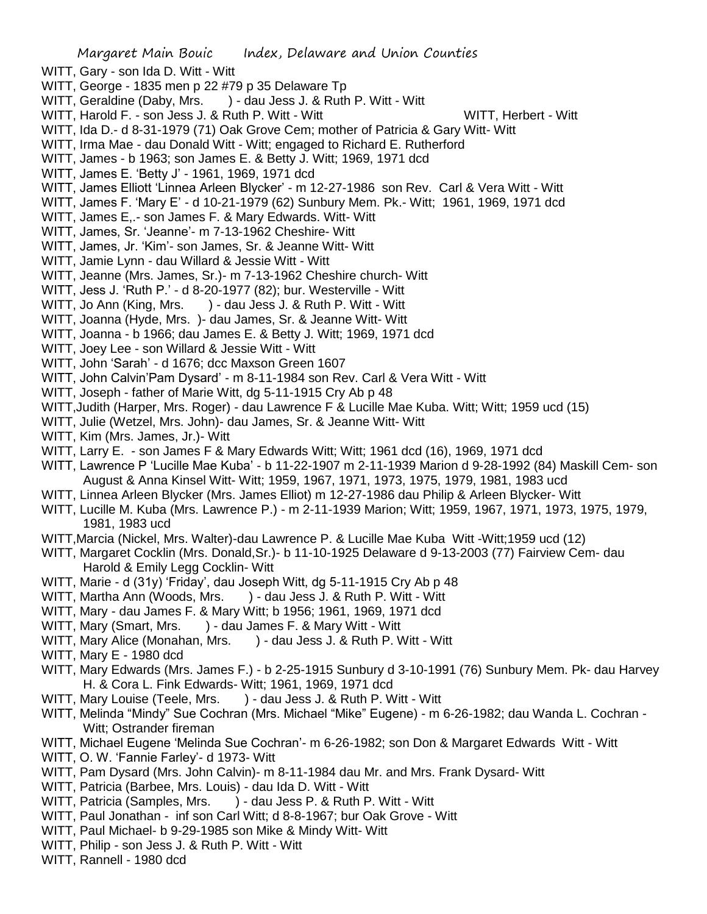- Margaret Main Bouic Index, Delaware and Union Counties WITT, Gary - son Ida D. Witt - Witt WITT, George - 1835 men p 22 #79 p 35 Delaware Tp WITT, Geraldine (Daby, Mrs. ) - dau Jess J. & Ruth P. Witt - Witt WITT, Harold F. - son Jess J. & Ruth P. Witt - Witt Witt WITT, Herbert - Witt WITT, Ida D.- d 8-31-1979 (71) Oak Grove Cem; mother of Patricia & Gary Witt- Witt WITT, Irma Mae - dau Donald Witt - Witt; engaged to Richard E. Rutherford WITT, James - b 1963; son James E. & Betty J. Witt; 1969, 1971 dcd WITT, James E. 'Betty J' - 1961, 1969, 1971 dcd WITT, James Elliott 'Linnea Arleen Blycker' - m 12-27-1986 son Rev. Carl & Vera Witt - Witt WITT, James F. 'Mary E' - d 10-21-1979 (62) Sunbury Mem. Pk.- Witt; 1961, 1969, 1971 dcd WITT, James E,.- son James F. & Mary Edwards. Witt- Witt WITT, James, Sr. 'Jeanne'- m 7-13-1962 Cheshire- Witt WITT, James, Jr. 'Kim'- son James, Sr. & Jeanne Witt- Witt WITT, Jamie Lynn - dau Willard & Jessie Witt - Witt WITT, Jeanne (Mrs. James, Sr.)- m 7-13-1962 Cheshire church- Witt WITT, Jess J. 'Ruth P.' - d 8-20-1977 (82); bur. Westerville - Witt WITT, Jo Ann (King, Mrs. ) - dau Jess J. & Ruth P. Witt - Witt WITT, Joanna (Hyde, Mrs. )- dau James, Sr. & Jeanne Witt- Witt WITT, Joanna - b 1966; dau James E. & Betty J. Witt; 1969, 1971 dcd WITT, Joey Lee - son Willard & Jessie Witt - Witt WITT, John 'Sarah' - d 1676; dcc Maxson Green 1607 WITT, John Calvin'Pam Dysard' - m 8-11-1984 son Rev. Carl & Vera Witt - Witt WITT, Joseph - father of Marie Witt, dg 5-11-1915 Cry Ab p 48 WITT,Judith (Harper, Mrs. Roger) - dau Lawrence F & Lucille Mae Kuba. Witt; Witt; 1959 ucd (15) WITT, Julie (Wetzel, Mrs. John)- dau James, Sr. & Jeanne Witt- Witt WITT, Kim (Mrs. James, Jr.)- Witt WITT, Larry E. - son James F & Mary Edwards Witt; Witt; 1961 dcd (16), 1969, 1971 dcd WITT, Lawrence P 'Lucille Mae Kuba' - b 11-22-1907 m 2-11-1939 Marion d 9-28-1992 (84) Maskill Cem- son August & Anna Kinsel Witt- Witt; 1959, 1967, 1971, 1973, 1975, 1979, 1981, 1983 ucd WITT, Linnea Arleen Blycker (Mrs. James Elliot) m 12-27-1986 dau Philip & Arleen Blycker- Witt WITT, Lucille M. Kuba (Mrs. Lawrence P.) - m 2-11-1939 Marion; Witt; 1959, 1967, 1971, 1973, 1975, 1979, 1981, 1983 ucd WITT,Marcia (Nickel, Mrs. Walter)-dau Lawrence P. & Lucille Mae Kuba Witt -Witt;1959 ucd (12) WITT, Margaret Cocklin (Mrs. Donald,Sr.)- b 11-10-1925 Delaware d 9-13-2003 (77) Fairview Cem- dau Harold & Emily Legg Cocklin- Witt WITT, Marie - d (31y) 'Friday', dau Joseph Witt, dg 5-11-1915 Cry Ab p 48 WITT, Martha Ann (Woods, Mrs. ) - dau Jess J. & Ruth P. Witt - Witt WITT, Mary - dau James F. & Mary Witt; b 1956; 1961, 1969, 1971 dcd WITT, Mary (Smart, Mrs. ) - dau James F. & Mary Witt - Witt WITT, Mary Alice (Monahan, Mrs. ) - dau Jess J. & Ruth P. Witt - Witt WITT, Mary E - 1980 dcd WITT, Mary Edwards (Mrs. James F.) - b 2-25-1915 Sunbury d 3-10-1991 (76) Sunbury Mem. Pk- dau Harvey H. & Cora L. Fink Edwards- Witt; 1961, 1969, 1971 dcd WITT, Mary Louise (Teele, Mrs. ) - dau Jess J. & Ruth P. Witt - Witt WITT, Melinda "Mindy" Sue Cochran (Mrs. Michael "Mike" Eugene) - m 6-26-1982; dau Wanda L. Cochran - Witt; Ostrander fireman WITT, Michael Eugene 'Melinda Sue Cochran'- m 6-26-1982; son Don & Margaret Edwards Witt - Witt WITT, O. W. 'Fannie Farley'- d 1973- Witt WITT, Pam Dysard (Mrs. John Calvin)- m 8-11-1984 dau Mr. and Mrs. Frank Dysard- Witt WITT, Patricia (Barbee, Mrs. Louis) - dau Ida D. Witt - Witt WITT, Patricia (Samples, Mrs. ) - dau Jess P. & Ruth P. Witt - Witt
- WITT, Paul Jonathan inf son Carl Witt; d 8-8-1967; bur Oak Grove Witt
- WITT, Paul Michael- b 9-29-1985 son Mike & Mindy Witt- Witt
- WITT, Philip son Jess J. & Ruth P. Witt Witt
- WITT, Rannell 1980 dcd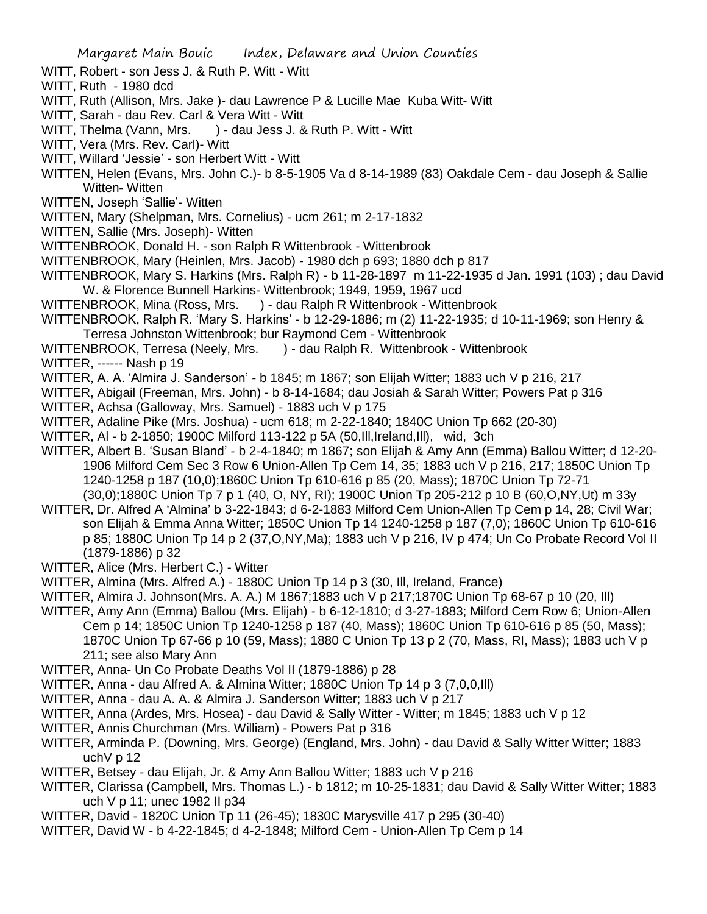- WITT, Robert son Jess J. & Ruth P. Witt Witt
- WITT, Ruth 1980 dcd
- WITT, Ruth (Allison, Mrs. Jake )- dau Lawrence P & Lucille Mae Kuba Witt- Witt
- WITT, Sarah dau Rev. Carl & Vera Witt Witt
- WITT, Thelma (Vann, Mrs. ) dau Jess J. & Ruth P. Witt Witt
- WITT, Vera (Mrs. Rev. Carl)- Witt
- WITT, Willard 'Jessie' son Herbert Witt Witt
- WITTEN, Helen (Evans, Mrs. John C.)- b 8-5-1905 Va d 8-14-1989 (83) Oakdale Cem dau Joseph & Sallie Witten- Witten
- WITTEN, Joseph 'Sallie'- Witten
- WITTEN, Mary (Shelpman, Mrs. Cornelius) ucm 261; m 2-17-1832
- WITTEN, Sallie (Mrs. Joseph)- Witten
- WITTENBROOK, Donald H. son Ralph R Wittenbrook Wittenbrook
- WITTENBROOK, Mary (Heinlen, Mrs. Jacob) 1980 dch p 693; 1880 dch p 817
- WITTENBROOK, Mary S. Harkins (Mrs. Ralph R) b 11-28-1897 m 11-22-1935 d Jan. 1991 (103) ; dau David W. & Florence Bunnell Harkins- Wittenbrook; 1949, 1959, 1967 ucd
- WITTENBROOK, Mina (Ross, Mrs. ) dau Ralph R Wittenbrook Wittenbrook
- WITTENBROOK, Ralph R. 'Mary S. Harkins' b 12-29-1886; m (2) 11-22-1935; d 10-11-1969; son Henry & Terresa Johnston Wittenbrook; bur Raymond Cem - Wittenbrook
- WITTENBROOK, Terresa (Neely, Mrs. ) dau Ralph R. Wittenbrook Wittenbrook
- WITTER, ------ Nash p 19
- WITTER, A. A. 'Almira J. Sanderson' b 1845; m 1867; son Elijah Witter; 1883 uch V p 216, 217
- WITTER, Abigail (Freeman, Mrs. John) b 8-14-1684; dau Josiah & Sarah Witter; Powers Pat p 316
- WITTER, Achsa (Galloway, Mrs. Samuel) 1883 uch V p 175
- WITTER, Adaline Pike (Mrs. Joshua) ucm 618; m 2-22-1840; 1840C Union Tp 662 (20-30)
- WITTER, Al b 2-1850; 1900C Milford 113-122 p 5A (50,Ill,Ireland,Ill), wid, 3ch
- WITTER, Albert B. 'Susan Bland' b 2-4-1840; m 1867; son Elijah & Amy Ann (Emma) Ballou Witter; d 12-20- 1906 Milford Cem Sec 3 Row 6 Union-Allen Tp Cem 14, 35; 1883 uch V p 216, 217; 1850C Union Tp 1240-1258 p 187 (10,0);1860C Union Tp 610-616 p 85 (20, Mass); 1870C Union Tp 72-71 (30,0);1880C Union Tp 7 p 1 (40, O, NY, RI); 1900C Union Tp 205-212 p 10 B (60,O,NY,Ut) m 33y
- WITTER, Dr. Alfred A 'Almina' b 3-22-1843; d 6-2-1883 Milford Cem Union-Allen Tp Cem p 14, 28; Civil War; son Elijah & Emma Anna Witter; 1850C Union Tp 14 1240-1258 p 187 (7,0); 1860C Union Tp 610-616 p 85; 1880C Union Tp 14 p 2 (37,O,NY,Ma); 1883 uch V p 216, IV p 474; Un Co Probate Record Vol II (1879-1886) p 32
- WITTER, Alice (Mrs. Herbert C.) Witter
- WITTER, Almina (Mrs. Alfred A.) 1880C Union Tp 14 p 3 (30, Ill, Ireland, France)
- WITTER, Almira J. Johnson(Mrs. A. A.) M 1867;1883 uch V p 217;1870C Union Tp 68-67 p 10 (20, Ill)
- WITTER, Amy Ann (Emma) Ballou (Mrs. Elijah) b 6-12-1810; d 3-27-1883; Milford Cem Row 6; Union-Allen Cem p 14; 1850C Union Tp 1240-1258 p 187 (40, Mass); 1860C Union Tp 610-616 p 85 (50, Mass); 1870C Union Tp 67-66 p 10 (59, Mass); 1880 C Union Tp 13 p 2 (70, Mass, RI, Mass); 1883 uch V p 211; see also Mary Ann
- WITTER, Anna- Un Co Probate Deaths Vol II (1879-1886) p 28
- WITTER, Anna dau Alfred A. & Almina Witter; 1880C Union Tp 14 p 3 (7,0,0,Ill)
- WITTER, Anna dau A. A. & Almira J. Sanderson Witter; 1883 uch V p 217
- WITTER, Anna (Ardes, Mrs. Hosea) dau David & Sally Witter Witter; m 1845; 1883 uch V p 12
- WITTER, Annis Churchman (Mrs. William) Powers Pat p 316
- WITTER, Arminda P. (Downing, Mrs. George) (England, Mrs. John) dau David & Sally Witter Witter; 1883 uchV p 12
- WITTER, Betsey dau Elijah, Jr. & Amy Ann Ballou Witter; 1883 uch V p 216
- WITTER, Clarissa (Campbell, Mrs. Thomas L.) b 1812; m 10-25-1831; dau David & Sally Witter Witter; 1883 uch V p 11; unec 1982 II p34
- WITTER, David 1820C Union Tp 11 (26-45); 1830C Marysville 417 p 295 (30-40)
- WITTER, David W b 4-22-1845; d 4-2-1848; Milford Cem Union-Allen Tp Cem p 14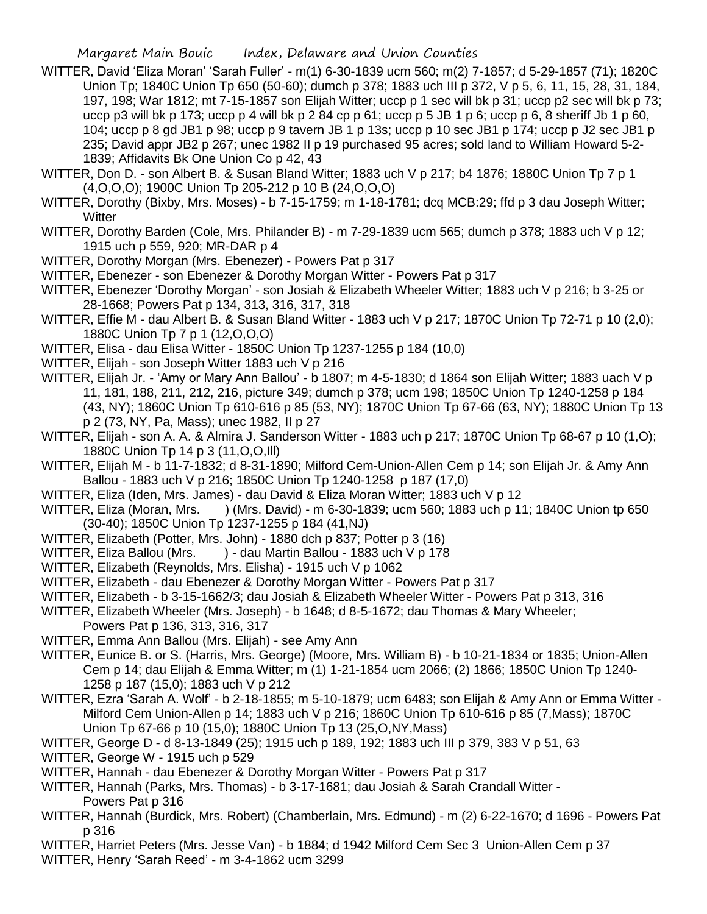- WITTER, David 'Eliza Moran' 'Sarah Fuller' m(1) 6-30-1839 ucm 560; m(2) 7-1857; d 5-29-1857 (71); 1820C Union Tp; 1840C Union Tp 650 (50-60); dumch p 378; 1883 uch III p 372, V p 5, 6, 11, 15, 28, 31, 184, 197, 198; War 1812; mt 7-15-1857 son Elijah Witter; uccp p 1 sec will bk p 31; uccp p2 sec will bk p 73; uccp p3 will bk p 173; uccp p 4 will bk p 2 84 cp p 61; uccp p 5 JB 1 p 6; uccp p 6, 8 sheriff Jb 1 p 60, 104; uccp p 8 gd JB1 p 98; uccp p 9 tavern JB 1 p 13s; uccp p 10 sec JB1 p 174; uccp p J2 sec JB1 p 235; David appr JB2 p 267; unec 1982 II p 19 purchased 95 acres; sold land to William Howard 5-2- 1839; Affidavits Bk One Union Co p 42, 43
- WITTER, Don D. son Albert B. & Susan Bland Witter; 1883 uch V p 217; b4 1876; 1880C Union Tp 7 p 1 (4,O,O,O); 1900C Union Tp 205-212 p 10 B (24,O,O,O)
- WITTER, Dorothy (Bixby, Mrs. Moses) b 7-15-1759; m 1-18-1781; dcq MCB:29; ffd p 3 dau Joseph Witter; **Witter**
- WITTER, Dorothy Barden (Cole, Mrs. Philander B) m 7-29-1839 ucm 565; dumch p 378; 1883 uch V p 12; 1915 uch p 559, 920; MR-DAR p 4
- WITTER, Dorothy Morgan (Mrs. Ebenezer) Powers Pat p 317
- WITTER, Ebenezer son Ebenezer & Dorothy Morgan Witter Powers Pat p 317
- WITTER, Ebenezer 'Dorothy Morgan' son Josiah & Elizabeth Wheeler Witter; 1883 uch V p 216; b 3-25 or 28-1668; Powers Pat p 134, 313, 316, 317, 318
- WITTER, Effie M dau Albert B. & Susan Bland Witter 1883 uch V p 217; 1870C Union Tp 72-71 p 10 (2.0); 1880C Union Tp 7 p 1 (12,O,O,O)
- WITTER, Elisa dau Elisa Witter 1850C Union Tp 1237-1255 p 184 (10,0)
- WITTER, Elijah son Joseph Witter 1883 uch V p 216
- WITTER, Elijah Jr. 'Amy or Mary Ann Ballou' b 1807; m 4-5-1830; d 1864 son Elijah Witter; 1883 uach V p 11, 181, 188, 211, 212, 216, picture 349; dumch p 378; ucm 198; 1850C Union Tp 1240-1258 p 184 (43, NY); 1860C Union Tp 610-616 p 85 (53, NY); 1870C Union Tp 67-66 (63, NY); 1880C Union Tp 13 p 2 (73, NY, Pa, Mass); unec 1982, II p 27
- WITTER, Elijah son A. A. & Almira J. Sanderson Witter 1883 uch p 217; 1870C Union Tp 68-67 p 10 (1,O); 1880C Union Tp 14 p 3 (11,O,O,Ill)
- WITTER, Elijah M b 11-7-1832; d 8-31-1890; Milford Cem-Union-Allen Cem p 14; son Elijah Jr. & Amy Ann Ballou - 1883 uch V p 216; 1850C Union Tp 1240-1258 p 187 (17,0)
- WITTER, Eliza (Iden, Mrs. James) dau David & Eliza Moran Witter; 1883 uch V p 12
- WITTER, Eliza (Moran, Mrs. ) (Mrs. David) m 6-30-1839; ucm 560; 1883 uch p 11; 1840C Union tp 650 (30-40); 1850C Union Tp 1237-1255 p 184 (41,NJ)
- WITTER, Elizabeth (Potter, Mrs. John) 1880 dch p 837; Potter p 3 (16)
- WITTER, Eliza Ballou (Mrs. ) dau Martin Ballou 1883 uch V p 178
- WITTER, Elizabeth (Reynolds, Mrs. Elisha) 1915 uch V p 1062
- WITTER, Elizabeth dau Ebenezer & Dorothy Morgan Witter Powers Pat p 317
- WITTER, Elizabeth b 3-15-1662/3; dau Josiah & Elizabeth Wheeler Witter Powers Pat p 313, 316
- WITTER, Elizabeth Wheeler (Mrs. Joseph) b 1648; d 8-5-1672; dau Thomas & Mary Wheeler; Powers Pat p 136, 313, 316, 317
- WITTER, Emma Ann Ballou (Mrs. Elijah) see Amy Ann
- WITTER, Eunice B. or S. (Harris, Mrs. George) (Moore, Mrs. William B) b 10-21-1834 or 1835; Union-Allen Cem p 14; dau Elijah & Emma Witter; m (1) 1-21-1854 ucm 2066; (2) 1866; 1850C Union Tp 1240- 1258 p 187 (15,0); 1883 uch V p 212
- WITTER, Ezra 'Sarah A. Wolf' b 2-18-1855; m 5-10-1879; ucm 6483; son Elijah & Amy Ann or Emma Witter Milford Cem Union-Allen p 14; 1883 uch V p 216; 1860C Union Tp 610-616 p 85 (7,Mass); 1870C Union Tp 67-66 p 10 (15,0); 1880C Union Tp 13 (25,O,NY,Mass)
- WITTER, George D d 8-13-1849 (25); 1915 uch p 189, 192; 1883 uch III p 379, 383 V p 51, 63
- WITTER, George W 1915 uch p 529
- WITTER, Hannah dau Ebenezer & Dorothy Morgan Witter Powers Pat p 317
- WITTER, Hannah (Parks, Mrs. Thomas) b 3-17-1681; dau Josiah & Sarah Crandall Witter Powers Pat p 316
- WITTER, Hannah (Burdick, Mrs. Robert) (Chamberlain, Mrs. Edmund) m (2) 6-22-1670; d 1696 Powers Pat p 316
- WITTER, Harriet Peters (Mrs. Jesse Van) b 1884; d 1942 Milford Cem Sec 3 Union-Allen Cem p 37
- WITTER, Henry 'Sarah Reed' m 3-4-1862 ucm 3299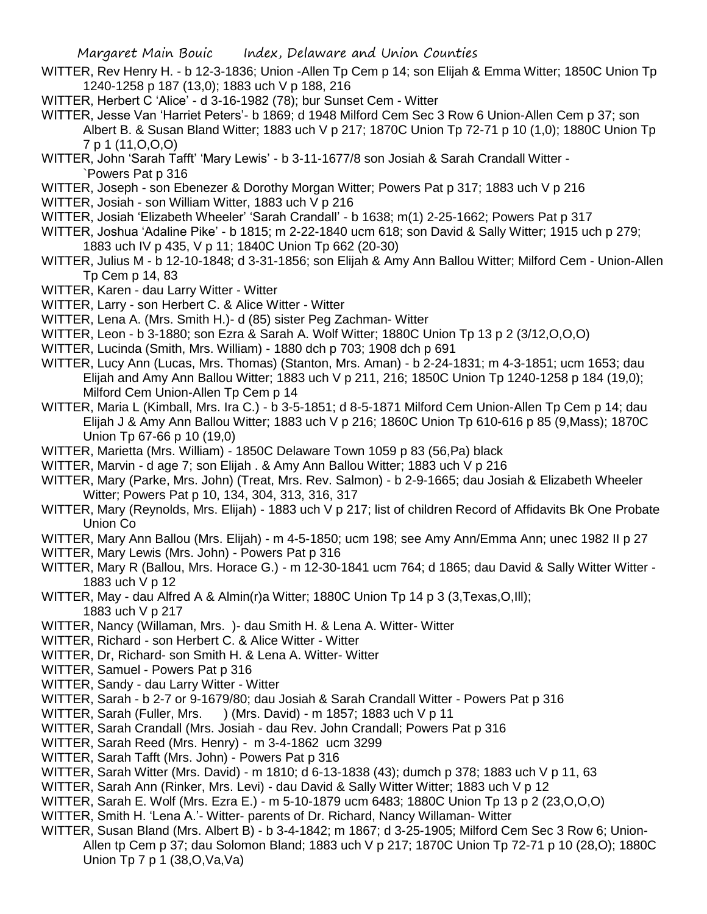- WITTER, Rev Henry H. b 12-3-1836; Union -Allen Tp Cem p 14; son Elijah & Emma Witter; 1850C Union Tp 1240-1258 p 187 (13,0); 1883 uch V p 188, 216
- WITTER, Herbert C 'Alice' d 3-16-1982 (78); bur Sunset Cem Witter
- WITTER, Jesse Van 'Harriet Peters'- b 1869; d 1948 Milford Cem Sec 3 Row 6 Union-Allen Cem p 37; son Albert B. & Susan Bland Witter; 1883 uch V p 217; 1870C Union Tp 72-71 p 10 (1,0); 1880C Union Tp 7 p 1 (11,O,O,O)
- WITTER, John 'Sarah Tafft' 'Mary Lewis' b 3-11-1677/8 son Josiah & Sarah Crandall Witter `Powers Pat p 316
- WITTER, Joseph son Ebenezer & Dorothy Morgan Witter; Powers Pat p 317; 1883 uch V p 216
- WITTER, Josiah son William Witter, 1883 uch V p 216
- WITTER, Josiah 'Elizabeth Wheeler' 'Sarah Crandall' b 1638; m(1) 2-25-1662; Powers Pat p 317
- WITTER, Joshua 'Adaline Pike' b 1815; m 2-22-1840 ucm 618; son David & Sally Witter; 1915 uch p 279; 1883 uch IV p 435, V p 11; 1840C Union Tp 662 (20-30)
- WITTER, Julius M b 12-10-1848; d 3-31-1856; son Elijah & Amy Ann Ballou Witter; Milford Cem Union-Allen Tp Cem p 14, 83
- WITTER, Karen dau Larry Witter Witter
- WITTER, Larry son Herbert C. & Alice Witter Witter
- WITTER, Lena A. (Mrs. Smith H.)- d (85) sister Peg Zachman- Witter
- WITTER, Leon b 3-1880; son Ezra & Sarah A. Wolf Witter; 1880C Union Tp 13 p 2 (3/12,O,O,O)
- WITTER, Lucinda (Smith, Mrs. William) 1880 dch p 703; 1908 dch p 691
- WITTER, Lucy Ann (Lucas, Mrs. Thomas) (Stanton, Mrs. Aman) b 2-24-1831; m 4-3-1851; ucm 1653; dau Elijah and Amy Ann Ballou Witter; 1883 uch V p 211, 216; 1850C Union Tp 1240-1258 p 184 (19,0); Milford Cem Union-Allen Tp Cem p 14
- WITTER, Maria L (Kimball, Mrs. Ira C.) b 3-5-1851; d 8-5-1871 Milford Cem Union-Allen Tp Cem p 14; dau Elijah J & Amy Ann Ballou Witter; 1883 uch V p 216; 1860C Union Tp 610-616 p 85 (9,Mass); 1870C Union Tp 67-66 p 10 (19,0)
- WITTER, Marietta (Mrs. William) 1850C Delaware Town 1059 p 83 (56,Pa) black
- WITTER, Marvin d age 7; son Elijah . & Amy Ann Ballou Witter; 1883 uch V p 216
- WITTER, Mary (Parke, Mrs. John) (Treat, Mrs. Rev. Salmon) b 2-9-1665; dau Josiah & Elizabeth Wheeler Witter; Powers Pat p 10, 134, 304, 313, 316, 317
- WITTER, Mary (Reynolds, Mrs. Elijah) 1883 uch V p 217; list of children Record of Affidavits Bk One Probate Union Co
- WITTER, Mary Ann Ballou (Mrs. Elijah) m 4-5-1850; ucm 198; see Amy Ann/Emma Ann; unec 1982 II p 27
- WITTER, Mary Lewis (Mrs. John) Powers Pat p 316
- WITTER, Mary R (Ballou, Mrs. Horace G.) m 12-30-1841 ucm 764; d 1865; dau David & Sally Witter Witter 1883 uch V p 12
- WITTER, May dau Alfred A & Almin(r)a Witter; 1880C Union Tp 14 p 3 (3,Texas,O,III); 1883 uch V p 217
- WITTER, Nancy (Willaman, Mrs. )- dau Smith H. & Lena A. Witter- Witter
- WITTER, Richard son Herbert C. & Alice Witter Witter
- WITTER, Dr, Richard- son Smith H. & Lena A. Witter- Witter
- WITTER, Samuel Powers Pat p 316
- WITTER, Sandy dau Larry Witter Witter
- WITTER, Sarah b 2-7 or 9-1679/80; dau Josiah & Sarah Crandall Witter Powers Pat p 316
- WITTER, Sarah (Fuller, Mrs. ) (Mrs. David) m 1857; 1883 uch V p 11
- WITTER, Sarah Crandall (Mrs. Josiah dau Rev. John Crandall; Powers Pat p 316
- WITTER, Sarah Reed (Mrs. Henry) m 3-4-1862 ucm 3299
- WITTER, Sarah Tafft (Mrs. John) Powers Pat p 316
- WITTER, Sarah Witter (Mrs. David) m 1810; d 6-13-1838 (43); dumch p 378; 1883 uch V p 11, 63
- WITTER, Sarah Ann (Rinker, Mrs. Levi) dau David & Sally Witter Witter; 1883 uch V p 12
- WITTER, Sarah E. Wolf (Mrs. Ezra E.) m 5-10-1879 ucm 6483; 1880C Union Tp 13 p 2 (23,O,O,O)
- WITTER, Smith H. 'Lena A.'- Witter- parents of Dr. Richard, Nancy Willaman- Witter
- WITTER, Susan Bland (Mrs. Albert B) b 3-4-1842; m 1867; d 3-25-1905; Milford Cem Sec 3 Row 6; Union-Allen tp Cem p 37; dau Solomon Bland; 1883 uch V p 217; 1870C Union Tp 72-71 p 10 (28,O); 1880C Union Tp 7 p 1 (38,O,Va,Va)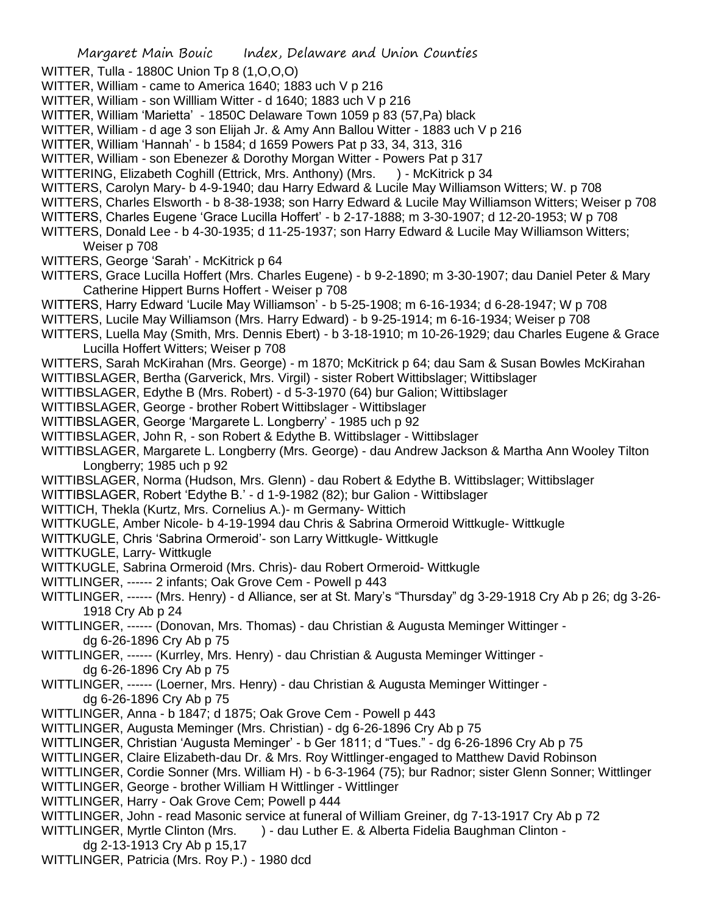WITTER, Tulla - 1880C Union Tp 8 (1,O,O,O)

- WITTER, William came to America 1640; 1883 uch V p 216
- WITTER, William son Willliam Witter d 1640; 1883 uch V p 216
- WITTER, William 'Marietta' 1850C Delaware Town 1059 p 83 (57,Pa) black
- WITTER, William d age 3 son Elijah Jr. & Amy Ann Ballou Witter 1883 uch V p 216
- WITTER, William 'Hannah' b 1584; d 1659 Powers Pat p 33, 34, 313, 316
- WITTER, William son Ebenezer & Dorothy Morgan Witter Powers Pat p 317
- WITTERING, Elizabeth Coghill (Ettrick, Mrs. Anthony) (Mrs. ) McKitrick p 34
- WITTERS, Carolyn Mary- b 4-9-1940; dau Harry Edward & Lucile May Williamson Witters; W. p 708
- WITTERS, Charles Elsworth b 8-38-1938; son Harry Edward & Lucile May Williamson Witters; Weiser p 708
- WITTERS, Charles Eugene 'Grace Lucilla Hoffert' b 2-17-1888; m 3-30-1907; d 12-20-1953; W p 708
- WITTERS, Donald Lee b 4-30-1935; d 11-25-1937; son Harry Edward & Lucile May Williamson Witters; Weiser p 708
- WITTERS, George 'Sarah' McKitrick p 64
- WITTERS, Grace Lucilla Hoffert (Mrs. Charles Eugene) b 9-2-1890; m 3-30-1907; dau Daniel Peter & Mary Catherine Hippert Burns Hoffert - Weiser p 708
- WITTERS, Harry Edward 'Lucile May Williamson' b 5-25-1908; m 6-16-1934; d 6-28-1947; W p 708
- WITTERS, Lucile May Williamson (Mrs. Harry Edward) b 9-25-1914; m 6-16-1934; Weiser p 708
- WITTERS, Luella May (Smith, Mrs. Dennis Ebert) b 3-18-1910; m 10-26-1929; dau Charles Eugene & Grace Lucilla Hoffert Witters; Weiser p 708
- WITTERS, Sarah McKirahan (Mrs. George) m 1870; McKitrick p 64; dau Sam & Susan Bowles McKirahan
- WITTIBSLAGER, Bertha (Garverick, Mrs. Virgil) sister Robert Wittibslager; Wittibslager
- WITTIBSLAGER, Edythe B (Mrs. Robert) d 5-3-1970 (64) bur Galion; Wittibslager
- WITTIBSLAGER, George brother Robert Wittibslager Wittibslager
- WITTIBSLAGER, George 'Margarete L. Longberry' 1985 uch p 92
- WITTIBSLAGER, John R, son Robert & Edythe B. Wittibslager Wittibslager
- WITTIBSLAGER, Margarete L. Longberry (Mrs. George) dau Andrew Jackson & Martha Ann Wooley Tilton Longberry: 1985 uch p 92
- WITTIBSLAGER, Norma (Hudson, Mrs. Glenn) dau Robert & Edythe B. Wittibslager; Wittibslager
- WITTIBSLAGER, Robert 'Edythe B.' d 1-9-1982 (82); bur Galion Wittibslager
- WITTICH, Thekla (Kurtz, Mrs. Cornelius A.)- m Germany- Wittich
- WITTKUGLE, Amber Nicole- b 4-19-1994 dau Chris & Sabrina Ormeroid Wittkugle- Wittkugle
- WITTKUGLE, Chris 'Sabrina Ormeroid'- son Larry Wittkugle- Wittkugle
- WITTKUGLE, Larry- Wittkugle
- WITTKUGLE, Sabrina Ormeroid (Mrs. Chris)- dau Robert Ormeroid- Wittkugle
- WITTLINGER, ------ 2 infants; Oak Grove Cem Powell p 443
- WITTLINGER, ------ (Mrs. Henry) d Alliance, ser at St. Mary's "Thursday" dg 3-29-1918 Cry Ab p 26; dg 3-26- 1918 Cry Ab p 24
- WITTLINGER, ------ (Donovan, Mrs. Thomas) dau Christian & Augusta Meminger Wittinger dg 6-26-1896 Cry Ab p 75
- WITTLINGER, ------ (Kurrley, Mrs. Henry) dau Christian & Augusta Meminger Wittinger dg 6-26-1896 Cry Ab p 75
- WITTLINGER, ------ (Loerner, Mrs. Henry) dau Christian & Augusta Meminger Wittinger dg 6-26-1896 Cry Ab p 75
- WITTLINGER, Anna b 1847; d 1875; Oak Grove Cem Powell p 443
- WITTLINGER, Augusta Meminger (Mrs. Christian) dg 6-26-1896 Cry Ab p 75
- WITTLINGER, Christian 'Augusta Meminger' b Ger 1811; d "Tues." dg 6-26-1896 Cry Ab p 75
- WITTLINGER, Claire Elizabeth-dau Dr. & Mrs. Roy Wittlinger-engaged to Matthew David Robinson
- WITTLINGER, Cordie Sonner (Mrs. William H) b 6-3-1964 (75); bur Radnor; sister Glenn Sonner; Wittlinger
- WITTLINGER, George brother William H Wittlinger Wittlinger
- WITTLINGER, Harry Oak Grove Cem; Powell p 444
- WITTLINGER, John read Masonic service at funeral of William Greiner, dg 7-13-1917 Cry Ab p 72
- WITTLINGER, Myrtle Clinton (Mrs. ) dau Luther E. & Alberta Fidelia Baughman Clinton -
- dg 2-13-1913 Cry Ab p 15,17
- WITTLINGER, Patricia (Mrs. Roy P.) 1980 dcd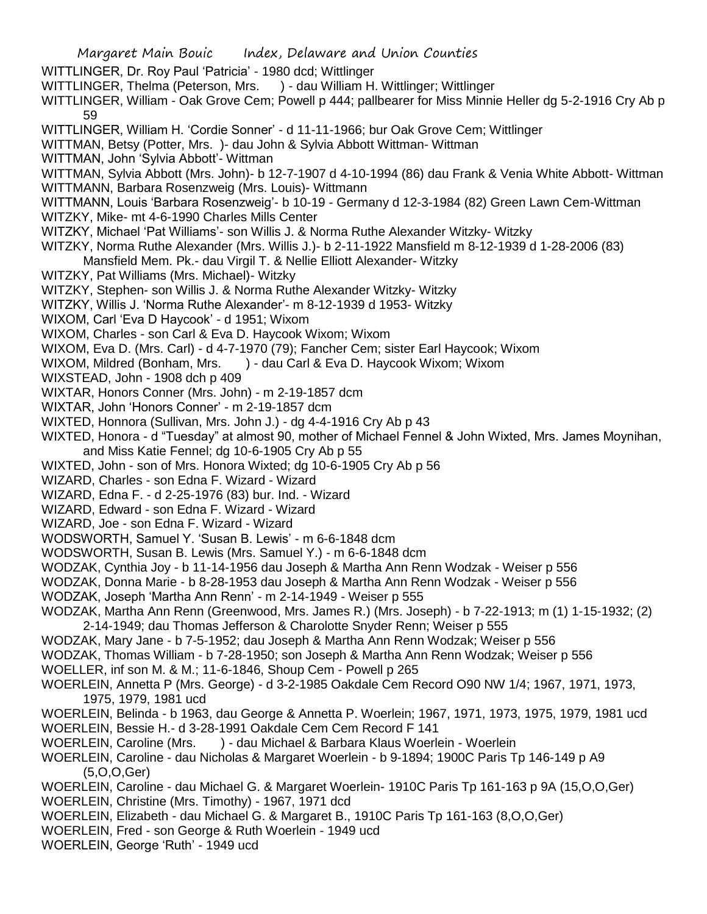Margaret Main Bouic Index, Delaware and Union Counties WITTLINGER, Dr. Roy Paul 'Patricia' - 1980 dcd; Wittlinger WITTLINGER, Thelma (Peterson, Mrs. ) - dau William H. Wittlinger; Wittlinger WITTLINGER, William - Oak Grove Cem; Powell p 444; pallbearer for Miss Minnie Heller dg 5-2-1916 Cry Ab p 59 WITTLINGER, William H. 'Cordie Sonner' - d 11-11-1966; bur Oak Grove Cem; Wittlinger WITTMAN, Betsy (Potter, Mrs. )- dau John & Sylvia Abbott Wittman- Wittman WITTMAN, John 'Sylvia Abbott'- Wittman WITTMAN, Sylvia Abbott (Mrs. John)- b 12-7-1907 d 4-10-1994 (86) dau Frank & Venia White Abbott- Wittman WITTMANN, Barbara Rosenzweig (Mrs. Louis)- Wittmann WITTMANN, Louis 'Barbara Rosenzweig'- b 10-19 - Germany d 12-3-1984 (82) Green Lawn Cem-Wittman WITZKY, Mike- mt 4-6-1990 Charles Mills Center WITZKY, Michael 'Pat Williams'- son Willis J. & Norma Ruthe Alexander Witzky- Witzky WITZKY, Norma Ruthe Alexander (Mrs. Willis J.)- b 2-11-1922 Mansfield m 8-12-1939 d 1-28-2006 (83) Mansfield Mem. Pk.- dau Virgil T. & Nellie Elliott Alexander- Witzky WITZKY, Pat Williams (Mrs. Michael)- Witzky WITZKY, Stephen- son Willis J. & Norma Ruthe Alexander Witzky- Witzky WITZKY, Willis J. 'Norma Ruthe Alexander'- m 8-12-1939 d 1953- Witzky WIXOM, Carl 'Eva D Haycook' - d 1951; Wixom WIXOM, Charles - son Carl & Eva D. Haycook Wixom; Wixom WIXOM, Eva D. (Mrs. Carl) - d 4-7-1970 (79); Fancher Cem; sister Earl Haycook; Wixom WIXOM, Mildred (Bonham, Mrs. ) - dau Carl & Eva D. Haycook Wixom; Wixom WIXSTEAD, John - 1908 dch p 409 WIXTAR, Honors Conner (Mrs. John) - m 2-19-1857 dcm WIXTAR, John 'Honors Conner' - m 2-19-1857 dcm WIXTED, Honnora (Sullivan, Mrs. John J.) - dg 4-4-1916 Cry Ab p 43 WIXTED, Honora - d "Tuesday" at almost 90, mother of Michael Fennel & John Wixted, Mrs. James Moynihan, and Miss Katie Fennel; dg 10-6-1905 Cry Ab p 55 WIXTED, John - son of Mrs. Honora Wixted; dg 10-6-1905 Cry Ab p 56 WIZARD, Charles - son Edna F. Wizard - Wizard WIZARD, Edna F. - d 2-25-1976 (83) bur. Ind. - Wizard WIZARD, Edward - son Edna F. Wizard - Wizard WIZARD, Joe - son Edna F. Wizard - Wizard WODSWORTH, Samuel Y. 'Susan B. Lewis' - m 6-6-1848 dcm WODSWORTH, Susan B. Lewis (Mrs. Samuel Y.) - m 6-6-1848 dcm WODZAK, Cynthia Joy - b 11-14-1956 dau Joseph & Martha Ann Renn Wodzak - Weiser p 556 WODZAK, Donna Marie - b 8-28-1953 dau Joseph & Martha Ann Renn Wodzak - Weiser p 556 WODZAK, Joseph 'Martha Ann Renn' - m 2-14-1949 - Weiser p 555 WODZAK, Martha Ann Renn (Greenwood, Mrs. James R.) (Mrs. Joseph) - b 7-22-1913; m (1) 1-15-1932; (2) 2-14-1949; dau Thomas Jefferson & Charolotte Snyder Renn; Weiser p 555 WODZAK, Mary Jane - b 7-5-1952; dau Joseph & Martha Ann Renn Wodzak; Weiser p 556 WODZAK, Thomas William - b 7-28-1950; son Joseph & Martha Ann Renn Wodzak; Weiser p 556 WOELLER, inf son M. & M.; 11-6-1846, Shoup Cem - Powell p 265 WOERLEIN, Annetta P (Mrs. George) - d 3-2-1985 Oakdale Cem Record O90 NW 1/4; 1967, 1971, 1973, 1975, 1979, 1981 ucd WOERLEIN, Belinda - b 1963, dau George & Annetta P. Woerlein; 1967, 1971, 1973, 1975, 1979, 1981 ucd WOERLEIN, Bessie H.- d 3-28-1991 Oakdale Cem Cem Record F 141 WOERLEIN, Caroline (Mrs. ) - dau Michael & Barbara Klaus Woerlein - Woerlein WOERLEIN, Caroline - dau Nicholas & Margaret Woerlein - b 9-1894; 1900C Paris Tp 146-149 p A9 (5,O,O,Ger) WOERLEIN, Caroline - dau Michael G. & Margaret Woerlein- 1910C Paris Tp 161-163 p 9A (15,O,O,Ger) WOERLEIN, Christine (Mrs. Timothy) - 1967, 1971 dcd WOERLEIN, Elizabeth - dau Michael G. & Margaret B., 1910C Paris Tp 161-163 (8,O,O,Ger) WOERLEIN, Fred - son George & Ruth Woerlein - 1949 ucd WOERLEIN, George 'Ruth' - 1949 ucd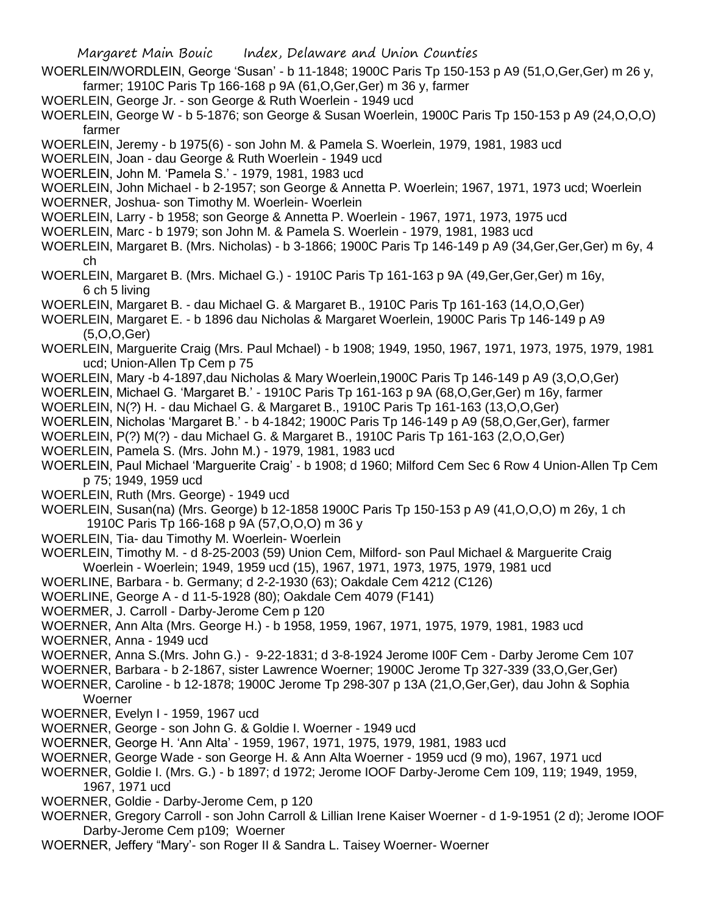WOERLEIN/WORDLEIN, George 'Susan' - b 11-1848; 1900C Paris Tp 150-153 p A9 (51,O,Ger,Ger) m 26 y, farmer; 1910C Paris Tp 166-168 p 9A (61,O,Ger,Ger) m 36 y, farmer

- WOERLEIN, George Jr. son George & Ruth Woerlein 1949 ucd
- WOERLEIN, George W b 5-1876; son George & Susan Woerlein, 1900C Paris Tp 150-153 p A9 (24,O,O,O) farmer
- WOERLEIN, Jeremy b 1975(6) son John M. & Pamela S. Woerlein, 1979, 1981, 1983 ucd
- WOERLEIN, Joan dau George & Ruth Woerlein 1949 ucd
- WOERLEIN, John M. 'Pamela S.' 1979, 1981, 1983 ucd
- WOERLEIN, John Michael b 2-1957; son George & Annetta P. Woerlein; 1967, 1971, 1973 ucd; Woerlein
- WOERNER, Joshua- son Timothy M. Woerlein- Woerlein
- WOERLEIN, Larry b 1958; son George & Annetta P. Woerlein 1967, 1971, 1973, 1975 ucd
- WOERLEIN, Marc b 1979; son John M. & Pamela S. Woerlein 1979, 1981, 1983 ucd
- WOERLEIN, Margaret B. (Mrs. Nicholas) b 3-1866; 1900C Paris Tp 146-149 p A9 (34,Ger,Ger,Ger) m 6y, 4 ch
- WOERLEIN, Margaret B. (Mrs. Michael G.) 1910C Paris Tp 161-163 p 9A (49,Ger,Ger,Ger) m 16y, 6 ch 5 living
- WOERLEIN, Margaret B. dau Michael G. & Margaret B., 1910C Paris Tp 161-163 (14,O,O,Ger)
- WOERLEIN, Margaret E. b 1896 dau Nicholas & Margaret Woerlein, 1900C Paris Tp 146-149 p A9 (5,O,O,Ger)
- WOERLEIN, Marguerite Craig (Mrs. Paul Mchael) b 1908; 1949, 1950, 1967, 1971, 1973, 1975, 1979, 1981 ucd; Union-Allen Tp Cem p 75
- WOERLEIN, Mary -b 4-1897,dau Nicholas & Mary Woerlein,1900C Paris Tp 146-149 p A9 (3,O,O,Ger)
- WOERLEIN, Michael G. 'Margaret B.' 1910C Paris Tp 161-163 p 9A (68,O,Ger,Ger) m 16y, farmer
- WOERLEIN, N(?) H. dau Michael G. & Margaret B., 1910C Paris Tp 161-163 (13,O,O,Ger)
- WOERLEIN, Nicholas 'Margaret B.' b 4-1842; 1900C Paris Tp 146-149 p A9 (58,O,Ger,Ger), farmer
- WOERLEIN, P(?) M(?) dau Michael G. & Margaret B., 1910C Paris Tp 161-163 (2,O,O,Ger)
- WOERLEIN, Pamela S. (Mrs. John M.) 1979, 1981, 1983 ucd
- WOERLEIN, Paul Michael 'Marguerite Craig' b 1908; d 1960; Milford Cem Sec 6 Row 4 Union-Allen Tp Cem p 75; 1949, 1959 ucd
- WOERLEIN, Ruth (Mrs. George) 1949 ucd
- WOERLEIN, Susan(na) (Mrs. George) b 12-1858 1900C Paris Tp 150-153 p A9 (41,O,O,O) m 26y, 1 ch 1910C Paris Tp 166-168 p 9A (57,O,O,O) m 36 y
- WOERLEIN, Tia- dau Timothy M. Woerlein- Woerlein
- WOERLEIN, Timothy M. d 8-25-2003 (59) Union Cem, Milford- son Paul Michael & Marguerite Craig Woerlein - Woerlein; 1949, 1959 ucd (15), 1967, 1971, 1973, 1975, 1979, 1981 ucd
- WOERLINE, Barbara b. Germany; d 2-2-1930 (63); Oakdale Cem 4212 (C126)
- WOERLINE, George A d 11-5-1928 (80); Oakdale Cem 4079 (F141)
- WOERMER, J. Carroll Darby-Jerome Cem p 120
- WOERNER, Ann Alta (Mrs. George H.) b 1958, 1959, 1967, 1971, 1975, 1979, 1981, 1983 ucd
- WOERNER, Anna 1949 ucd
- WOERNER, Anna S.(Mrs. John G.) 9-22-1831; d 3-8-1924 Jerome I00F Cem Darby Jerome Cem 107
- WOERNER, Barbara b 2-1867, sister Lawrence Woerner; 1900C Jerome Tp 327-339 (33,O,Ger,Ger)
- WOERNER, Caroline b 12-1878; 1900C Jerome Tp 298-307 p 13A (21,O,Ger,Ger), dau John & Sophia Woerner
- WOERNER, Evelyn I 1959, 1967 ucd
- WOERNER, George son John G. & Goldie I. Woerner 1949 ucd
- WOERNER, George H. 'Ann Alta' 1959, 1967, 1971, 1975, 1979, 1981, 1983 ucd
- WOERNER, George Wade son George H. & Ann Alta Woerner 1959 ucd (9 mo), 1967, 1971 ucd
- WOERNER, Goldie I. (Mrs. G.) b 1897; d 1972; Jerome IOOF Darby-Jerome Cem 109, 119; 1949, 1959, 1967, 1971 ucd
- WOERNER, Goldie Darby-Jerome Cem, p 120
- WOERNER, Gregory Carroll son John Carroll & Lillian Irene Kaiser Woerner d 1-9-1951 (2 d); Jerome IOOF Darby-Jerome Cem p109; Woerner
- WOERNER, Jeffery "Mary'- son Roger II & Sandra L. Taisey Woerner- Woerner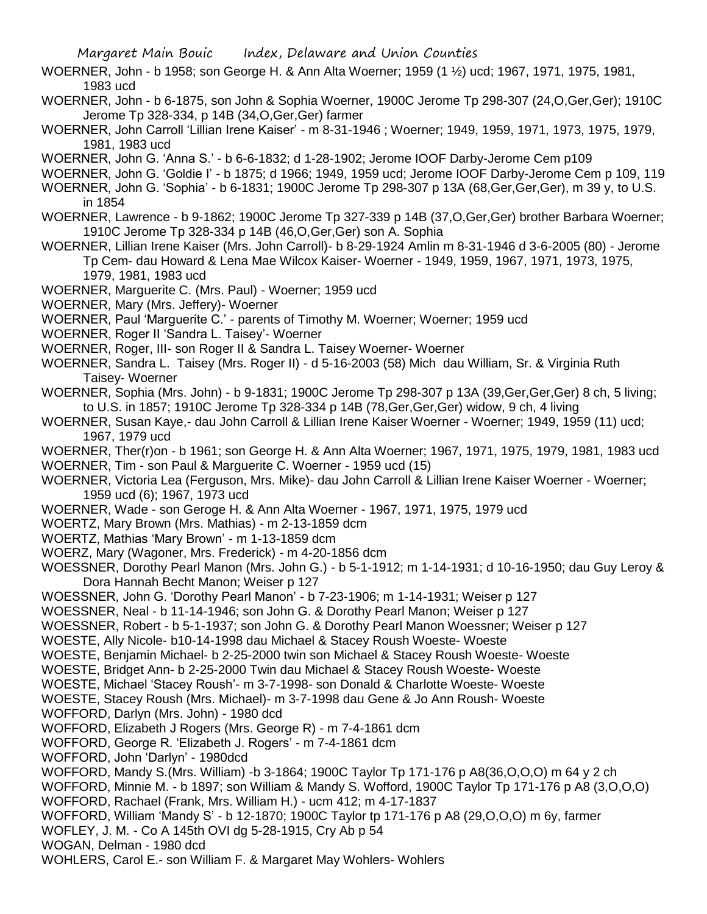WOERNER, John - b 1958; son George H. & Ann Alta Woerner; 1959 (1 ½) ucd; 1967, 1971, 1975, 1981, 1983 ucd

WOERNER, John - b 6-1875, son John & Sophia Woerner, 1900C Jerome Tp 298-307 (24,O,Ger,Ger); 1910C Jerome Tp 328-334, p 14B (34,O,Ger,Ger) farmer

WOERNER, John Carroll 'Lillian Irene Kaiser' - m 8-31-1946 ; Woerner; 1949, 1959, 1971, 1973, 1975, 1979, 1981, 1983 ucd

WOERNER, John G. 'Anna S.' - b 6-6-1832; d 1-28-1902; Jerome IOOF Darby-Jerome Cem p109

WOERNER, John G. 'Goldie I' - b 1875; d 1966; 1949, 1959 ucd; Jerome IOOF Darby-Jerome Cem p 109, 119

WOERNER, John G. 'Sophia' - b 6-1831; 1900C Jerome Tp 298-307 p 13A (68,Ger,Ger,Ger), m 39 y, to U.S. in 1854

WOERNER, Lawrence - b 9-1862; 1900C Jerome Tp 327-339 p 14B (37,O,Ger,Ger) brother Barbara Woerner; 1910C Jerome Tp 328-334 p 14B (46,O,Ger,Ger) son A. Sophia

WOERNER, Lillian Irene Kaiser (Mrs. John Carroll)- b 8-29-1924 Amlin m 8-31-1946 d 3-6-2005 (80) - Jerome Tp Cem- dau Howard & Lena Mae Wilcox Kaiser- Woerner - 1949, 1959, 1967, 1971, 1973, 1975, 1979, 1981, 1983 ucd

WOERNER, Marguerite C. (Mrs. Paul) - Woerner; 1959 ucd

WOERNER, Mary (Mrs. Jeffery)- Woerner

WOERNER, Paul 'Marguerite C.' - parents of Timothy M. Woerner; Woerner; 1959 ucd

WOERNER, Roger II 'Sandra L. Taisey'- Woerner

WOERNER, Roger, III- son Roger II & Sandra L. Taisey Woerner- Woerner

WOERNER, Sandra L. Taisey (Mrs. Roger II) - d 5-16-2003 (58) Mich dau William, Sr. & Virginia Ruth Taisey- Woerner

WOERNER, Sophia (Mrs. John) - b 9-1831; 1900C Jerome Tp 298-307 p 13A (39,Ger,Ger,Ger) 8 ch, 5 living; to U.S. in 1857; 1910C Jerome Tp 328-334 p 14B (78,Ger,Ger,Ger) widow, 9 ch, 4 living

WOERNER, Susan Kaye,- dau John Carroll & Lillian Irene Kaiser Woerner - Woerner; 1949, 1959 (11) ucd; 1967, 1979 ucd

WOERNER, Ther(r)on - b 1961; son George H. & Ann Alta Woerner; 1967, 1971, 1975, 1979, 1981, 1983 ucd WOERNER, Tim - son Paul & Marguerite C. Woerner - 1959 ucd (15)

WOERNER, Victoria Lea (Ferguson, Mrs. Mike)- dau John Carroll & Lillian Irene Kaiser Woerner - Woerner; 1959 ucd (6); 1967, 1973 ucd

WOERNER, Wade - son Geroge H. & Ann Alta Woerner - 1967, 1971, 1975, 1979 ucd

WOERTZ, Mary Brown (Mrs. Mathias) - m 2-13-1859 dcm

WOERTZ, Mathias 'Mary Brown' - m 1-13-1859 dcm

WOERZ, Mary (Wagoner, Mrs. Frederick) - m 4-20-1856 dcm

WOESSNER, Dorothy Pearl Manon (Mrs. John G.) - b 5-1-1912; m 1-14-1931; d 10-16-1950; dau Guy Leroy & Dora Hannah Becht Manon; Weiser p 127

WOESSNER, John G. 'Dorothy Pearl Manon' - b 7-23-1906; m 1-14-1931; Weiser p 127

WOESSNER, Neal - b 11-14-1946; son John G. & Dorothy Pearl Manon; Weiser p 127

WOESSNER, Robert - b 5-1-1937; son John G. & Dorothy Pearl Manon Woessner; Weiser p 127

WOESTE, Ally Nicole- b10-14-1998 dau Michael & Stacey Roush Woeste- Woeste

WOESTE, Benjamin Michael- b 2-25-2000 twin son Michael & Stacey Roush Woeste- Woeste

WOESTE, Bridget Ann- b 2-25-2000 Twin dau Michael & Stacey Roush Woeste- Woeste

WOESTE, Michael 'Stacey Roush'- m 3-7-1998- son Donald & Charlotte Woeste- Woeste

WOESTE, Stacey Roush (Mrs. Michael)- m 3-7-1998 dau Gene & Jo Ann Roush- Woeste

WOFFORD, Darlyn (Mrs. John) - 1980 dcd

WOFFORD, Elizabeth J Rogers (Mrs. George R) - m 7-4-1861 dcm

WOFFORD, George R. 'Elizabeth J. Rogers' - m 7-4-1861 dcm

WOFFORD, John 'Darlyn' - 1980dcd

WOFFORD, Mandy S.(Mrs. William) -b 3-1864; 1900C Taylor Tp 171-176 p A8(36,O,O,O) m 64 y 2 ch

WOFFORD, Minnie M. - b 1897; son William & Mandy S. Wofford, 1900C Taylor Tp 171-176 p A8 (3,O,O,O) WOFFORD, Rachael (Frank, Mrs. William H.) - ucm 412; m 4-17-1837

WOFFORD, William 'Mandy S' - b 12-1870; 1900C Taylor tp 171-176 p A8 (29,O,O,O) m 6y, farmer

WOFLEY, J. M. - Co A 145th OVI dg 5-28-1915, Cry Ab p 54

WOGAN, Delman - 1980 dcd

WOHLERS, Carol E.- son William F. & Margaret May Wohlers- Wohlers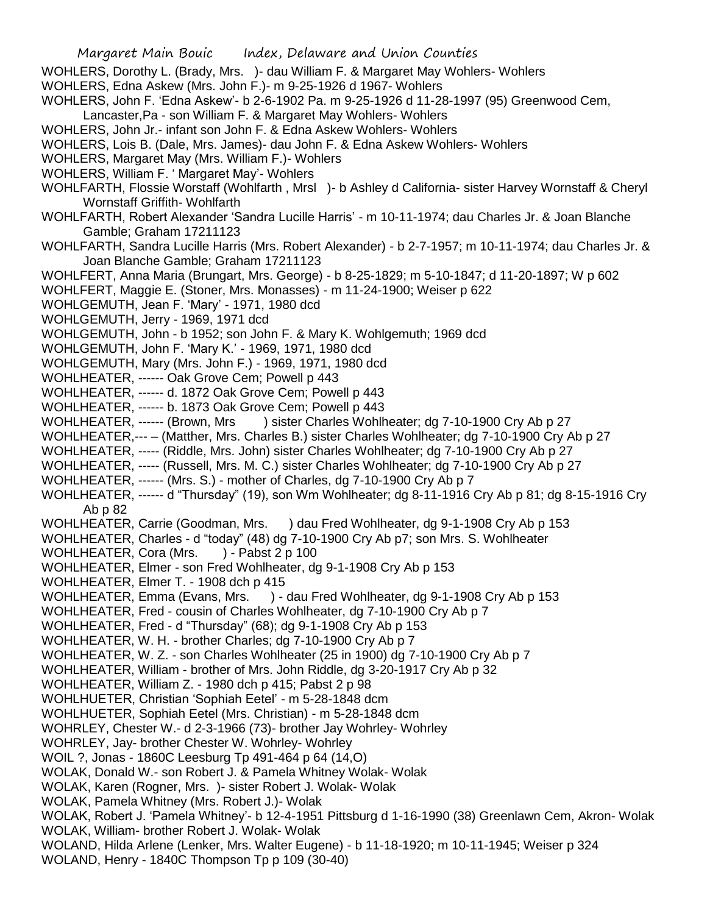Margaret Main Bouic Index, Delaware and Union Counties WOHLERS, Dorothy L. (Brady, Mrs. )- dau William F. & Margaret May Wohlers- Wohlers WOHLERS, Edna Askew (Mrs. John F.)- m 9-25-1926 d 1967- Wohlers WOHLERS, John F. 'Edna Askew'- b 2-6-1902 Pa. m 9-25-1926 d 11-28-1997 (95) Greenwood Cem, Lancaster,Pa - son William F. & Margaret May Wohlers- Wohlers WOHLERS, John Jr.- infant son John F. & Edna Askew Wohlers- Wohlers WOHLERS, Lois B. (Dale, Mrs. James)- dau John F. & Edna Askew Wohlers- Wohlers WOHLERS, Margaret May (Mrs. William F.)- Wohlers WOHLERS, William F. ' Margaret May'- Wohlers WOHLFARTH, Flossie Worstaff (Wohlfarth , Mrsl )- b Ashley d California- sister Harvey Wornstaff & Cheryl Wornstaff Griffith- Wohlfarth WOHLFARTH, Robert Alexander 'Sandra Lucille Harris' - m 10-11-1974; dau Charles Jr. & Joan Blanche Gamble; Graham 17211123 WOHLFARTH, Sandra Lucille Harris (Mrs. Robert Alexander) - b 2-7-1957; m 10-11-1974; dau Charles Jr. & Joan Blanche Gamble; Graham 17211123 WOHLFERT, Anna Maria (Brungart, Mrs. George) - b 8-25-1829; m 5-10-1847; d 11-20-1897; W p 602 WOHLFERT, Maggie E. (Stoner, Mrs. Monasses) - m 11-24-1900; Weiser p 622 WOHLGEMUTH, Jean F. 'Mary' - 1971, 1980 dcd WOHLGEMUTH, Jerry - 1969, 1971 dcd WOHLGEMUTH, John - b 1952; son John F. & Mary K. Wohlgemuth; 1969 dcd WOHLGEMUTH, John F. 'Mary K.' - 1969, 1971, 1980 dcd WOHLGEMUTH, Mary (Mrs. John F.) - 1969, 1971, 1980 dcd WOHLHEATER, ------ Oak Grove Cem; Powell p 443 WOHLHEATER, ------ d. 1872 Oak Grove Cem; Powell p 443 WOHLHEATER, ------ b. 1873 Oak Grove Cem; Powell p 443 WOHLHEATER, ------ (Brown, Mrs ) sister Charles Wohlheater; dg 7-10-1900 Cry Ab p 27 WOHLHEATER,--- – (Matther, Mrs. Charles B.) sister Charles Wohlheater; dg 7-10-1900 Cry Ab p 27 WOHLHEATER, ----- (Riddle, Mrs. John) sister Charles Wohlheater; dg 7-10-1900 Cry Ab p 27 WOHLHEATER, ----- (Russell, Mrs. M. C.) sister Charles Wohlheater; dg 7-10-1900 Cry Ab p 27 WOHLHEATER, ------ (Mrs. S.) - mother of Charles, dg 7-10-1900 Cry Ab p 7 WOHLHEATER, ------ d "Thursday" (19), son Wm Wohlheater; dg 8-11-1916 Cry Ab p 81; dg 8-15-1916 Cry Ab p 82 WOHLHEATER, Carrie (Goodman, Mrs. ) dau Fred Wohlheater, dg 9-1-1908 Cry Ab p 153 WOHLHEATER, Charles - d "today" (48) dg 7-10-1900 Cry Ab p7; son Mrs. S. Wohlheater WOHLHEATER, Cora (Mrs. ) - Pabst 2 p 100 WOHLHEATER, Elmer - son Fred Wohlheater, dg 9-1-1908 Cry Ab p 153 WOHLHEATER, Elmer T. - 1908 dch p 415 WOHLHEATER, Emma (Evans, Mrs. ) - dau Fred Wohlheater, dg 9-1-1908 Cry Ab p 153 WOHLHEATER, Fred - cousin of Charles Wohlheater, dg 7-10-1900 Cry Ab p 7 WOHLHEATER, Fred - d "Thursday" (68); dg 9-1-1908 Cry Ab p 153 WOHLHEATER, W. H. - brother Charles; dg 7-10-1900 Cry Ab p 7 WOHLHEATER, W. Z. - son Charles Wohlheater (25 in 1900) dg 7-10-1900 Cry Ab p 7 WOHLHEATER, William - brother of Mrs. John Riddle, dg 3-20-1917 Cry Ab p 32 WOHLHEATER, William Z. - 1980 dch p 415; Pabst 2 p 98 WOHLHUETER, Christian 'Sophiah Eetel' - m 5-28-1848 dcm WOHLHUETER, Sophiah Eetel (Mrs. Christian) - m 5-28-1848 dcm WOHRLEY, Chester W.- d 2-3-1966 (73)- brother Jay Wohrley- Wohrley WOHRLEY, Jay- brother Chester W. Wohrley- Wohrley WOIL ?, Jonas - 1860C Leesburg Tp 491-464 p 64 (14,O) WOLAK, Donald W.- son Robert J. & Pamela Whitney Wolak- Wolak WOLAK, Karen (Rogner, Mrs. )- sister Robert J. Wolak- Wolak WOLAK, Pamela Whitney (Mrs. Robert J.)- Wolak WOLAK, Robert J. 'Pamela Whitney'- b 12-4-1951 Pittsburg d 1-16-1990 (38) Greenlawn Cem, Akron- Wolak WOLAK, William- brother Robert J. Wolak- Wolak WOLAND, Hilda Arlene (Lenker, Mrs. Walter Eugene) - b 11-18-1920; m 10-11-1945; Weiser p 324 WOLAND, Henry - 1840C Thompson Tp p 109 (30-40)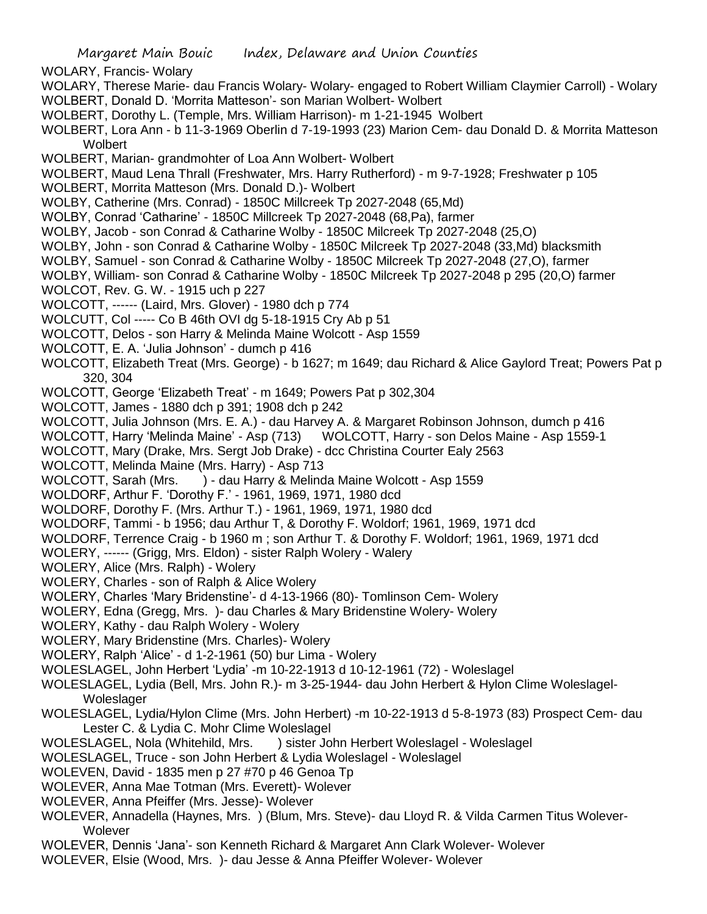WOLARY, Francis- Wolary

- WOLARY, Therese Marie- dau Francis Wolary- Wolary- engaged to Robert William Claymier Carroll) Wolary WOLBERT, Donald D. 'Morrita Matteson'- son Marian Wolbert- Wolbert
- WOLBERT, Dorothy L. (Temple, Mrs. William Harrison)- m 1-21-1945 Wolbert
- WOLBERT, Lora Ann b 11-3-1969 Oberlin d 7-19-1993 (23) Marion Cem- dau Donald D. & Morrita Matteson **Wolbert**
- WOLBERT, Marian- grandmohter of Loa Ann Wolbert- Wolbert
- WOLBERT, Maud Lena Thrall (Freshwater, Mrs. Harry Rutherford) m 9-7-1928; Freshwater p 105
- WOLBERT, Morrita Matteson (Mrs. Donald D.)- Wolbert
- WOLBY, Catherine (Mrs. Conrad) 1850C Millcreek Tp 2027-2048 (65,Md)
- WOLBY, Conrad 'Catharine' 1850C Millcreek Tp 2027-2048 (68,Pa), farmer
- WOLBY, Jacob son Conrad & Catharine Wolby 1850C Milcreek Tp 2027-2048 (25,O)
- WOLBY, John son Conrad & Catharine Wolby 1850C Milcreek Tp 2027-2048 (33,Md) blacksmith
- WOLBY, Samuel son Conrad & Catharine Wolby 1850C Milcreek Tp 2027-2048 (27,O), farmer
- WOLBY, William- son Conrad & Catharine Wolby 1850C Milcreek Tp 2027-2048 p 295 (20,O) farmer
- WOLCOT, Rev. G. W. 1915 uch p 227
- WOLCOTT, ------ (Laird, Mrs. Glover) 1980 dch p 774
- WOLCUTT, Col ----- Co B 46th OVI dg 5-18-1915 Cry Ab p 51
- WOLCOTT, Delos son Harry & Melinda Maine Wolcott Asp 1559
- WOLCOTT, E. A. 'Julia Johnson' dumch p 416
- WOLCOTT, Elizabeth Treat (Mrs. George) b 1627; m 1649; dau Richard & Alice Gaylord Treat; Powers Pat p 320, 304
- WOLCOTT, George 'Elizabeth Treat' m 1649; Powers Pat p 302,304
- WOLCOTT, James 1880 dch p 391; 1908 dch p 242
- WOLCOTT, Julia Johnson (Mrs. E. A.) dau Harvey A. & Margaret Robinson Johnson, dumch p 416
- WOLCOTT, Harry 'Melinda Maine' Asp (713) WOLCOTT, Harry son Delos Maine Asp 1559-1
- WOLCOTT, Mary (Drake, Mrs. Sergt Job Drake) dcc Christina Courter Ealy 2563
- WOLCOTT, Melinda Maine (Mrs. Harry) Asp 713
- WOLCOTT, Sarah (Mrs. ) dau Harry & Melinda Maine Wolcott Asp 1559
- WOLDORF, Arthur F. 'Dorothy F.' 1961, 1969, 1971, 1980 dcd
- WOLDORF, Dorothy F. (Mrs. Arthur T.) 1961, 1969, 1971, 1980 dcd
- WOLDORF, Tammi b 1956; dau Arthur T, & Dorothy F. Woldorf; 1961, 1969, 1971 dcd
- WOLDORF, Terrence Craig b 1960 m ; son Arthur T. & Dorothy F. Woldorf; 1961, 1969, 1971 dcd
- WOLERY, ------ (Grigg, Mrs. Eldon) sister Ralph Wolery Walery
- WOLERY, Alice (Mrs. Ralph) Wolery
- WOLERY, Charles son of Ralph & Alice Wolery
- WOLERY, Charles 'Mary Bridenstine'- d 4-13-1966 (80)- Tomlinson Cem- Wolery
- WOLERY, Edna (Gregg, Mrs. )- dau Charles & Mary Bridenstine Wolery- Wolery
- WOLERY, Kathy dau Ralph Wolery Wolery
- WOLERY, Mary Bridenstine (Mrs. Charles)- Wolery
- WOLERY, Ralph 'Alice' d 1-2-1961 (50) bur Lima Wolery
- WOLESLAGEL, John Herbert 'Lydia' -m 10-22-1913 d 10-12-1961 (72) Woleslagel
- WOLESLAGEL, Lydia (Bell, Mrs. John R.)- m 3-25-1944- dau John Herbert & Hylon Clime Woleslagel-Woleslager
- WOLESLAGEL, Lydia/Hylon Clime (Mrs. John Herbert) -m 10-22-1913 d 5-8-1973 (83) Prospect Cem- dau Lester C. & Lydia C. Mohr Clime Woleslagel
- WOLESLAGEL, Nola (Whitehild, Mrs. ) sister John Herbert Woleslagel Woleslagel
- WOLESLAGEL, Truce son John Herbert & Lydia Woleslagel Woleslagel
- WOLEVEN, David 1835 men p 27 #70 p 46 Genoa Tp
- WOLEVER, Anna Mae Totman (Mrs. Everett)- Wolever
- WOLEVER, Anna Pfeiffer (Mrs. Jesse)- Wolever
- WOLEVER, Annadella (Haynes, Mrs. ) (Blum, Mrs. Steve)- dau Lloyd R. & Vilda Carmen Titus Wolever-**Wolever**
- WOLEVER, Dennis 'Jana'- son Kenneth Richard & Margaret Ann Clark Wolever- Wolever
- WOLEVER, Elsie (Wood, Mrs. )- dau Jesse & Anna Pfeiffer Wolever- Wolever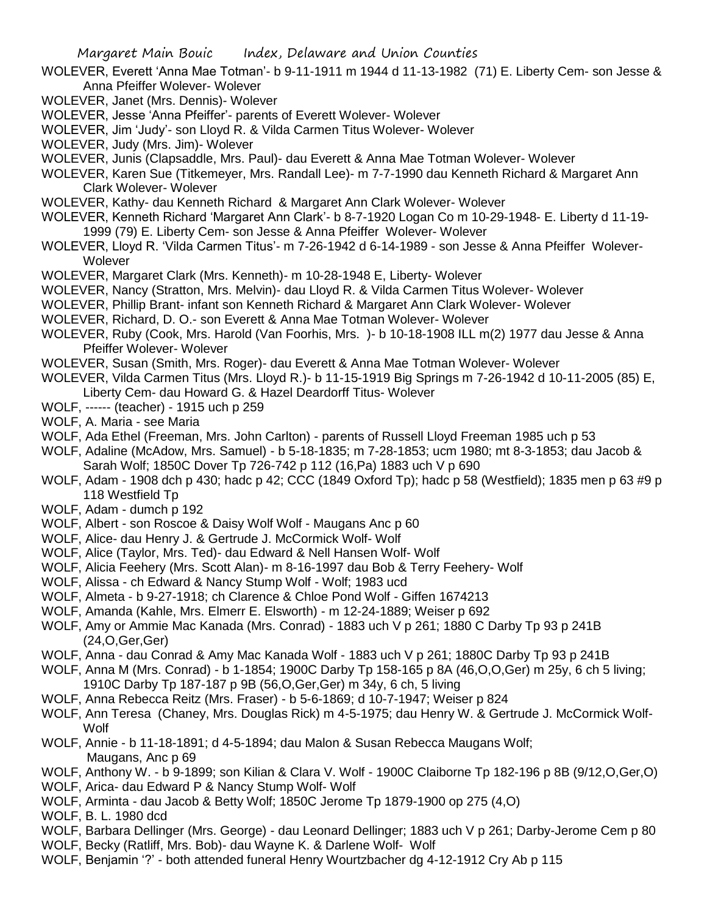- WOLEVER, Everett 'Anna Mae Totman'- b 9-11-1911 m 1944 d 11-13-1982 (71) E. Liberty Cem- son Jesse & Anna Pfeiffer Wolever- Wolever
- WOLEVER, Janet (Mrs. Dennis)- Wolever
- WOLEVER, Jesse 'Anna Pfeiffer'- parents of Everett Wolever- Wolever
- WOLEVER, Jim 'Judy'- son Lloyd R. & Vilda Carmen Titus Wolever- Wolever
- WOLEVER, Judy (Mrs. Jim)- Wolever
- WOLEVER, Junis (Clapsaddle, Mrs. Paul)- dau Everett & Anna Mae Totman Wolever- Wolever
- WOLEVER, Karen Sue (Titkemeyer, Mrs. Randall Lee)- m 7-7-1990 dau Kenneth Richard & Margaret Ann Clark Wolever- Wolever
- WOLEVER, Kathy- dau Kenneth Richard & Margaret Ann Clark Wolever- Wolever
- WOLEVER, Kenneth Richard 'Margaret Ann Clark'- b 8-7-1920 Logan Co m 10-29-1948- E. Liberty d 11-19- 1999 (79) E. Liberty Cem- son Jesse & Anna Pfeiffer Wolever- Wolever
- WOLEVER, Lloyd R. 'Vilda Carmen Titus'- m 7-26-1942 d 6-14-1989 son Jesse & Anna Pfeiffer Wolever-**Wolever**
- WOLEVER, Margaret Clark (Mrs. Kenneth)- m 10-28-1948 E, Liberty- Wolever
- WOLEVER, Nancy (Stratton, Mrs. Melvin)- dau Lloyd R. & Vilda Carmen Titus Wolever- Wolever
- WOLEVER, Phillip Brant- infant son Kenneth Richard & Margaret Ann Clark Wolever- Wolever
- WOLEVER, Richard, D. O.- son Everett & Anna Mae Totman Wolever- Wolever
- WOLEVER, Ruby (Cook, Mrs. Harold (Van Foorhis, Mrs. )- b 10-18-1908 ILL m(2) 1977 dau Jesse & Anna Pfeiffer Wolever- Wolever
- WOLEVER, Susan (Smith, Mrs. Roger)- dau Everett & Anna Mae Totman Wolever- Wolever
- WOLEVER, Vilda Carmen Titus (Mrs. Lloyd R.)- b 11-15-1919 Big Springs m 7-26-1942 d 10-11-2005 (85) E, Liberty Cem- dau Howard G. & Hazel Deardorff Titus- Wolever
- WOLF, ------ (teacher) 1915 uch p 259
- WOLF, A. Maria see Maria
- WOLF, Ada Ethel (Freeman, Mrs. John Carlton) parents of Russell Lloyd Freeman 1985 uch p 53
- WOLF, Adaline (McAdow, Mrs. Samuel) b 5-18-1835; m 7-28-1853; ucm 1980; mt 8-3-1853; dau Jacob & Sarah Wolf; 1850C Dover Tp 726-742 p 112 (16,Pa) 1883 uch V p 690
- WOLF, Adam 1908 dch p 430; hadc p 42; CCC (1849 Oxford Tp); hadc p 58 (Westfield); 1835 men p 63 #9 p 118 Westfield Tp
- WOLF, Adam dumch p 192
- WOLF, Albert son Roscoe & Daisy Wolf Wolf Maugans Anc p 60
- WOLF, Alice- dau Henry J. & Gertrude J. McCormick Wolf- Wolf
- WOLF, Alice (Taylor, Mrs. Ted)- dau Edward & Nell Hansen Wolf- Wolf
- WOLF, Alicia Feehery (Mrs. Scott Alan)- m 8-16-1997 dau Bob & Terry Feehery- Wolf
- WOLF, Alissa ch Edward & Nancy Stump Wolf Wolf; 1983 ucd
- WOLF, Almeta b 9-27-1918; ch Clarence & Chloe Pond Wolf Giffen 1674213
- WOLF, Amanda (Kahle, Mrs. Elmerr E. Elsworth) m 12-24-1889; Weiser p 692
- WOLF, Amy or Ammie Mac Kanada (Mrs. Conrad) 1883 uch V p 261; 1880 C Darby Tp 93 p 241B (24,O,Ger,Ger)
- WOLF, Anna dau Conrad & Amy Mac Kanada Wolf 1883 uch V p 261; 1880C Darby Tp 93 p 241B
- WOLF, Anna M (Mrs. Conrad) b 1-1854; 1900C Darby Tp 158-165 p 8A (46,O,O,Ger) m 25y, 6 ch 5 living; 1910C Darby Tp 187-187 p 9B (56,O,Ger,Ger) m 34y, 6 ch, 5 living
- WOLF, Anna Rebecca Reitz (Mrs. Fraser) b 5-6-1869; d 10-7-1947; Weiser p 824
- WOLF, Ann Teresa (Chaney, Mrs. Douglas Rick) m 4-5-1975; dau Henry W. & Gertrude J. McCormick Wolf-Wolf
- WOLF, Annie b 11-18-1891; d 4-5-1894; dau Malon & Susan Rebecca Maugans Wolf; Maugans, Anc p 69
- WOLF, Anthony W. b 9-1899; son Kilian & Clara V. Wolf 1900C Claiborne Tp 182-196 p 8B (9/12,O,Ger,O)
- WOLF, Arica- dau Edward P & Nancy Stump Wolf- Wolf
- WOLF, Arminta dau Jacob & Betty Wolf; 1850C Jerome Tp 1879-1900 op 275 (4,O)
- WOLF, B. L. 1980 dcd
- WOLF, Barbara Dellinger (Mrs. George) dau Leonard Dellinger; 1883 uch V p 261; Darby-Jerome Cem p 80
- WOLF, Becky (Ratliff, Mrs. Bob)- dau Wayne K. & Darlene Wolf- Wolf
- WOLF, Benjamin '?' both attended funeral Henry Wourtzbacher dg 4-12-1912 Cry Ab p 115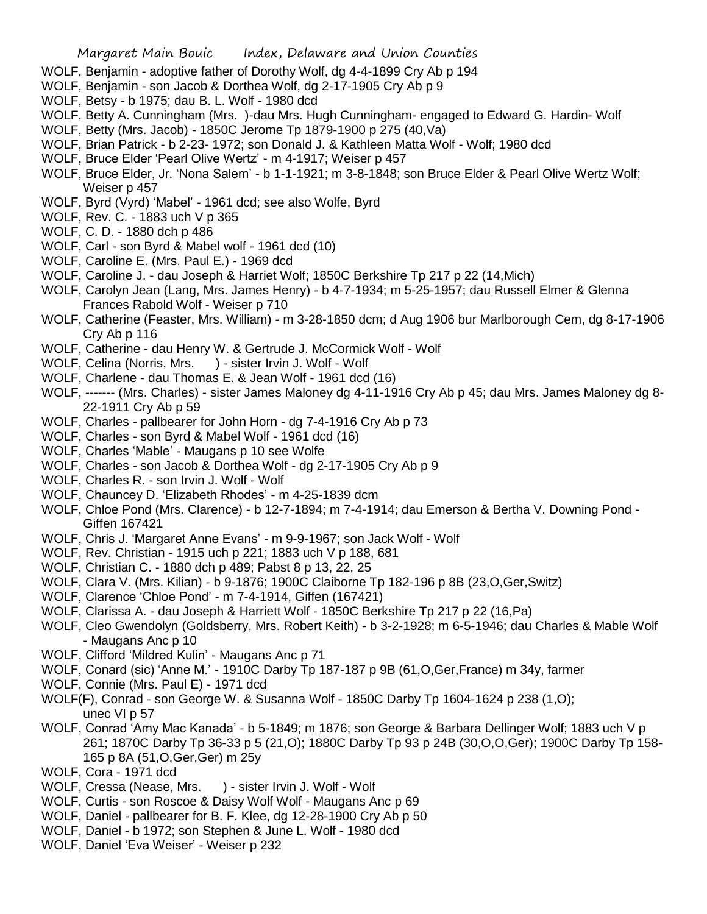- WOLF, Benjamin adoptive father of Dorothy Wolf, dg 4-4-1899 Cry Ab p 194
- WOLF, Benjamin son Jacob & Dorthea Wolf, dg 2-17-1905 Cry Ab p 9
- WOLF, Betsy b 1975; dau B. L. Wolf 1980 dcd
- WOLF, Betty A. Cunningham (Mrs. )-dau Mrs. Hugh Cunningham- engaged to Edward G. Hardin- Wolf
- WOLF, Betty (Mrs. Jacob) 1850C Jerome Tp 1879-1900 p 275 (40,Va)
- WOLF, Brian Patrick b 2-23- 1972; son Donald J. & Kathleen Matta Wolf Wolf; 1980 dcd
- WOLF, Bruce Elder 'Pearl Olive Wertz' m 4-1917; Weiser p 457
- WOLF, Bruce Elder, Jr. 'Nona Salem' b 1-1-1921; m 3-8-1848; son Bruce Elder & Pearl Olive Wertz Wolf; Weiser p 457
- WOLF, Byrd (Vyrd) 'Mabel' 1961 dcd; see also Wolfe, Byrd
- WOLF, Rev. C. 1883 uch V p 365
- WOLF, C. D. 1880 dch p 486
- WOLF, Carl son Byrd & Mabel wolf 1961 dcd (10)
- WOLF, Caroline E. (Mrs. Paul E.) 1969 dcd
- WOLF, Caroline J. dau Joseph & Harriet Wolf; 1850C Berkshire Tp 217 p 22 (14,Mich)
- WOLF, Carolyn Jean (Lang, Mrs. James Henry) b 4-7-1934; m 5-25-1957; dau Russell Elmer & Glenna Frances Rabold Wolf - Weiser p 710
- WOLF, Catherine (Feaster, Mrs. William) m 3-28-1850 dcm; d Aug 1906 bur Marlborough Cem, dg 8-17-1906 Cry Ab p 116
- WOLF, Catherine dau Henry W. & Gertrude J. McCormick Wolf Wolf
- WOLF, Celina (Norris, Mrs. ) sister Irvin J. Wolf Wolf
- WOLF, Charlene dau Thomas E. & Jean Wolf 1961 dcd (16)
- WOLF, ------- (Mrs. Charles) sister James Maloney dg 4-11-1916 Cry Ab p 45; dau Mrs. James Maloney dg 8- 22-1911 Cry Ab p 59
- WOLF, Charles pallbearer for John Horn dg 7-4-1916 Cry Ab p 73
- WOLF, Charles son Byrd & Mabel Wolf 1961 dcd (16)
- WOLF, Charles 'Mable' Maugans p 10 see Wolfe
- WOLF, Charles son Jacob & Dorthea Wolf dg 2-17-1905 Cry Ab p 9
- WOLF, Charles R. son Irvin J. Wolf Wolf
- WOLF, Chauncey D. 'Elizabeth Rhodes' m 4-25-1839 dcm
- WOLF, Chloe Pond (Mrs. Clarence) b 12-7-1894; m 7-4-1914; dau Emerson & Bertha V. Downing Pond Giffen 167421
- WOLF, Chris J. 'Margaret Anne Evans' m 9-9-1967; son Jack Wolf Wolf
- WOLF, Rev. Christian 1915 uch p 221; 1883 uch V p 188, 681
- WOLF, Christian C. 1880 dch p 489; Pabst 8 p 13, 22, 25
- WOLF, Clara V. (Mrs. Kilian) b 9-1876; 1900C Claiborne Tp 182-196 p 8B (23,O,Ger,Switz)
- WOLF, Clarence 'Chloe Pond' m 7-4-1914, Giffen (167421)
- WOLF, Clarissa A. dau Joseph & Harriett Wolf 1850C Berkshire Tp 217 p 22 (16,Pa)
- WOLF, Cleo Gwendolyn (Goldsberry, Mrs. Robert Keith) b 3-2-1928; m 6-5-1946; dau Charles & Mable Wolf - Maugans Anc p 10
- WOLF, Clifford 'Mildred Kulin' Maugans Anc p 71
- WOLF, Conard (sic) 'Anne M.' 1910C Darby Tp 187-187 p 9B (61,O,Ger,France) m 34y, farmer
- WOLF, Connie (Mrs. Paul E) 1971 dcd
- WOLF(F), Conrad son George W. & Susanna Wolf 1850C Darby Tp 1604-1624 p 238 (1,O); unec VI p 57
- WOLF, Conrad 'Amy Mac Kanada' b 5-1849; m 1876; son George & Barbara Dellinger Wolf; 1883 uch V p 261; 1870C Darby Tp 36-33 p 5 (21,O); 1880C Darby Tp 93 p 24B (30,O,O,Ger); 1900C Darby Tp 158- 165 p 8A (51,O,Ger,Ger) m 25y
- WOLF, Cora 1971 dcd
- WOLF, Cressa (Nease, Mrs. ) sister Irvin J. Wolf Wolf
- WOLF, Curtis son Roscoe & Daisy Wolf Wolf Maugans Anc p 69
- WOLF, Daniel pallbearer for B. F. Klee, dg 12-28-1900 Cry Ab p 50
- WOLF, Daniel b 1972; son Stephen & June L. Wolf 1980 dcd
- WOLF, Daniel 'Eva Weiser' Weiser p 232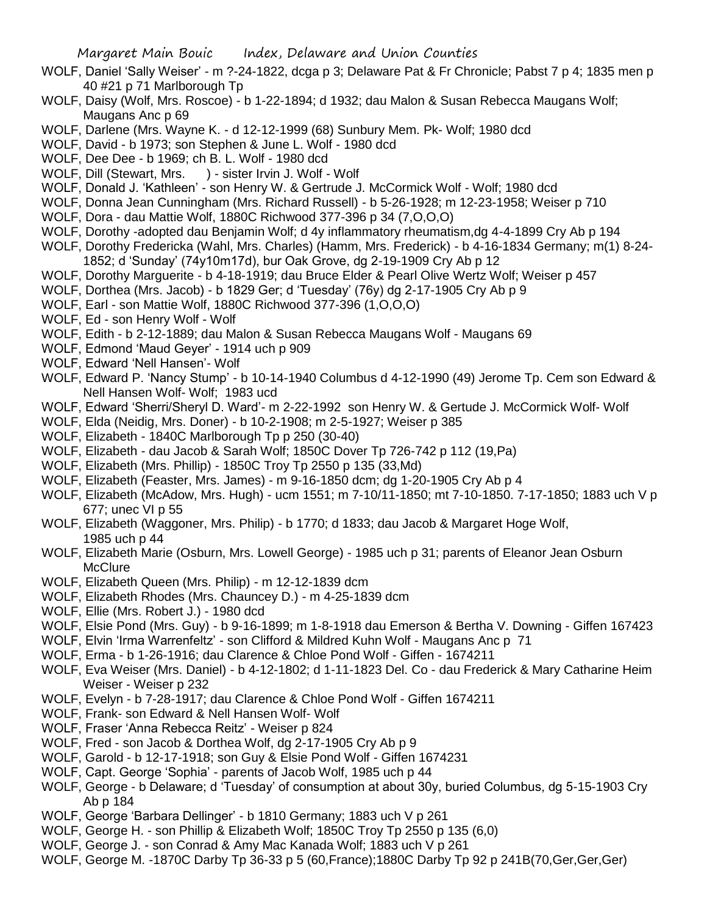- WOLF, Daniel 'Sally Weiser' m ?-24-1822, dcga p 3; Delaware Pat & Fr Chronicle; Pabst 7 p 4; 1835 men p 40 #21 p 71 Marlborough Tp
- WOLF, Daisy (Wolf, Mrs. Roscoe) b 1-22-1894; d 1932; dau Malon & Susan Rebecca Maugans Wolf; Maugans Anc p 69
- WOLF, Darlene (Mrs. Wayne K. d 12-12-1999 (68) Sunbury Mem. Pk- Wolf; 1980 dcd
- WOLF, David b 1973; son Stephen & June L. Wolf 1980 dcd
- WOLF, Dee Dee b 1969; ch B. L. Wolf 1980 dcd
- WOLF, Dill (Stewart, Mrs. ) sister Irvin J. Wolf Wolf
- WOLF, Donald J. 'Kathleen' son Henry W. & Gertrude J. McCormick Wolf Wolf; 1980 dcd
- WOLF, Donna Jean Cunningham (Mrs. Richard Russell) b 5-26-1928; m 12-23-1958; Weiser p 710
- WOLF, Dora dau Mattie Wolf, 1880C Richwood 377-396 p 34 (7,O,O,O)
- WOLF, Dorothy -adopted dau Benjamin Wolf; d 4y inflammatory rheumatism,dg 4-4-1899 Cry Ab p 194
- WOLF, Dorothy Fredericka (Wahl, Mrs. Charles) (Hamm, Mrs. Frederick) b 4-16-1834 Germany; m(1) 8-24- 1852; d 'Sunday' (74y10m17d), bur Oak Grove, dg 2-19-1909 Cry Ab p 12
- WOLF, Dorothy Marguerite b 4-18-1919; dau Bruce Elder & Pearl Olive Wertz Wolf; Weiser p 457
- WOLF, Dorthea (Mrs. Jacob) b 1829 Ger; d 'Tuesday' (76y) dg 2-17-1905 Cry Ab p 9
- WOLF, Earl son Mattie Wolf, 1880C Richwood 377-396 (1,O,O,O)
- WOLF, Ed son Henry Wolf Wolf
- WOLF, Edith b 2-12-1889; dau Malon & Susan Rebecca Maugans Wolf Maugans 69
- WOLF, Edmond 'Maud Geyer' 1914 uch p 909
- WOLF, Edward 'Nell Hansen'- Wolf
- WOLF, Edward P. 'Nancy Stump' b 10-14-1940 Columbus d 4-12-1990 (49) Jerome Tp. Cem son Edward & Nell Hansen Wolf- Wolf; 1983 ucd
- WOLF, Edward 'Sherri/Sheryl D. Ward'- m 2-22-1992 son Henry W. & Gertude J. McCormick Wolf- Wolf
- WOLF, Elda (Neidig, Mrs. Doner) b 10-2-1908; m 2-5-1927; Weiser p 385
- WOLF, Elizabeth 1840C Marlborough Tp p 250 (30-40)
- WOLF, Elizabeth dau Jacob & Sarah Wolf; 1850C Dover Tp 726-742 p 112 (19,Pa)
- WOLF, Elizabeth (Mrs. Phillip) 1850C Troy Tp 2550 p 135 (33,Md)
- WOLF, Elizabeth (Feaster, Mrs. James) m 9-16-1850 dcm; dg 1-20-1905 Cry Ab p 4
- WOLF, Elizabeth (McAdow, Mrs. Hugh) ucm 1551; m 7-10/11-1850; mt 7-10-1850. 7-17-1850; 1883 uch V p 677; unec VI p 55
- WOLF, Elizabeth (Waggoner, Mrs. Philip) b 1770; d 1833; dau Jacob & Margaret Hoge Wolf, 1985 uch p 44
- WOLF, Elizabeth Marie (Osburn, Mrs. Lowell George) 1985 uch p 31; parents of Eleanor Jean Osburn **McClure**
- WOLF, Elizabeth Queen (Mrs. Philip) m 12-12-1839 dcm
- WOLF, Elizabeth Rhodes (Mrs. Chauncey D.) m 4-25-1839 dcm
- WOLF, Ellie (Mrs. Robert J.) 1980 dcd
- WOLF, Elsie Pond (Mrs. Guy) b 9-16-1899; m 1-8-1918 dau Emerson & Bertha V. Downing Giffen 167423
- WOLF, Elvin 'Irma Warrenfeltz' son Clifford & Mildred Kuhn Wolf Maugans Anc p 71
- WOLF, Erma b 1-26-1916; dau Clarence & Chloe Pond Wolf Giffen 1674211
- WOLF, Eva Weiser (Mrs. Daniel) b 4-12-1802; d 1-11-1823 Del. Co dau Frederick & Mary Catharine Heim Weiser - Weiser p 232
- WOLF, Evelyn b 7-28-1917; dau Clarence & Chloe Pond Wolf Giffen 1674211
- WOLF, Frank- son Edward & Nell Hansen Wolf- Wolf
- WOLF, Fraser 'Anna Rebecca Reitz' Weiser p 824
- WOLF, Fred son Jacob & Dorthea Wolf, dg 2-17-1905 Cry Ab p 9
- WOLF, Garold b 12-17-1918; son Guy & Elsie Pond Wolf Giffen 1674231
- WOLF, Capt. George 'Sophia' parents of Jacob Wolf, 1985 uch p 44
- WOLF, George b Delaware; d 'Tuesday' of consumption at about 30y, buried Columbus, dg 5-15-1903 Cry Ab p 184
- WOLF, George 'Barbara Dellinger' b 1810 Germany; 1883 uch V p 261
- WOLF, George H. son Phillip & Elizabeth Wolf; 1850C Troy Tp 2550 p 135 (6,0)
- WOLF, George J. son Conrad & Amy Mac Kanada Wolf; 1883 uch V p 261
- WOLF, George M. -1870C Darby Tp 36-33 p 5 (60,France);1880C Darby Tp 92 p 241B(70,Ger,Ger,Ger)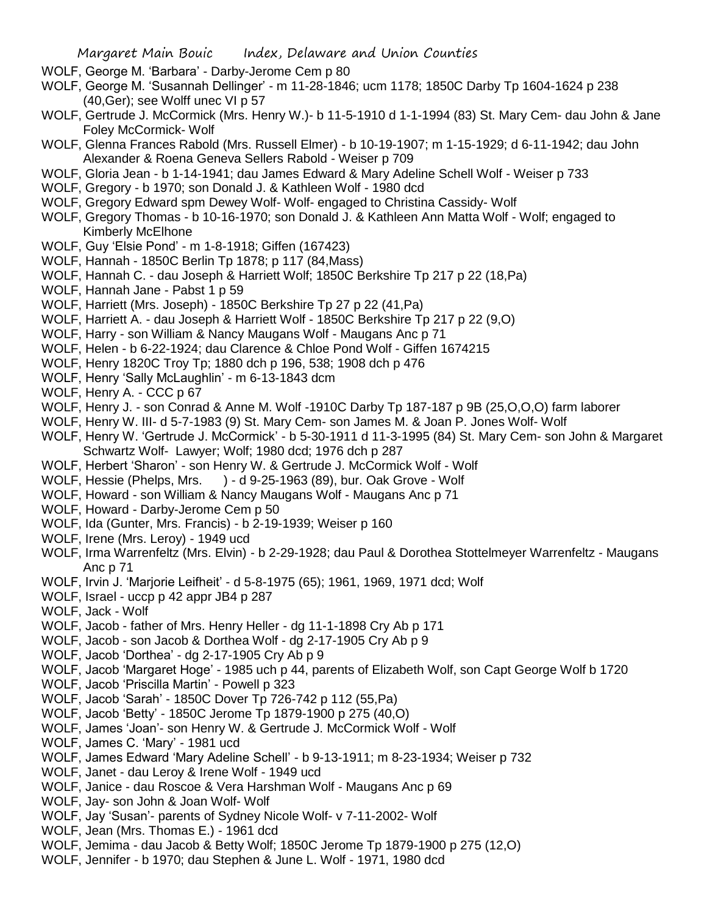- WOLF, George M. 'Barbara' Darby-Jerome Cem p 80
- WOLF, George M. 'Susannah Dellinger' m 11-28-1846; ucm 1178; 1850C Darby Tp 1604-1624 p 238 (40,Ger); see Wolff unec VI p 57
- WOLF, Gertrude J. McCormick (Mrs. Henry W.)- b 11-5-1910 d 1-1-1994 (83) St. Mary Cem- dau John & Jane Foley McCormick- Wolf
- WOLF, Glenna Frances Rabold (Mrs. Russell Elmer) b 10-19-1907; m 1-15-1929; d 6-11-1942; dau John Alexander & Roena Geneva Sellers Rabold - Weiser p 709
- WOLF, Gloria Jean b 1-14-1941; dau James Edward & Mary Adeline Schell Wolf Weiser p 733
- WOLF, Gregory b 1970; son Donald J. & Kathleen Wolf 1980 dcd
- WOLF, Gregory Edward spm Dewey Wolf- Wolf- engaged to Christina Cassidy- Wolf
- WOLF, Gregory Thomas b 10-16-1970; son Donald J. & Kathleen Ann Matta Wolf Wolf; engaged to Kimberly McElhone
- WOLF, Guy 'Elsie Pond' m 1-8-1918; Giffen (167423)
- WOLF, Hannah 1850C Berlin Tp 1878; p 117 (84,Mass)
- WOLF, Hannah C. dau Joseph & Harriett Wolf; 1850C Berkshire Tp 217 p 22 (18,Pa)
- WOLF, Hannah Jane Pabst 1 p 59
- WOLF, Harriett (Mrs. Joseph) 1850C Berkshire Tp 27 p 22 (41,Pa)
- WOLF, Harriett A. dau Joseph & Harriett Wolf 1850C Berkshire Tp 217 p 22 (9,O)
- WOLF, Harry son William & Nancy Maugans Wolf Maugans Anc p 71
- WOLF, Helen b 6-22-1924; dau Clarence & Chloe Pond Wolf Giffen 1674215
- WOLF, Henry 1820C Troy Tp; 1880 dch p 196, 538; 1908 dch p 476
- WOLF, Henry 'Sally McLaughlin' m 6-13-1843 dcm
- WOLF, Henry A. CCC p 67
- WOLF, Henry J. son Conrad & Anne M. Wolf -1910C Darby Tp 187-187 p 9B (25,O,O,O) farm laborer
- WOLF, Henry W. III- d 5-7-1983 (9) St. Mary Cem- son James M. & Joan P. Jones Wolf- Wolf
- WOLF, Henry W. 'Gertrude J. McCormick' b 5-30-1911 d 11-3-1995 (84) St. Mary Cem- son John & Margaret Schwartz Wolf- Lawyer; Wolf; 1980 dcd; 1976 dch p 287
- WOLF, Herbert 'Sharon' son Henry W. & Gertrude J. McCormick Wolf Wolf
- WOLF, Hessie (Phelps, Mrs. ) d 9-25-1963 (89), bur. Oak Grove Wolf
- WOLF, Howard son William & Nancy Maugans Wolf Maugans Anc p 71
- WOLF, Howard Darby-Jerome Cem p 50
- WOLF, Ida (Gunter, Mrs. Francis) b 2-19-1939; Weiser p 160
- WOLF, Irene (Mrs. Leroy) 1949 ucd
- WOLF, Irma Warrenfeltz (Mrs. Elvin) b 2-29-1928; dau Paul & Dorothea Stottelmeyer Warrenfeltz Maugans Anc p 71
- WOLF, Irvin J. 'Marjorie Leifheit' d 5-8-1975 (65); 1961, 1969, 1971 dcd; Wolf
- WOLF, Israel uccp p 42 appr JB4 p 287
- WOLF, Jack Wolf
- WOLF, Jacob father of Mrs. Henry Heller dg 11-1-1898 Cry Ab p 171
- WOLF, Jacob son Jacob & Dorthea Wolf dg 2-17-1905 Cry Ab p 9
- WOLF, Jacob 'Dorthea' dg 2-17-1905 Cry Ab p 9
- WOLF, Jacob 'Margaret Hoge' 1985 uch p 44, parents of Elizabeth Wolf, son Capt George Wolf b 1720
- WOLF, Jacob 'Priscilla Martin' Powell p 323
- WOLF, Jacob 'Sarah' 1850C Dover Tp 726-742 p 112 (55,Pa)
- WOLF, Jacob 'Betty' 1850C Jerome Tp 1879-1900 p 275 (40,O)
- WOLF, James 'Joan'- son Henry W. & Gertrude J. McCormick Wolf Wolf
- WOLF, James C. 'Mary' 1981 ucd
- WOLF, James Edward 'Mary Adeline Schell' b 9-13-1911; m 8-23-1934; Weiser p 732
- WOLF, Janet dau Leroy & Irene Wolf 1949 ucd
- WOLF, Janice dau Roscoe & Vera Harshman Wolf Maugans Anc p 69
- WOLF, Jay- son John & Joan Wolf- Wolf
- WOLF, Jay 'Susan'- parents of Sydney Nicole Wolf- v 7-11-2002- Wolf
- WOLF, Jean (Mrs. Thomas E.) 1961 dcd
- WOLF, Jemima dau Jacob & Betty Wolf; 1850C Jerome Tp 1879-1900 p 275 (12,O)
- WOLF, Jennifer b 1970; dau Stephen & June L. Wolf 1971, 1980 dcd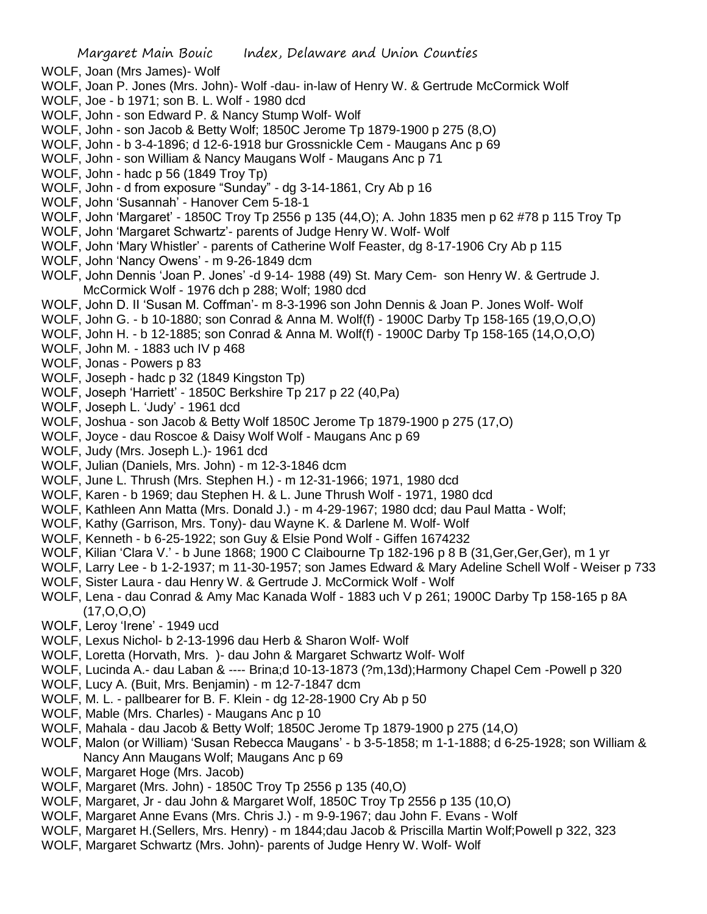- WOLF, Joan (Mrs James)- Wolf
- WOLF, Joan P. Jones (Mrs. John)- Wolf -dau- in-law of Henry W. & Gertrude McCormick Wolf
- WOLF, Joe b 1971; son B. L. Wolf 1980 dcd
- WOLF, John son Edward P. & Nancy Stump Wolf- Wolf
- WOLF, John son Jacob & Betty Wolf; 1850C Jerome Tp 1879-1900 p 275 (8,O)
- WOLF, John b 3-4-1896; d 12-6-1918 bur Grossnickle Cem Maugans Anc p 69
- WOLF, John son William & Nancy Maugans Wolf Maugans Anc p 71
- WOLF, John hadc p 56 (1849 Troy Tp)
- WOLF, John d from exposure "Sunday" dg 3-14-1861, Cry Ab p 16
- WOLF, John 'Susannah' Hanover Cem 5-18-1
- WOLF, John 'Margaret' 1850C Troy Tp 2556 p 135 (44,O); A. John 1835 men p 62 #78 p 115 Troy Tp
- WOLF, John 'Margaret Schwartz'- parents of Judge Henry W. Wolf- Wolf
- WOLF, John 'Mary Whistler' parents of Catherine Wolf Feaster, dg 8-17-1906 Cry Ab p 115
- WOLF, John 'Nancy Owens' m 9-26-1849 dcm
- WOLF, John Dennis 'Joan P. Jones' -d 9-14- 1988 (49) St. Mary Cem- son Henry W. & Gertrude J. McCormick Wolf - 1976 dch p 288; Wolf; 1980 dcd
- WOLF, John D. II 'Susan M. Coffman'- m 8-3-1996 son John Dennis & Joan P. Jones Wolf- Wolf
- WOLF, John G. b 10-1880; son Conrad & Anna M. Wolf(f) 1900C Darby Tp 158-165 (19,O,O,O)
- WOLF, John H. b 12-1885; son Conrad & Anna M. Wolf(f) 1900C Darby Tp 158-165 (14,O,O,O)
- WOLF, John M. 1883 uch IV p 468
- WOLF, Jonas Powers p 83
- WOLF, Joseph hadc p 32 (1849 Kingston Tp)
- WOLF, Joseph 'Harriett' 1850C Berkshire Tp 217 p 22 (40,Pa)
- WOLF, Joseph L. 'Judy' 1961 dcd
- WOLF, Joshua son Jacob & Betty Wolf 1850C Jerome Tp 1879-1900 p 275 (17,O)
- WOLF, Joyce dau Roscoe & Daisy Wolf Wolf Maugans Anc p 69
- WOLF, Judy (Mrs. Joseph L.)- 1961 dcd
- WOLF, Julian (Daniels, Mrs. John) m 12-3-1846 dcm
- WOLF, June L. Thrush (Mrs. Stephen H.) m 12-31-1966; 1971, 1980 dcd
- WOLF, Karen b 1969; dau Stephen H. & L. June Thrush Wolf 1971, 1980 dcd
- WOLF, Kathleen Ann Matta (Mrs. Donald J.) m 4-29-1967; 1980 dcd; dau Paul Matta Wolf;
- WOLF, Kathy (Garrison, Mrs. Tony)- dau Wayne K. & Darlene M. Wolf- Wolf
- WOLF, Kenneth b 6-25-1922; son Guy & Elsie Pond Wolf Giffen 1674232
- WOLF, Kilian 'Clara V.' b June 1868; 1900 C Claibourne Tp 182-196 p 8 B (31,Ger,Ger,Ger), m 1 yr
- WOLF, Larry Lee b 1-2-1937; m 11-30-1957; son James Edward & Mary Adeline Schell Wolf Weiser p 733
- WOLF, Sister Laura dau Henry W. & Gertrude J. McCormick Wolf Wolf
- WOLF, Lena dau Conrad & Amy Mac Kanada Wolf 1883 uch V p 261; 1900C Darby Tp 158-165 p 8A (17,O,O,O)
- WOLF, Leroy 'Irene' 1949 ucd
- WOLF, Lexus Nichol- b 2-13-1996 dau Herb & Sharon Wolf- Wolf
- WOLF, Loretta (Horvath, Mrs. )- dau John & Margaret Schwartz Wolf- Wolf
- WOLF, Lucinda A.- dau Laban & ---- Brina;d 10-13-1873 (?m,13d);Harmony Chapel Cem -Powell p 320
- WOLF, Lucy A. (Buit, Mrs. Benjamin) m 12-7-1847 dcm
- WOLF, M. L. pallbearer for B. F. Klein dg 12-28-1900 Cry Ab p 50
- WOLF, Mable (Mrs. Charles) Maugans Anc p 10
- WOLF, Mahala dau Jacob & Betty Wolf; 1850C Jerome Tp 1879-1900 p 275 (14,O)
- WOLF, Malon (or William) 'Susan Rebecca Maugans' b 3-5-1858; m 1-1-1888; d 6-25-1928; son William & Nancy Ann Maugans Wolf; Maugans Anc p 69
- WOLF, Margaret Hoge (Mrs. Jacob)
- WOLF, Margaret (Mrs. John) 1850C Troy Tp 2556 p 135 (40,O)
- WOLF, Margaret, Jr dau John & Margaret Wolf, 1850C Troy Tp 2556 p 135 (10,O)
- WOLF, Margaret Anne Evans (Mrs. Chris J.) m 9-9-1967; dau John F. Evans Wolf
- WOLF, Margaret H.(Sellers, Mrs. Henry) m 1844;dau Jacob & Priscilla Martin Wolf;Powell p 322, 323
- WOLF, Margaret Schwartz (Mrs. John)- parents of Judge Henry W. Wolf- Wolf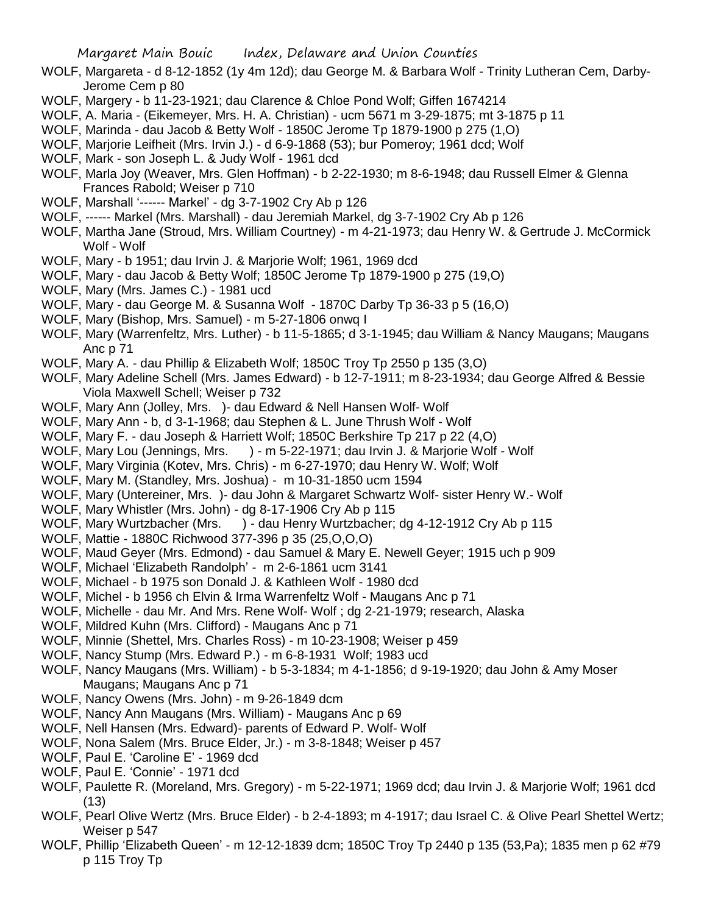WOLF, Margareta - d 8-12-1852 (1y 4m 12d); dau George M. & Barbara Wolf - Trinity Lutheran Cem, Darby-Jerome Cem p 80

- WOLF, Margery b 11-23-1921; dau Clarence & Chloe Pond Wolf; Giffen 1674214
- WOLF, A. Maria (Eikemeyer, Mrs. H. A. Christian) ucm 5671 m 3-29-1875; mt 3-1875 p 11
- WOLF, Marinda dau Jacob & Betty Wolf 1850C Jerome Tp 1879-1900 p 275 (1,O)
- WOLF, Marjorie Leifheit (Mrs. Irvin J.) d 6-9-1868 (53); bur Pomeroy; 1961 dcd; Wolf
- WOLF, Mark son Joseph L. & Judy Wolf 1961 dcd
- WOLF, Marla Joy (Weaver, Mrs. Glen Hoffman) b 2-22-1930; m 8-6-1948; dau Russell Elmer & Glenna Frances Rabold; Weiser p 710
- WOLF, Marshall '------ Markel' dg 3-7-1902 Cry Ab p 126
- WOLF, ------ Markel (Mrs. Marshall) dau Jeremiah Markel, dg 3-7-1902 Cry Ab p 126
- WOLF, Martha Jane (Stroud, Mrs. William Courtney) m 4-21-1973; dau Henry W. & Gertrude J. McCormick Wolf - Wolf
- WOLF, Mary b 1951; dau Irvin J. & Marjorie Wolf; 1961, 1969 dcd
- WOLF, Mary dau Jacob & Betty Wolf; 1850C Jerome Tp 1879-1900 p 275 (19,O)
- WOLF, Mary (Mrs. James C.) 1981 ucd
- WOLF, Mary dau George M. & Susanna Wolf 1870C Darby Tp 36-33 p 5 (16,O)
- WOLF, Mary (Bishop, Mrs. Samuel) m 5-27-1806 onwq I
- WOLF, Mary (Warrenfeltz, Mrs. Luther) b 11-5-1865; d 3-1-1945; dau William & Nancy Maugans; Maugans Anc p 71
- WOLF, Mary A. dau Phillip & Elizabeth Wolf; 1850C Troy Tp 2550 p 135 (3,O)
- WOLF, Mary Adeline Schell (Mrs. James Edward) b 12-7-1911; m 8-23-1934; dau George Alfred & Bessie Viola Maxwell Schell; Weiser p 732
- WOLF, Mary Ann (Jolley, Mrs. )- dau Edward & Nell Hansen Wolf- Wolf
- WOLF, Mary Ann b, d 3-1-1968; dau Stephen & L. June Thrush Wolf Wolf
- WOLF, Mary F. dau Joseph & Harriett Wolf; 1850C Berkshire Tp 217 p 22 (4,O)
- WOLF, Mary Lou (Jennings, Mrs. ) m 5-22-1971; dau Irvin J. & Marjorie Wolf Wolf
- WOLF, Mary Virginia (Kotev, Mrs. Chris) m 6-27-1970; dau Henry W. Wolf; Wolf
- WOLF, Mary M. (Standley, Mrs. Joshua) m 10-31-1850 ucm 1594
- WOLF, Mary (Untereiner, Mrs. )- dau John & Margaret Schwartz Wolf- sister Henry W.- Wolf
- WOLF, Mary Whistler (Mrs. John) dg 8-17-1906 Cry Ab p 115
- WOLF, Mary Wurtzbacher (Mrs. ) dau Henry Wurtzbacher; dg 4-12-1912 Cry Ab p 115
- WOLF, Mattie 1880C Richwood 377-396 p 35 (25,O,O,O)
- WOLF, Maud Geyer (Mrs. Edmond) dau Samuel & Mary E. Newell Geyer; 1915 uch p 909
- WOLF, Michael 'Elizabeth Randolph' m 2-6-1861 ucm 3141
- WOLF, Michael b 1975 son Donald J. & Kathleen Wolf 1980 dcd
- WOLF, Michel b 1956 ch Elvin & Irma Warrenfeltz Wolf Maugans Anc p 71
- WOLF, Michelle dau Mr. And Mrs. Rene Wolf- Wolf ; dg 2-21-1979; research, Alaska
- WOLF, Mildred Kuhn (Mrs. Clifford) Maugans Anc p 71
- WOLF, Minnie (Shettel, Mrs. Charles Ross) m 10-23-1908; Weiser p 459
- WOLF, Nancy Stump (Mrs. Edward P.) m 6-8-1931 Wolf; 1983 ucd
- WOLF, Nancy Maugans (Mrs. William) b 5-3-1834; m 4-1-1856; d 9-19-1920; dau John & Amy Moser Maugans; Maugans Anc p 71
- WOLF, Nancy Owens (Mrs. John) m 9-26-1849 dcm
- WOLF, Nancy Ann Maugans (Mrs. William) Maugans Anc p 69
- WOLF, Nell Hansen (Mrs. Edward)- parents of Edward P. Wolf- Wolf
- WOLF, Nona Salem (Mrs. Bruce Elder, Jr.) m 3-8-1848; Weiser p 457
- WOLF, Paul E. 'Caroline E' 1969 dcd
- WOLF, Paul E. 'Connie' 1971 dcd
- WOLF, Paulette R. (Moreland, Mrs. Gregory) m 5-22-1971; 1969 dcd; dau Irvin J. & Marjorie Wolf; 1961 dcd (13)
- WOLF, Pearl Olive Wertz (Mrs. Bruce Elder) b 2-4-1893; m 4-1917; dau Israel C. & Olive Pearl Shettel Wertz; Weiser p 547
- WOLF, Phillip 'Elizabeth Queen' m 12-12-1839 dcm; 1850C Troy Tp 2440 p 135 (53,Pa); 1835 men p 62 #79 p 115 Troy Tp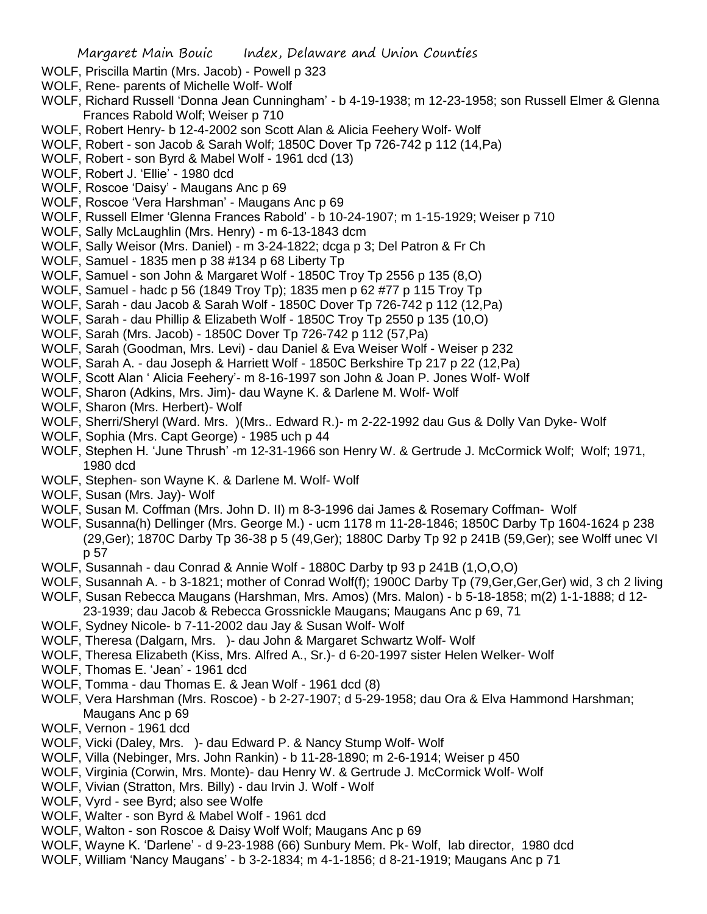- WOLF, Priscilla Martin (Mrs. Jacob) Powell p 323
- WOLF, Rene- parents of Michelle Wolf- Wolf
- WOLF, Richard Russell 'Donna Jean Cunningham' b 4-19-1938; m 12-23-1958; son Russell Elmer & Glenna Frances Rabold Wolf; Weiser p 710
- WOLF, Robert Henry- b 12-4-2002 son Scott Alan & Alicia Feehery Wolf- Wolf
- WOLF, Robert son Jacob & Sarah Wolf; 1850C Dover Tp 726-742 p 112 (14,Pa)
- WOLF, Robert son Byrd & Mabel Wolf 1961 dcd (13)
- WOLF, Robert J. 'Ellie' 1980 dcd
- WOLF, Roscoe 'Daisy' Maugans Anc p 69
- WOLF, Roscoe 'Vera Harshman' Maugans Anc p 69
- WOLF, Russell Elmer 'Glenna Frances Rabold' b 10-24-1907; m 1-15-1929; Weiser p 710
- WOLF, Sally McLaughlin (Mrs. Henry) m 6-13-1843 dcm
- WOLF, Sally Weisor (Mrs. Daniel) m 3-24-1822; dcga p 3; Del Patron & Fr Ch
- WOLF, Samuel 1835 men p 38 #134 p 68 Liberty Tp
- WOLF, Samuel son John & Margaret Wolf 1850C Troy Tp 2556 p 135 (8,O)
- WOLF, Samuel hadc p 56 (1849 Troy Tp); 1835 men p 62 #77 p 115 Troy Tp
- WOLF, Sarah dau Jacob & Sarah Wolf 1850C Dover Tp 726-742 p 112 (12,Pa)
- WOLF, Sarah dau Phillip & Elizabeth Wolf 1850C Troy Tp 2550 p 135 (10,O)
- WOLF, Sarah (Mrs. Jacob) 1850C Dover Tp 726-742 p 112 (57,Pa)
- WOLF, Sarah (Goodman, Mrs. Levi) dau Daniel & Eva Weiser Wolf Weiser p 232
- WOLF, Sarah A. dau Joseph & Harriett Wolf 1850C Berkshire Tp 217 p 22 (12,Pa)
- WOLF, Scott Alan ' Alicia Feehery'- m 8-16-1997 son John & Joan P. Jones Wolf- Wolf
- WOLF, Sharon (Adkins, Mrs. Jim)- dau Wayne K. & Darlene M. Wolf- Wolf
- WOLF, Sharon (Mrs. Herbert)- Wolf
- WOLF, Sherri/Sheryl (Ward. Mrs. )(Mrs.. Edward R.)- m 2-22-1992 dau Gus & Dolly Van Dyke- Wolf
- WOLF, Sophia (Mrs. Capt George) 1985 uch p 44
- WOLF, Stephen H. 'June Thrush' -m 12-31-1966 son Henry W. & Gertrude J. McCormick Wolf; Wolf; 1971, 1980 dcd
- WOLF, Stephen- son Wayne K. & Darlene M. Wolf- Wolf
- WOLF, Susan (Mrs. Jay)- Wolf
- WOLF, Susan M. Coffman (Mrs. John D. II) m 8-3-1996 dai James & Rosemary Coffman- Wolf
- WOLF, Susanna(h) Dellinger (Mrs. George M.) ucm 1178 m 11-28-1846; 1850C Darby Tp 1604-1624 p 238 (29,Ger); 1870C Darby Tp 36-38 p 5 (49,Ger); 1880C Darby Tp 92 p 241B (59,Ger); see Wolff unec VI p 57
- WOLF, Susannah dau Conrad & Annie Wolf 1880C Darby tp 93 p 241B (1,O,O,O)
- WOLF, Susannah A. b 3-1821; mother of Conrad Wolf(f); 1900C Darby Tp (79,Ger,Ger,Ger) wid, 3 ch 2 living WOLF, Susan Rebecca Maugans (Harshman, Mrs. Amos) (Mrs. Malon) - b 5-18-1858; m(2) 1-1-1888; d 12-
- 23-1939; dau Jacob & Rebecca Grossnickle Maugans; Maugans Anc p 69, 71
- WOLF, Sydney Nicole- b 7-11-2002 dau Jay & Susan Wolf- Wolf
- WOLF, Theresa (Dalgarn, Mrs. )- dau John & Margaret Schwartz Wolf- Wolf
- WOLF, Theresa Elizabeth (Kiss, Mrs. Alfred A., Sr.)- d 6-20-1997 sister Helen Welker- Wolf
- WOLF, Thomas E. 'Jean' 1961 dcd
- WOLF, Tomma dau Thomas E. & Jean Wolf 1961 dcd (8)
- WOLF, Vera Harshman (Mrs. Roscoe) b 2-27-1907; d 5-29-1958; dau Ora & Elva Hammond Harshman; Maugans Anc p 69
- WOLF, Vernon 1961 dcd
- WOLF, Vicki (Daley, Mrs. )- dau Edward P. & Nancy Stump Wolf- Wolf
- WOLF, Villa (Nebinger, Mrs. John Rankin) b 11-28-1890; m 2-6-1914; Weiser p 450
- WOLF, Virginia (Corwin, Mrs. Monte)- dau Henry W. & Gertrude J. McCormick Wolf- Wolf
- WOLF, Vivian (Stratton, Mrs. Billy) dau Irvin J. Wolf Wolf
- WOLF, Vyrd see Byrd; also see Wolfe
- WOLF, Walter son Byrd & Mabel Wolf 1961 dcd
- WOLF, Walton son Roscoe & Daisy Wolf Wolf; Maugans Anc p 69
- WOLF, Wayne K. 'Darlene' d 9-23-1988 (66) Sunbury Mem. Pk- Wolf, lab director, 1980 dcd
- WOLF, William 'Nancy Maugans' b 3-2-1834; m 4-1-1856; d 8-21-1919; Maugans Anc p 71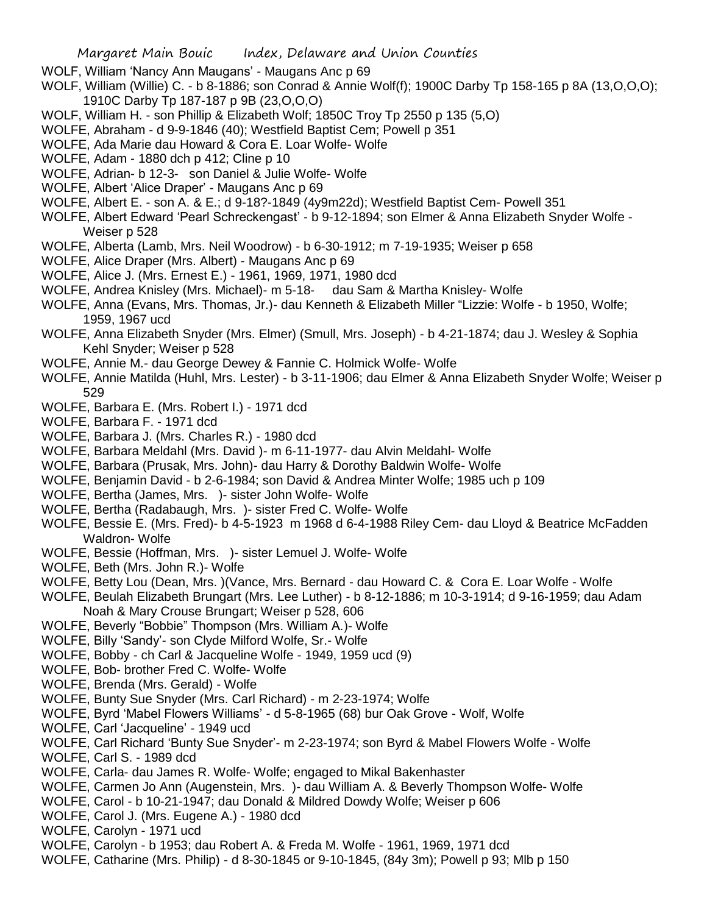- WOLF, William 'Nancy Ann Maugans' Maugans Anc p 69
- WOLF, William (Willie) C. b 8-1886; son Conrad & Annie Wolf(f); 1900C Darby Tp 158-165 p 8A (13,O,O,O); 1910C Darby Tp 187-187 p 9B (23,O,O,O)
- WOLF, William H. son Phillip & Elizabeth Wolf; 1850C Troy Tp 2550 p 135 (5,O)
- WOLFE, Abraham d 9-9-1846 (40); Westfield Baptist Cem; Powell p 351
- WOLFE, Ada Marie dau Howard & Cora E. Loar Wolfe- Wolfe
- WOLFE, Adam 1880 dch p 412; Cline p 10
- WOLFE, Adrian- b 12-3- son Daniel & Julie Wolfe- Wolfe
- WOLFE, Albert 'Alice Draper' Maugans Anc p 69
- WOLFE, Albert E. son A. & E.; d 9-18?-1849 (4y9m22d); Westfield Baptist Cem- Powell 351
- WOLFE, Albert Edward 'Pearl Schreckengast' b 9-12-1894; son Elmer & Anna Elizabeth Snyder Wolfe Weiser p 528
- WOLFE, Alberta (Lamb, Mrs. Neil Woodrow) b 6-30-1912; m 7-19-1935; Weiser p 658
- WOLFE, Alice Draper (Mrs. Albert) Maugans Anc p 69
- WOLFE, Alice J. (Mrs. Ernest E.) 1961, 1969, 1971, 1980 dcd
- WOLFE, Andrea Knisley (Mrs. Michael)- m 5-18- dau Sam & Martha Knisley- Wolfe
- WOLFE, Anna (Evans, Mrs. Thomas, Jr.)- dau Kenneth & Elizabeth Miller "Lizzie: Wolfe b 1950, Wolfe; 1959, 1967 ucd
- WOLFE, Anna Elizabeth Snyder (Mrs. Elmer) (Smull, Mrs. Joseph) b 4-21-1874; dau J. Wesley & Sophia Kehl Snyder; Weiser p 528
- WOLFE, Annie M.- dau George Dewey & Fannie C. Holmick Wolfe- Wolfe
- WOLFE, Annie Matilda (Huhl, Mrs. Lester) b 3-11-1906; dau Elmer & Anna Elizabeth Snyder Wolfe; Weiser p 529
- WOLFE, Barbara E. (Mrs. Robert I.) 1971 dcd
- WOLFE, Barbara F. 1971 dcd
- WOLFE, Barbara J. (Mrs. Charles R.) 1980 dcd
- WOLFE, Barbara Meldahl (Mrs. David )- m 6-11-1977- dau Alvin Meldahl- Wolfe
- WOLFE, Barbara (Prusak, Mrs. John)- dau Harry & Dorothy Baldwin Wolfe- Wolfe
- WOLFE, Benjamin David b 2-6-1984; son David & Andrea Minter Wolfe; 1985 uch p 109
- WOLFE, Bertha (James, Mrs. )- sister John Wolfe- Wolfe
- WOLFE, Bertha (Radabaugh, Mrs. )- sister Fred C. Wolfe- Wolfe
- WOLFE, Bessie E. (Mrs. Fred)- b 4-5-1923 m 1968 d 6-4-1988 Riley Cem- dau Lloyd & Beatrice McFadden Waldron- Wolfe
- WOLFE, Bessie (Hoffman, Mrs. )- sister Lemuel J. Wolfe- Wolfe
- WOLFE, Beth (Mrs. John R.)- Wolfe
- WOLFE, Betty Lou (Dean, Mrs. )(Vance, Mrs. Bernard dau Howard C. & Cora E. Loar Wolfe Wolfe
- WOLFE, Beulah Elizabeth Brungart (Mrs. Lee Luther) b 8-12-1886; m 10-3-1914; d 9-16-1959; dau Adam Noah & Mary Crouse Brungart; Weiser p 528, 606
- WOLFE, Beverly "Bobbie" Thompson (Mrs. William A.)- Wolfe
- WOLFE, Billy 'Sandy'- son Clyde Milford Wolfe, Sr.- Wolfe
- WOLFE, Bobby ch Carl & Jacqueline Wolfe 1949, 1959 ucd (9)
- WOLFE, Bob- brother Fred C. Wolfe- Wolfe
- WOLFE, Brenda (Mrs. Gerald) Wolfe
- WOLFE, Bunty Sue Snyder (Mrs. Carl Richard) m 2-23-1974; Wolfe
- WOLFE, Byrd 'Mabel Flowers Williams' d 5-8-1965 (68) bur Oak Grove Wolf, Wolfe
- WOLFE, Carl 'Jacqueline' 1949 ucd
- WOLFE, Carl Richard 'Bunty Sue Snyder'- m 2-23-1974; son Byrd & Mabel Flowers Wolfe Wolfe
- WOLFE, Carl S. 1989 dcd
- WOLFE, Carla- dau James R. Wolfe- Wolfe; engaged to Mikal Bakenhaster
- WOLFE, Carmen Jo Ann (Augenstein, Mrs. )- dau William A. & Beverly Thompson Wolfe- Wolfe
- WOLFE, Carol b 10-21-1947; dau Donald & Mildred Dowdy Wolfe; Weiser p 606
- WOLFE, Carol J. (Mrs. Eugene A.) 1980 dcd
- WOLFE, Carolyn 1971 ucd
- WOLFE, Carolyn b 1953; dau Robert A. & Freda M. Wolfe 1961, 1969, 1971 dcd
- WOLFE, Catharine (Mrs. Philip) d 8-30-1845 or 9-10-1845, (84y 3m); Powell p 93; Mlb p 150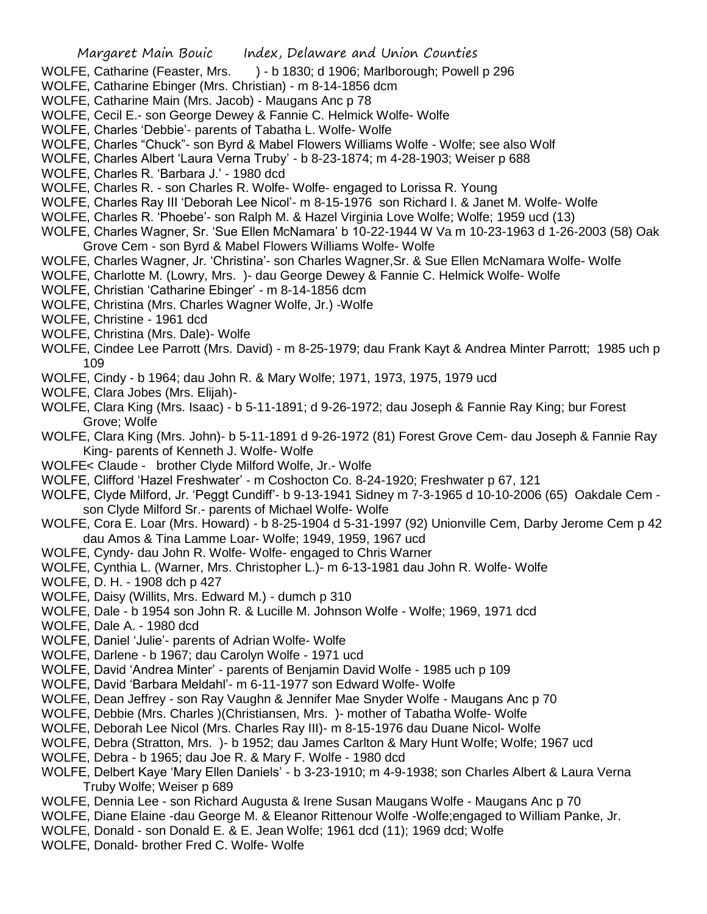- WOLFE, Catharine (Feaster, Mrs. ) b 1830; d 1906; Marlborough; Powell p 296
- WOLFE, Catharine Ebinger (Mrs. Christian) m 8-14-1856 dcm
- WOLFE, Catharine Main (Mrs. Jacob) Maugans Anc p 78
- WOLFE, Cecil E.- son George Dewey & Fannie C. Helmick Wolfe- Wolfe
- WOLFE, Charles 'Debbie'- parents of Tabatha L. Wolfe- Wolfe
- WOLFE, Charles "Chuck"- son Byrd & Mabel Flowers Williams Wolfe Wolfe; see also Wolf
- WOLFE, Charles Albert 'Laura Verna Truby' b 8-23-1874; m 4-28-1903; Weiser p 688
- WOLFE, Charles R. 'Barbara J.' 1980 dcd
- WOLFE, Charles R. son Charles R. Wolfe- Wolfe- engaged to Lorissa R. Young
- WOLFE, Charles Ray III 'Deborah Lee Nicol'- m 8-15-1976 son Richard I. & Janet M. Wolfe- Wolfe
- WOLFE, Charles R. 'Phoebe'- son Ralph M. & Hazel Virginia Love Wolfe; Wolfe; 1959 ucd (13)
- WOLFE, Charles Wagner, Sr. 'Sue Ellen McNamara' b 10-22-1944 W Va m 10-23-1963 d 1-26-2003 (58) Oak Grove Cem - son Byrd & Mabel Flowers Williams Wolfe- Wolfe
- WOLFE, Charles Wagner, Jr. 'Christina'- son Charles Wagner,Sr. & Sue Ellen McNamara Wolfe- Wolfe
- WOLFE, Charlotte M. (Lowry, Mrs. )- dau George Dewey & Fannie C. Helmick Wolfe- Wolfe
- WOLFE, Christian 'Catharine Ebinger' m 8-14-1856 dcm
- WOLFE, Christina (Mrs. Charles Wagner Wolfe, Jr.) -Wolfe
- WOLFE, Christine 1961 dcd
- WOLFE, Christina (Mrs. Dale)- Wolfe
- WOLFE, Cindee Lee Parrott (Mrs. David) m 8-25-1979; dau Frank Kayt & Andrea Minter Parrott; 1985 uch p 109
- WOLFE, Cindy b 1964; dau John R. & Mary Wolfe; 1971, 1973, 1975, 1979 ucd
- WOLFE, Clara Jobes (Mrs. Elijah)-
- WOLFE, Clara King (Mrs. Isaac) b 5-11-1891; d 9-26-1972; dau Joseph & Fannie Ray King; bur Forest Grove; Wolfe
- WOLFE, Clara King (Mrs. John)- b 5-11-1891 d 9-26-1972 (81) Forest Grove Cem- dau Joseph & Fannie Ray King- parents of Kenneth J. Wolfe- Wolfe
- WOLFE< Claude brother Clyde Milford Wolfe, Jr.- Wolfe
- WOLFE, Clifford 'Hazel Freshwater' m Coshocton Co. 8-24-1920; Freshwater p 67, 121
- WOLFE, Clyde Milford, Jr. 'Peggt Cundiff'- b 9-13-1941 Sidney m 7-3-1965 d 10-10-2006 (65) Oakdale Cem son Clyde Milford Sr.- parents of Michael Wolfe- Wolfe
- WOLFE, Cora E. Loar (Mrs. Howard) b 8-25-1904 d 5-31-1997 (92) Unionville Cem, Darby Jerome Cem p 42 dau Amos & Tina Lamme Loar- Wolfe; 1949, 1959, 1967 ucd
- WOLFE, Cyndy- dau John R. Wolfe- Wolfe- engaged to Chris Warner
- WOLFE, Cynthia L. (Warner, Mrs. Christopher L.)- m 6-13-1981 dau John R. Wolfe- Wolfe
- WOLFE, D. H. 1908 dch p 427
- WOLFE, Daisy (Willits, Mrs. Edward M.) dumch p 310
- WOLFE, Dale b 1954 son John R. & Lucille M. Johnson Wolfe Wolfe; 1969, 1971 dcd
- WOLFE, Dale A. 1980 dcd
- WOLFE, Daniel 'Julie'- parents of Adrian Wolfe- Wolfe
- WOLFE, Darlene b 1967; dau Carolyn Wolfe 1971 ucd
- WOLFE, David 'Andrea Minter' parents of Benjamin David Wolfe 1985 uch p 109
- WOLFE, David 'Barbara Meldahl'- m 6-11-1977 son Edward Wolfe- Wolfe
- WOLFE, Dean Jeffrey son Ray Vaughn & Jennifer Mae Snyder Wolfe Maugans Anc p 70
- WOLFE, Debbie (Mrs. Charles )(Christiansen, Mrs. )- mother of Tabatha Wolfe- Wolfe
- WOLFE, Deborah Lee Nicol (Mrs. Charles Ray III)- m 8-15-1976 dau Duane Nicol- Wolfe
- WOLFE, Debra (Stratton, Mrs. )- b 1952; dau James Carlton & Mary Hunt Wolfe; Wolfe; 1967 ucd
- WOLFE, Debra b 1965; dau Joe R. & Mary F. Wolfe 1980 dcd
- WOLFE, Delbert Kaye 'Mary Ellen Daniels' b 3-23-1910; m 4-9-1938; son Charles Albert & Laura Verna Truby Wolfe; Weiser p 689
- WOLFE, Dennia Lee son Richard Augusta & Irene Susan Maugans Wolfe Maugans Anc p 70
- WOLFE, Diane Elaine -dau George M. & Eleanor Rittenour Wolfe -Wolfe;engaged to William Panke, Jr.
- WOLFE, Donald son Donald E. & E. Jean Wolfe; 1961 dcd (11); 1969 dcd; Wolfe
- WOLFE, Donald- brother Fred C. Wolfe- Wolfe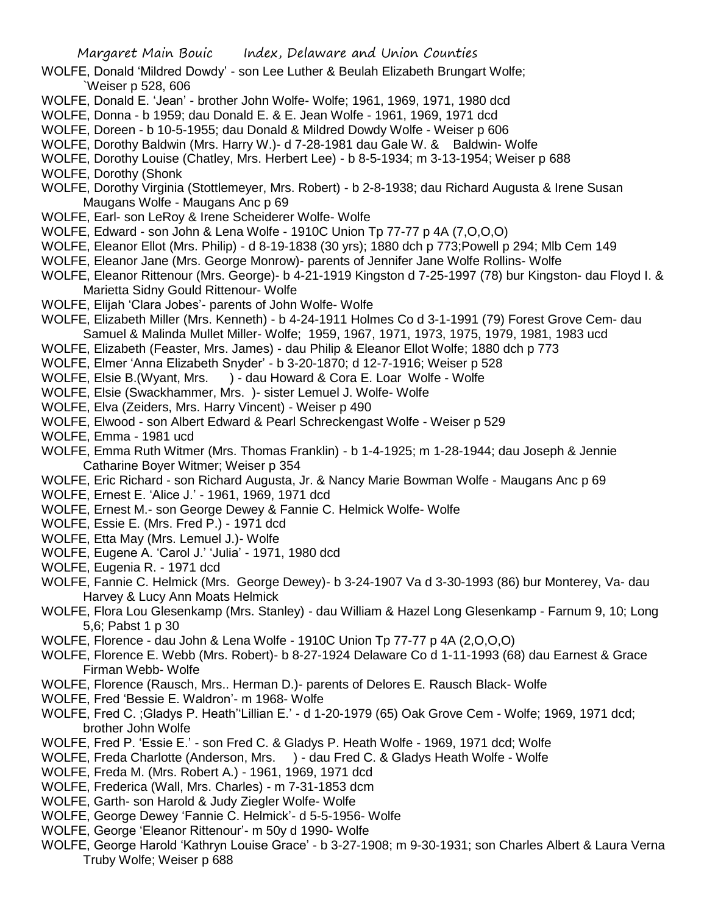- WOLFE, Donald 'Mildred Dowdy' son Lee Luther & Beulah Elizabeth Brungart Wolfe; `Weiser p 528, 606
- WOLFE, Donald E. 'Jean' brother John Wolfe- Wolfe; 1961, 1969, 1971, 1980 dcd
- WOLFE, Donna b 1959; dau Donald E. & E. Jean Wolfe 1961, 1969, 1971 dcd
- WOLFE, Doreen b 10-5-1955; dau Donald & Mildred Dowdy Wolfe Weiser p 606
- WOLFE, Dorothy Baldwin (Mrs. Harry W.)- d 7-28-1981 dau Gale W. & Baldwin-Wolfe
- WOLFE, Dorothy Louise (Chatley, Mrs. Herbert Lee) b 8-5-1934; m 3-13-1954; Weiser p 688
- WOLFE, Dorothy (Shonk
- WOLFE, Dorothy Virginia (Stottlemeyer, Mrs. Robert) b 2-8-1938; dau Richard Augusta & Irene Susan Maugans Wolfe - Maugans Anc p 69
- WOLFE, Earl- son LeRoy & Irene Scheiderer Wolfe- Wolfe
- WOLFE, Edward son John & Lena Wolfe 1910C Union Tp 77-77 p 4A (7,O,O,O)
- WOLFE, Eleanor Ellot (Mrs. Philip) d 8-19-1838 (30 yrs); 1880 dch p 773;Powell p 294; Mlb Cem 149
- WOLFE, Eleanor Jane (Mrs. George Monrow)- parents of Jennifer Jane Wolfe Rollins- Wolfe
- WOLFE, Eleanor Rittenour (Mrs. George)- b 4-21-1919 Kingston d 7-25-1997 (78) bur Kingston- dau Floyd I. & Marietta Sidny Gould Rittenour- Wolfe
- WOLFE, Elijah 'Clara Jobes'- parents of John Wolfe- Wolfe
- WOLFE, Elizabeth Miller (Mrs. Kenneth) b 4-24-1911 Holmes Co d 3-1-1991 (79) Forest Grove Cem- dau Samuel & Malinda Mullet Miller- Wolfe; 1959, 1967, 1971, 1973, 1975, 1979, 1981, 1983 ucd
- WOLFE, Elizabeth (Feaster, Mrs. James) dau Philip & Eleanor Ellot Wolfe; 1880 dch p 773
- WOLFE, Elmer 'Anna Elizabeth Snyder' b 3-20-1870; d 12-7-1916; Weiser p 528
- WOLFE, Elsie B.(Wyant, Mrs. ) dau Howard & Cora E. Loar Wolfe Wolfe
- WOLFE, Elsie (Swackhammer, Mrs. )- sister Lemuel J. Wolfe- Wolfe
- WOLFE, Elva (Zeiders, Mrs. Harry Vincent) Weiser p 490
- WOLFE, Elwood son Albert Edward & Pearl Schreckengast Wolfe Weiser p 529
- WOLFE, Emma 1981 ucd
- WOLFE, Emma Ruth Witmer (Mrs. Thomas Franklin) b 1-4-1925; m 1-28-1944; dau Joseph & Jennie Catharine Boyer Witmer; Weiser p 354
- WOLFE, Eric Richard son Richard Augusta, Jr. & Nancy Marie Bowman Wolfe Maugans Anc p 69
- WOLFE, Ernest E. 'Alice J.' 1961, 1969, 1971 dcd
- WOLFE, Ernest M.- son George Dewey & Fannie C. Helmick Wolfe- Wolfe
- WOLFE, Essie E. (Mrs. Fred P.) 1971 dcd
- WOLFE, Etta May (Mrs. Lemuel J.)- Wolfe
- WOLFE, Eugene A. 'Carol J.' 'Julia' 1971, 1980 dcd
- WOLFE, Eugenia R. 1971 dcd
- WOLFE, Fannie C. Helmick (Mrs. George Dewey)- b 3-24-1907 Va d 3-30-1993 (86) bur Monterey, Va- dau Harvey & Lucy Ann Moats Helmick
- WOLFE, Flora Lou Glesenkamp (Mrs. Stanley) dau William & Hazel Long Glesenkamp Farnum 9, 10; Long 5,6; Pabst 1 p 30
- WOLFE, Florence dau John & Lena Wolfe 1910C Union Tp 77-77 p 4A (2,O,O,O)
- WOLFE, Florence E. Webb (Mrs. Robert)- b 8-27-1924 Delaware Co d 1-11-1993 (68) dau Earnest & Grace Firman Webb- Wolfe
- WOLFE, Florence (Rausch, Mrs.. Herman D.)- parents of Delores E. Rausch Black- Wolfe
- WOLFE, Fred 'Bessie E. Waldron'- m 1968- Wolfe
- WOLFE, Fred C. ;Gladys P. Heath''Lillian E.' d 1-20-1979 (65) Oak Grove Cem Wolfe; 1969, 1971 dcd; brother John Wolfe
- WOLFE, Fred P. 'Essie E.' son Fred C. & Gladys P. Heath Wolfe 1969, 1971 dcd; Wolfe
- WOLFE, Freda Charlotte (Anderson, Mrs. ) dau Fred C. & Gladys Heath Wolfe Wolfe
- WOLFE, Freda M. (Mrs. Robert A.) 1961, 1969, 1971 dcd
- WOLFE, Frederica (Wall, Mrs. Charles) m 7-31-1853 dcm
- WOLFE, Garth- son Harold & Judy Ziegler Wolfe- Wolfe
- WOLFE, George Dewey 'Fannie C. Helmick'- d 5-5-1956- Wolfe
- WOLFE, George 'Eleanor Rittenour'- m 50y d 1990- Wolfe
- WOLFE, George Harold 'Kathryn Louise Grace' b 3-27-1908; m 9-30-1931; son Charles Albert & Laura Verna Truby Wolfe; Weiser p 688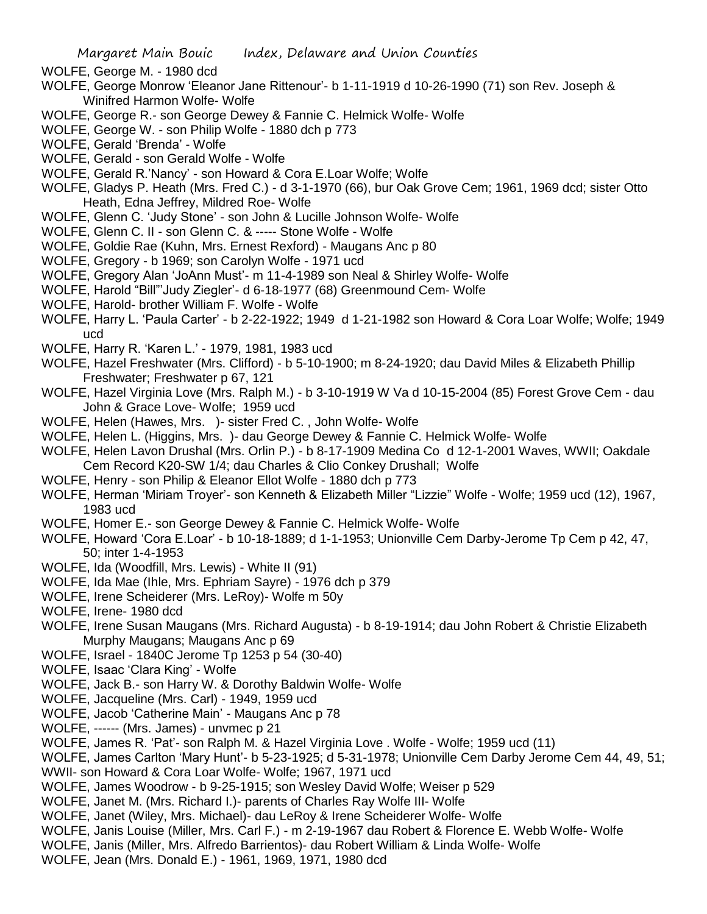- WOLFE, George M. 1980 dcd
- WOLFE, George Monrow 'Eleanor Jane Rittenour'- b 1-11-1919 d 10-26-1990 (71) son Rev. Joseph & Winifred Harmon Wolfe- Wolfe
- WOLFE, George R.- son George Dewey & Fannie C. Helmick Wolfe- Wolfe
- WOLFE, George W. son Philip Wolfe 1880 dch p 773
- WOLFE, Gerald 'Brenda' Wolfe
- WOLFE, Gerald son Gerald Wolfe Wolfe
- WOLFE, Gerald R.'Nancy' son Howard & Cora E.Loar Wolfe; Wolfe
- WOLFE, Gladys P. Heath (Mrs. Fred C.) d 3-1-1970 (66), bur Oak Grove Cem; 1961, 1969 dcd; sister Otto Heath, Edna Jeffrey, Mildred Roe- Wolfe
- WOLFE, Glenn C. 'Judy Stone' son John & Lucille Johnson Wolfe- Wolfe
- WOLFE, Glenn C. II son Glenn C. & ----- Stone Wolfe Wolfe
- WOLFE, Goldie Rae (Kuhn, Mrs. Ernest Rexford) Maugans Anc p 80
- WOLFE, Gregory b 1969; son Carolyn Wolfe 1971 ucd
- WOLFE, Gregory Alan 'JoAnn Must'- m 11-4-1989 son Neal & Shirley Wolfe- Wolfe
- WOLFE, Harold "Bill"'Judy Ziegler'- d 6-18-1977 (68) Greenmound Cem- Wolfe
- WOLFE, Harold- brother William F. Wolfe Wolfe
- WOLFE, Harry L. 'Paula Carter' b 2-22-1922; 1949 d 1-21-1982 son Howard & Cora Loar Wolfe; Wolfe; 1949 ucd
- WOLFE, Harry R. 'Karen L.' 1979, 1981, 1983 ucd
- WOLFE, Hazel Freshwater (Mrs. Clifford) b 5-10-1900; m 8-24-1920; dau David Miles & Elizabeth Phillip Freshwater; Freshwater p 67, 121
- WOLFE, Hazel Virginia Love (Mrs. Ralph M.) b 3-10-1919 W Va d 10-15-2004 (85) Forest Grove Cem dau John & Grace Love- Wolfe; 1959 ucd
- WOLFE, Helen (Hawes, Mrs. )- sister Fred C. , John Wolfe- Wolfe
- WOLFE, Helen L. (Higgins, Mrs. )- dau George Dewey & Fannie C. Helmick Wolfe- Wolfe
- WOLFE, Helen Lavon Drushal (Mrs. Orlin P.) b 8-17-1909 Medina Co d 12-1-2001 Waves, WWII; Oakdale Cem Record K20-SW 1/4; dau Charles & Clio Conkey Drushall; Wolfe
- WOLFE, Henry son Philip & Eleanor Ellot Wolfe 1880 dch p 773
- WOLFE, Herman 'Miriam Troyer'- son Kenneth & Elizabeth Miller "Lizzie" Wolfe Wolfe; 1959 ucd (12), 1967, 1983 ucd
- WOLFE, Homer E.- son George Dewey & Fannie C. Helmick Wolfe- Wolfe
- WOLFE, Howard 'Cora E.Loar' b 10-18-1889; d 1-1-1953; Unionville Cem Darby-Jerome Tp Cem p 42, 47, 50; inter 1-4-1953
- WOLFE, Ida (Woodfill, Mrs. Lewis) White II (91)
- WOLFE, Ida Mae (Ihle, Mrs. Ephriam Sayre) 1976 dch p 379
- WOLFE, Irene Scheiderer (Mrs. LeRoy)- Wolfe m 50y
- WOLFE, Irene- 1980 dcd
- WOLFE, Irene Susan Maugans (Mrs. Richard Augusta) b 8-19-1914; dau John Robert & Christie Elizabeth Murphy Maugans; Maugans Anc p 69
- WOLFE, Israel 1840C Jerome Tp 1253 p 54 (30-40)
- WOLFE, Isaac 'Clara King' Wolfe
- WOLFE, Jack B.- son Harry W. & Dorothy Baldwin Wolfe- Wolfe
- WOLFE, Jacqueline (Mrs. Carl) 1949, 1959 ucd
- WOLFE, Jacob 'Catherine Main' Maugans Anc p 78
- WOLFE, ------ (Mrs. James) unvmec p 21
- WOLFE, James R. 'Pat'- son Ralph M. & Hazel Virginia Love . Wolfe Wolfe; 1959 ucd (11)
- WOLFE, James Carlton 'Mary Hunt'- b 5-23-1925; d 5-31-1978; Unionville Cem Darby Jerome Cem 44, 49, 51;
- WWII- son Howard & Cora Loar Wolfe- Wolfe; 1967, 1971 ucd
- WOLFE, James Woodrow b 9-25-1915; son Wesley David Wolfe; Weiser p 529
- WOLFE, Janet M. (Mrs. Richard I.)- parents of Charles Ray Wolfe III- Wolfe
- WOLFE, Janet (Wiley, Mrs. Michael)- dau LeRoy & Irene Scheiderer Wolfe- Wolfe
- WOLFE, Janis Louise (Miller, Mrs. Carl F.) m 2-19-1967 dau Robert & Florence E. Webb Wolfe- Wolfe
- WOLFE, Janis (Miller, Mrs. Alfredo Barrientos)- dau Robert William & Linda Wolfe- Wolfe
- WOLFE, Jean (Mrs. Donald E.) 1961, 1969, 1971, 1980 dcd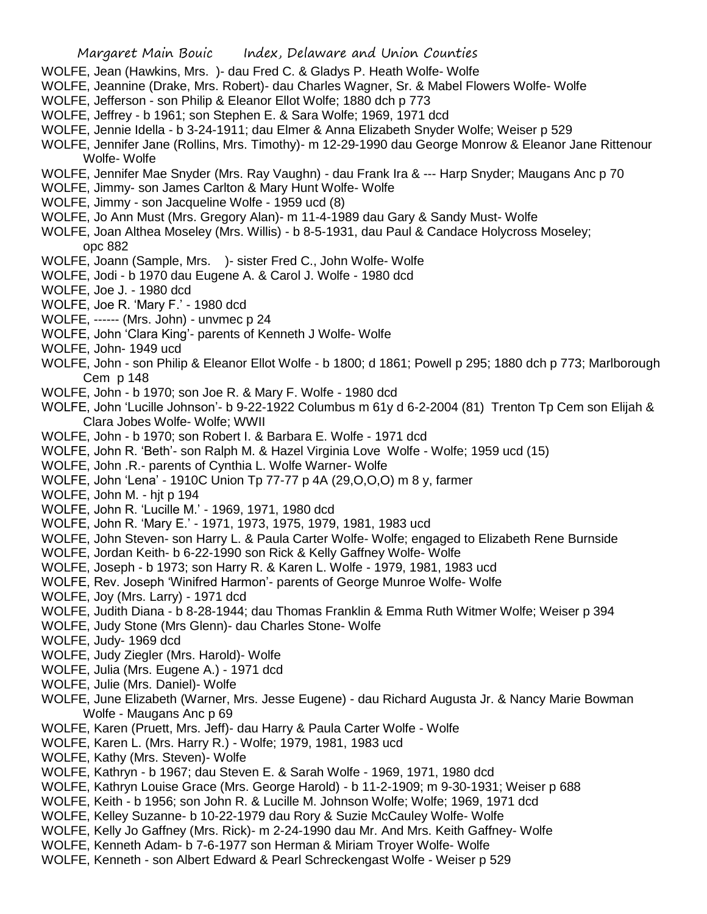- WOLFE, Jean (Hawkins, Mrs. )- dau Fred C. & Gladys P. Heath Wolfe- Wolfe
- WOLFE, Jeannine (Drake, Mrs. Robert)- dau Charles Wagner, Sr. & Mabel Flowers Wolfe- Wolfe
- WOLFE, Jefferson son Philip & Eleanor Ellot Wolfe; 1880 dch p 773
- WOLFE, Jeffrey b 1961; son Stephen E. & Sara Wolfe; 1969, 1971 dcd
- WOLFE, Jennie Idella b 3-24-1911; dau Elmer & Anna Elizabeth Snyder Wolfe; Weiser p 529
- WOLFE, Jennifer Jane (Rollins, Mrs. Timothy)- m 12-29-1990 dau George Monrow & Eleanor Jane Rittenour Wolfe- Wolfe
- WOLFE, Jennifer Mae Snyder (Mrs. Ray Vaughn) dau Frank Ira & --- Harp Snyder; Maugans Anc p 70
- WOLFE, Jimmy- son James Carlton & Mary Hunt Wolfe- Wolfe
- WOLFE, Jimmy son Jacqueline Wolfe 1959 ucd (8)
- WOLFE, Jo Ann Must (Mrs. Gregory Alan)- m 11-4-1989 dau Gary & Sandy Must- Wolfe
- WOLFE, Joan Althea Moseley (Mrs. Willis) b 8-5-1931, dau Paul & Candace Holycross Moseley; opc 882
- WOLFE, Joann (Sample, Mrs. )- sister Fred C., John Wolfe- Wolfe
- WOLFE, Jodi b 1970 dau Eugene A. & Carol J. Wolfe 1980 dcd
- WOLFE, Joe J. 1980 dcd
- WOLFE, Joe R. 'Mary F.' 1980 dcd
- WOLFE, ------ (Mrs. John) unvmec p 24
- WOLFE, John 'Clara King'- parents of Kenneth J Wolfe- Wolfe
- WOLFE, John- 1949 ucd
- WOLFE, John son Philip & Eleanor Ellot Wolfe b 1800; d 1861; Powell p 295; 1880 dch p 773; Marlborough Cem p 148
- WOLFE, John b 1970; son Joe R. & Mary F. Wolfe 1980 dcd
- WOLFE, John 'Lucille Johnson'- b 9-22-1922 Columbus m 61y d 6-2-2004 (81) Trenton Tp Cem son Elijah & Clara Jobes Wolfe- Wolfe; WWII
- WOLFE, John b 1970; son Robert I. & Barbara E. Wolfe 1971 dcd
- WOLFE, John R. 'Beth'- son Ralph M. & Hazel Virginia Love Wolfe Wolfe; 1959 ucd (15)
- WOLFE, John .R.- parents of Cynthia L. Wolfe Warner- Wolfe
- WOLFE, John 'Lena' 1910C Union Tp 77-77 p 4A (29,O,O,O) m 8 y, farmer
- WOLFE, John M. hjt p 194
- WOLFE, John R. 'Lucille M.' 1969, 1971, 1980 dcd
- WOLFE, John R. 'Mary E.' 1971, 1973, 1975, 1979, 1981, 1983 ucd
- WOLFE, John Steven- son Harry L. & Paula Carter Wolfe- Wolfe; engaged to Elizabeth Rene Burnside
- WOLFE, Jordan Keith- b 6-22-1990 son Rick & Kelly Gaffney Wolfe- Wolfe
- WOLFE, Joseph b 1973; son Harry R. & Karen L. Wolfe 1979, 1981, 1983 ucd
- WOLFE, Rev. Joseph 'Winifred Harmon'- parents of George Munroe Wolfe- Wolfe
- WOLFE, Joy (Mrs. Larry) 1971 dcd
- WOLFE, Judith Diana b 8-28-1944; dau Thomas Franklin & Emma Ruth Witmer Wolfe; Weiser p 394
- WOLFE, Judy Stone (Mrs Glenn)- dau Charles Stone- Wolfe
- WOLFE, Judy- 1969 dcd
- WOLFE, Judy Ziegler (Mrs. Harold)- Wolfe
- WOLFE, Julia (Mrs. Eugene A.) 1971 dcd
- WOLFE, Julie (Mrs. Daniel)- Wolfe
- WOLFE, June Elizabeth (Warner, Mrs. Jesse Eugene) dau Richard Augusta Jr. & Nancy Marie Bowman Wolfe - Maugans Anc p 69
- WOLFE, Karen (Pruett, Mrs. Jeff)- dau Harry & Paula Carter Wolfe Wolfe
- WOLFE, Karen L. (Mrs. Harry R.) Wolfe; 1979, 1981, 1983 ucd
- WOLFE, Kathy (Mrs. Steven)- Wolfe
- WOLFE, Kathryn b 1967; dau Steven E. & Sarah Wolfe 1969, 1971, 1980 dcd
- WOLFE, Kathryn Louise Grace (Mrs. George Harold) b 11-2-1909; m 9-30-1931; Weiser p 688
- WOLFE, Keith b 1956; son John R. & Lucille M. Johnson Wolfe; Wolfe; 1969, 1971 dcd
- WOLFE, Kelley Suzanne- b 10-22-1979 dau Rory & Suzie McCauley Wolfe- Wolfe
- WOLFE, Kelly Jo Gaffney (Mrs. Rick)- m 2-24-1990 dau Mr. And Mrs. Keith Gaffney- Wolfe
- WOLFE, Kenneth Adam- b 7-6-1977 son Herman & Miriam Troyer Wolfe- Wolfe
- WOLFE, Kenneth son Albert Edward & Pearl Schreckengast Wolfe Weiser p 529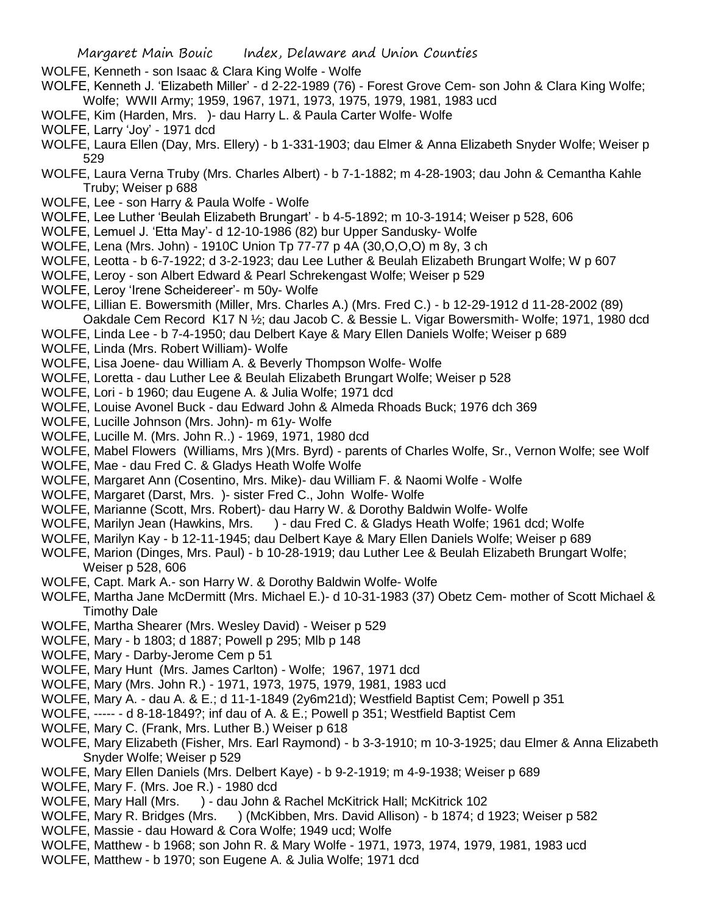WOLFE, Kenneth - son Isaac & Clara King Wolfe - Wolfe

- WOLFE, Kenneth J. 'Elizabeth Miller' d 2-22-1989 (76) Forest Grove Cem- son John & Clara King Wolfe; Wolfe; WWII Army; 1959, 1967, 1971, 1973, 1975, 1979, 1981, 1983 ucd
- WOLFE, Kim (Harden, Mrs. )- dau Harry L. & Paula Carter Wolfe- Wolfe
- WOLFE, Larry 'Joy' 1971 dcd
- WOLFE, Laura Ellen (Day, Mrs. Ellery) b 1-331-1903; dau Elmer & Anna Elizabeth Snyder Wolfe; Weiser p 529
- WOLFE, Laura Verna Truby (Mrs. Charles Albert) b 7-1-1882; m 4-28-1903; dau John & Cemantha Kahle Truby; Weiser p 688
- WOLFE, Lee son Harry & Paula Wolfe Wolfe
- WOLFE, Lee Luther 'Beulah Elizabeth Brungart' b 4-5-1892; m 10-3-1914; Weiser p 528, 606
- WOLFE, Lemuel J. 'Etta May'- d 12-10-1986 (82) bur Upper Sandusky- Wolfe
- WOLFE, Lena (Mrs. John) 1910C Union Tp 77-77 p 4A (30,O,O,O) m 8y, 3 ch
- WOLFE, Leotta b 6-7-1922; d 3-2-1923; dau Lee Luther & Beulah Elizabeth Brungart Wolfe; W p 607
- WOLFE, Leroy son Albert Edward & Pearl Schrekengast Wolfe; Weiser p 529
- WOLFE, Leroy 'Irene Scheidereer'- m 50y- Wolfe
- WOLFE, Lillian E. Bowersmith (Miller, Mrs. Charles A.) (Mrs. Fred C.) b 12-29-1912 d 11-28-2002 (89) Oakdale Cem Record K17 N ½; dau Jacob C. & Bessie L. Vigar Bowersmith- Wolfe; 1971, 1980 dcd
- WOLFE, Linda Lee b 7-4-1950; dau Delbert Kaye & Mary Ellen Daniels Wolfe; Weiser p 689
- WOLFE, Linda (Mrs. Robert William)- Wolfe
- WOLFE, Lisa Joene- dau William A. & Beverly Thompson Wolfe- Wolfe
- WOLFE, Loretta dau Luther Lee & Beulah Elizabeth Brungart Wolfe; Weiser p 528
- WOLFE, Lori b 1960; dau Eugene A. & Julia Wolfe; 1971 dcd
- WOLFE, Louise Avonel Buck dau Edward John & Almeda Rhoads Buck; 1976 dch 369
- WOLFE, Lucille Johnson (Mrs. John)- m 61y- Wolfe
- WOLFE, Lucille M. (Mrs. John R..) 1969, 1971, 1980 dcd
- WOLFE, Mabel Flowers (Williams, Mrs )(Mrs. Byrd) parents of Charles Wolfe, Sr., Vernon Wolfe; see Wolf
- WOLFE, Mae dau Fred C. & Gladys Heath Wolfe Wolfe
- WOLFE, Margaret Ann (Cosentino, Mrs. Mike)- dau William F. & Naomi Wolfe Wolfe
- WOLFE, Margaret (Darst, Mrs. )- sister Fred C., John Wolfe- Wolfe
- WOLFE, Marianne (Scott, Mrs. Robert)- dau Harry W. & Dorothy Baldwin Wolfe- Wolfe
- WOLFE, Marilyn Jean (Hawkins, Mrs. ) dau Fred C. & Gladys Heath Wolfe; 1961 dcd; Wolfe
- WOLFE, Marilyn Kay b 12-11-1945; dau Delbert Kaye & Mary Ellen Daniels Wolfe; Weiser p 689
- WOLFE, Marion (Dinges, Mrs. Paul) b 10-28-1919; dau Luther Lee & Beulah Elizabeth Brungart Wolfe; Weiser p 528, 606
- WOLFE, Capt. Mark A.- son Harry W. & Dorothy Baldwin Wolfe- Wolfe
- WOLFE, Martha Jane McDermitt (Mrs. Michael E.)- d 10-31-1983 (37) Obetz Cem- mother of Scott Michael & Timothy Dale
- WOLFE, Martha Shearer (Mrs. Wesley David) Weiser p 529
- WOLFE, Mary b 1803; d 1887; Powell p 295; Mlb p 148
- WOLFE, Mary Darby-Jerome Cem p 51
- WOLFE, Mary Hunt (Mrs. James Carlton) Wolfe; 1967, 1971 dcd
- WOLFE, Mary (Mrs. John R.) 1971, 1973, 1975, 1979, 1981, 1983 ucd
- WOLFE, Mary A. dau A. & E.; d 11-1-1849 (2y6m21d); Westfield Baptist Cem; Powell p 351
- WOLFE, ----- d 8-18-1849?; inf dau of A. & E.; Powell p 351; Westfield Baptist Cem
- WOLFE, Mary C. (Frank, Mrs. Luther B.) Weiser p 618
- WOLFE, Mary Elizabeth (Fisher, Mrs. Earl Raymond) b 3-3-1910; m 10-3-1925; dau Elmer & Anna Elizabeth Snyder Wolfe; Weiser p 529
- WOLFE, Mary Ellen Daniels (Mrs. Delbert Kaye) b 9-2-1919; m 4-9-1938; Weiser p 689
- WOLFE, Mary F. (Mrs. Joe R.) 1980 dcd
- WOLFE, Mary Hall (Mrs. ) dau John & Rachel McKitrick Hall; McKitrick 102
- WOLFE, Mary R. Bridges (Mrs. ) (McKibben, Mrs. David Allison) b 1874; d 1923; Weiser p 582
- WOLFE, Massie dau Howard & Cora Wolfe; 1949 ucd; Wolfe
- WOLFE, Matthew b 1968; son John R. & Mary Wolfe 1971, 1973, 1974, 1979, 1981, 1983 ucd
- WOLFE, Matthew b 1970; son Eugene A. & Julia Wolfe; 1971 dcd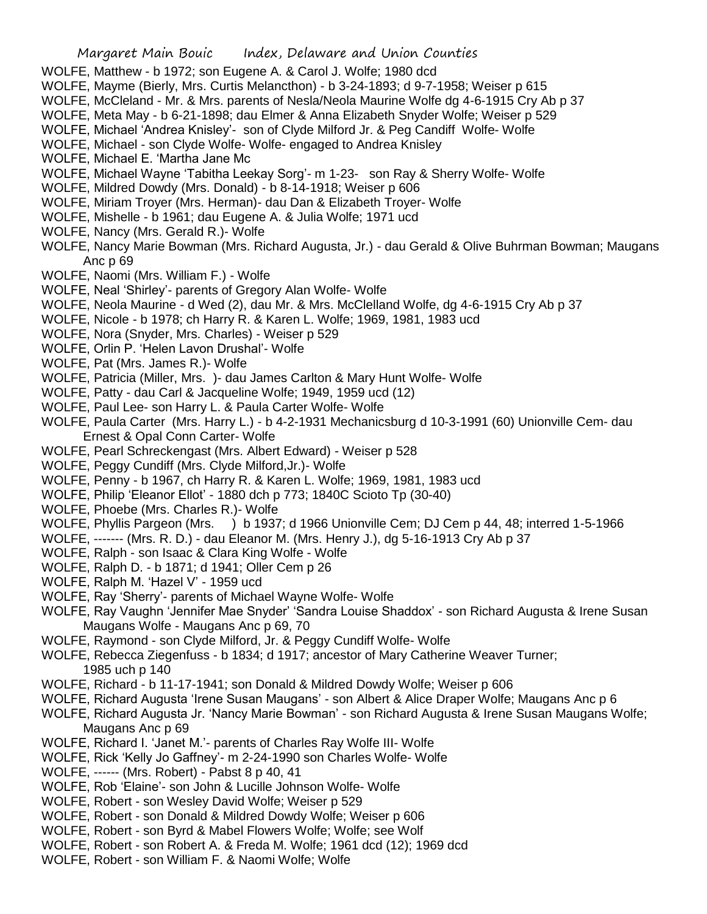- WOLFE, Matthew b 1972; son Eugene A. & Carol J. Wolfe; 1980 dcd
- WOLFE, Mayme (Bierly, Mrs. Curtis Melancthon) b 3-24-1893; d 9-7-1958; Weiser p 615
- WOLFE, McCleland Mr. & Mrs. parents of Nesla/Neola Maurine Wolfe dg 4-6-1915 Cry Ab p 37
- WOLFE, Meta May b 6-21-1898; dau Elmer & Anna Elizabeth Snyder Wolfe; Weiser p 529
- WOLFE, Michael 'Andrea Knisley'- son of Clyde Milford Jr. & Peg Candiff Wolfe- Wolfe
- WOLFE, Michael son Clyde Wolfe- Wolfe- engaged to Andrea Knisley
- WOLFE, Michael E. 'Martha Jane Mc
- WOLFE, Michael Wayne 'Tabitha Leekay Sorg'- m 1-23- son Ray & Sherry Wolfe- Wolfe
- WOLFE, Mildred Dowdy (Mrs. Donald) b 8-14-1918; Weiser p 606
- WOLFE, Miriam Troyer (Mrs. Herman)- dau Dan & Elizabeth Troyer- Wolfe
- WOLFE, Mishelle b 1961; dau Eugene A. & Julia Wolfe; 1971 ucd
- WOLFE, Nancy (Mrs. Gerald R.)- Wolfe
- WOLFE, Nancy Marie Bowman (Mrs. Richard Augusta, Jr.) dau Gerald & Olive Buhrman Bowman; Maugans Anc p 69
- WOLFE, Naomi (Mrs. William F.) Wolfe
- WOLFE, Neal 'Shirley'- parents of Gregory Alan Wolfe- Wolfe
- WOLFE, Neola Maurine d Wed (2), dau Mr. & Mrs. McClelland Wolfe, dg 4-6-1915 Cry Ab p 37
- WOLFE, Nicole b 1978; ch Harry R. & Karen L. Wolfe; 1969, 1981, 1983 ucd
- WOLFE, Nora (Snyder, Mrs. Charles) Weiser p 529
- WOLFE, Orlin P. 'Helen Lavon Drushal'- Wolfe
- WOLFE, Pat (Mrs. James R.)- Wolfe
- WOLFE, Patricia (Miller, Mrs. )- dau James Carlton & Mary Hunt Wolfe- Wolfe
- WOLFE, Patty dau Carl & Jacqueline Wolfe; 1949, 1959 ucd (12)
- WOLFE, Paul Lee- son Harry L. & Paula Carter Wolfe- Wolfe
- WOLFE, Paula Carter (Mrs. Harry L.) b 4-2-1931 Mechanicsburg d 10-3-1991 (60) Unionville Cem- dau Ernest & Opal Conn Carter- Wolfe
- WOLFE, Pearl Schreckengast (Mrs. Albert Edward) Weiser p 528
- WOLFE, Peggy Cundiff (Mrs. Clyde Milford,Jr.)- Wolfe
- WOLFE, Penny b 1967, ch Harry R. & Karen L. Wolfe; 1969, 1981, 1983 ucd
- WOLFE, Philip 'Eleanor Ellot' 1880 dch p 773; 1840C Scioto Tp (30-40)
- WOLFE, Phoebe (Mrs. Charles R.)- Wolfe
- WOLFE, Phyllis Pargeon (Mrs. ) b 1937; d 1966 Unionville Cem; DJ Cem p 44, 48; interred 1-5-1966
- WOLFE, ------- (Mrs. R. D.) dau Eleanor M. (Mrs. Henry J.), dg 5-16-1913 Cry Ab p 37
- WOLFE, Ralph son Isaac & Clara King Wolfe Wolfe
- WOLFE, Ralph D. b 1871; d 1941; Oller Cem p 26
- WOLFE, Ralph M. 'Hazel V' 1959 ucd
- WOLFE, Ray 'Sherry'- parents of Michael Wayne Wolfe- Wolfe
- WOLFE, Ray Vaughn 'Jennifer Mae Snyder' 'Sandra Louise Shaddox' son Richard Augusta & Irene Susan Maugans Wolfe - Maugans Anc p 69, 70
- WOLFE, Raymond son Clyde Milford, Jr. & Peggy Cundiff Wolfe- Wolfe
- WOLFE, Rebecca Ziegenfuss b 1834; d 1917; ancestor of Mary Catherine Weaver Turner; 1985 uch p 140
- WOLFE, Richard b 11-17-1941; son Donald & Mildred Dowdy Wolfe; Weiser p 606
- WOLFE, Richard Augusta 'Irene Susan Maugans' son Albert & Alice Draper Wolfe; Maugans Anc p 6
- WOLFE, Richard Augusta Jr. 'Nancy Marie Bowman' son Richard Augusta & Irene Susan Maugans Wolfe; Maugans Anc p 69
- WOLFE, Richard I. 'Janet M.'- parents of Charles Ray Wolfe III- Wolfe
- WOLFE, Rick 'Kelly Jo Gaffney'- m 2-24-1990 son Charles Wolfe- Wolfe
- WOLFE, ------ (Mrs. Robert) Pabst 8 p 40, 41
- WOLFE, Rob 'Elaine'- son John & Lucille Johnson Wolfe- Wolfe
- WOLFE, Robert son Wesley David Wolfe; Weiser p 529
- WOLFE, Robert son Donald & Mildred Dowdy Wolfe; Weiser p 606
- WOLFE, Robert son Byrd & Mabel Flowers Wolfe; Wolfe; see Wolf
- WOLFE, Robert son Robert A. & Freda M. Wolfe; 1961 dcd (12); 1969 dcd
- WOLFE, Robert son William F. & Naomi Wolfe; Wolfe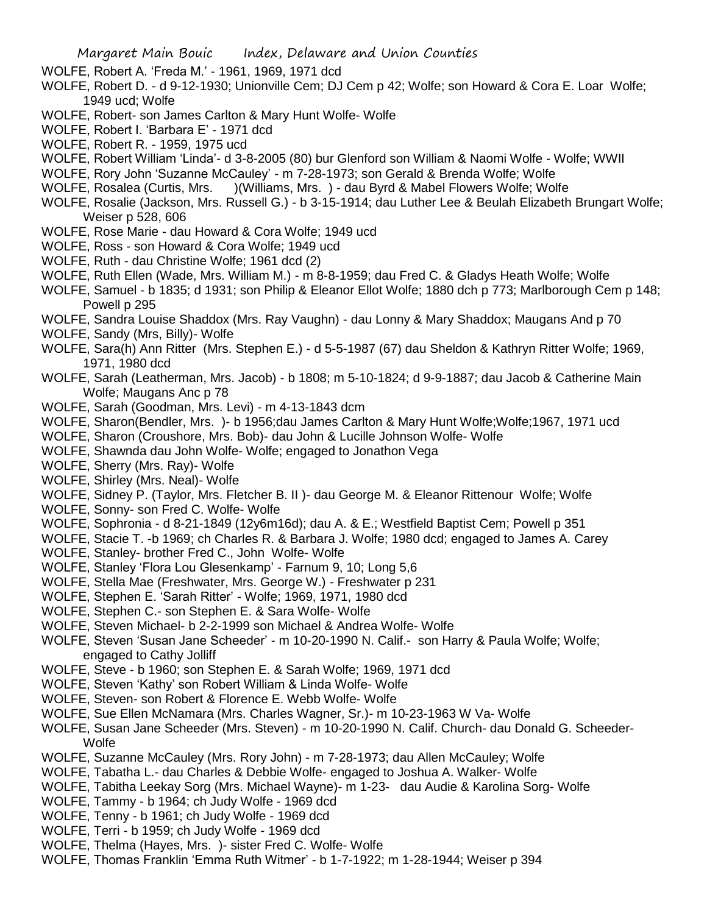WOLFE, Robert A. 'Freda M.' - 1961, 1969, 1971 dcd

- WOLFE, Robert D. d 9-12-1930; Unionville Cem; DJ Cem p 42; Wolfe; son Howard & Cora E. Loar Wolfe; 1949 ucd; Wolfe
- WOLFE, Robert- son James Carlton & Mary Hunt Wolfe- Wolfe
- WOLFE, Robert I. 'Barbara E' 1971 dcd
- WOLFE, Robert R. 1959, 1975 ucd
- WOLFE, Robert William 'Linda'- d 3-8-2005 (80) bur Glenford son William & Naomi Wolfe Wolfe; WWII
- WOLFE, Rory John 'Suzanne McCauley' m 7-28-1973; son Gerald & Brenda Wolfe; Wolfe
- WOLFE, Rosalea (Curtis, Mrs. )(Williams, Mrs. ) dau Byrd & Mabel Flowers Wolfe; Wolfe
- WOLFE, Rosalie (Jackson, Mrs. Russell G.) b 3-15-1914; dau Luther Lee & Beulah Elizabeth Brungart Wolfe; Weiser p 528, 606
- WOLFE, Rose Marie dau Howard & Cora Wolfe; 1949 ucd
- WOLFE, Ross son Howard & Cora Wolfe; 1949 ucd
- WOLFE, Ruth dau Christine Wolfe; 1961 dcd (2)
- WOLFE, Ruth Ellen (Wade, Mrs. William M.) m 8-8-1959; dau Fred C. & Gladys Heath Wolfe; Wolfe
- WOLFE, Samuel b 1835; d 1931; son Philip & Eleanor Ellot Wolfe; 1880 dch p 773; Marlborough Cem p 148; Powell p 295
- WOLFE, Sandra Louise Shaddox (Mrs. Ray Vaughn) dau Lonny & Mary Shaddox; Maugans And p 70
- WOLFE, Sandy (Mrs, Billy)- Wolfe
- WOLFE, Sara(h) Ann Ritter (Mrs. Stephen E.) d 5-5-1987 (67) dau Sheldon & Kathryn Ritter Wolfe; 1969, 1971, 1980 dcd
- WOLFE, Sarah (Leatherman, Mrs. Jacob) b 1808; m 5-10-1824; d 9-9-1887; dau Jacob & Catherine Main Wolfe; Maugans Anc p 78
- WOLFE, Sarah (Goodman, Mrs. Levi) m 4-13-1843 dcm
- WOLFE, Sharon(Bendler, Mrs. )- b 1956;dau James Carlton & Mary Hunt Wolfe;Wolfe;1967, 1971 ucd
- WOLFE, Sharon (Croushore, Mrs. Bob)- dau John & Lucille Johnson Wolfe- Wolfe
- WOLFE, Shawnda dau John Wolfe- Wolfe; engaged to Jonathon Vega
- WOLFE, Sherry (Mrs. Ray)- Wolfe
- WOLFE, Shirley (Mrs. Neal)- Wolfe
- WOLFE, Sidney P. (Taylor, Mrs. Fletcher B. II )- dau George M. & Eleanor Rittenour Wolfe; Wolfe
- WOLFE, Sonny- son Fred C. Wolfe- Wolfe
- WOLFE, Sophronia d 8-21-1849 (12y6m16d); dau A. & E.; Westfield Baptist Cem; Powell p 351
- WOLFE, Stacie T. -b 1969; ch Charles R. & Barbara J. Wolfe; 1980 dcd; engaged to James A. Carey
- WOLFE, Stanley- brother Fred C., John Wolfe- Wolfe
- WOLFE, Stanley 'Flora Lou Glesenkamp' Farnum 9, 10; Long 5,6
- WOLFE, Stella Mae (Freshwater, Mrs. George W.) Freshwater p 231
- WOLFE, Stephen E. 'Sarah Ritter' Wolfe; 1969, 1971, 1980 dcd
- WOLFE, Stephen C.- son Stephen E. & Sara Wolfe- Wolfe
- WOLFE, Steven Michael- b 2-2-1999 son Michael & Andrea Wolfe- Wolfe
- WOLFE, Steven 'Susan Jane Scheeder' m 10-20-1990 N. Calif.- son Harry & Paula Wolfe; Wolfe; engaged to Cathy Jolliff
- WOLFE, Steve b 1960; son Stephen E. & Sarah Wolfe; 1969, 1971 dcd
- WOLFE, Steven 'Kathy' son Robert William & Linda Wolfe- Wolfe
- WOLFE, Steven- son Robert & Florence E. Webb Wolfe- Wolfe
- WOLFE, Sue Ellen McNamara (Mrs. Charles Wagner, Sr.)- m 10-23-1963 W Va- Wolfe
- WOLFE, Susan Jane Scheeder (Mrs. Steven) m 10-20-1990 N. Calif. Church- dau Donald G. Scheeder-**Wolfe**
- WOLFE, Suzanne McCauley (Mrs. Rory John) m 7-28-1973; dau Allen McCauley; Wolfe
- WOLFE, Tabatha L.- dau Charles & Debbie Wolfe- engaged to Joshua A. Walker- Wolfe
- WOLFE, Tabitha Leekay Sorg (Mrs. Michael Wayne)- m 1-23- dau Audie & Karolina Sorg- Wolfe
- WOLFE, Tammy b 1964; ch Judy Wolfe 1969 dcd
- WOLFE, Tenny b 1961; ch Judy Wolfe 1969 dcd
- WOLFE, Terri b 1959; ch Judy Wolfe 1969 dcd
- WOLFE, Thelma (Hayes, Mrs. )- sister Fred C. Wolfe- Wolfe
- WOLFE, Thomas Franklin 'Emma Ruth Witmer' b 1-7-1922; m 1-28-1944; Weiser p 394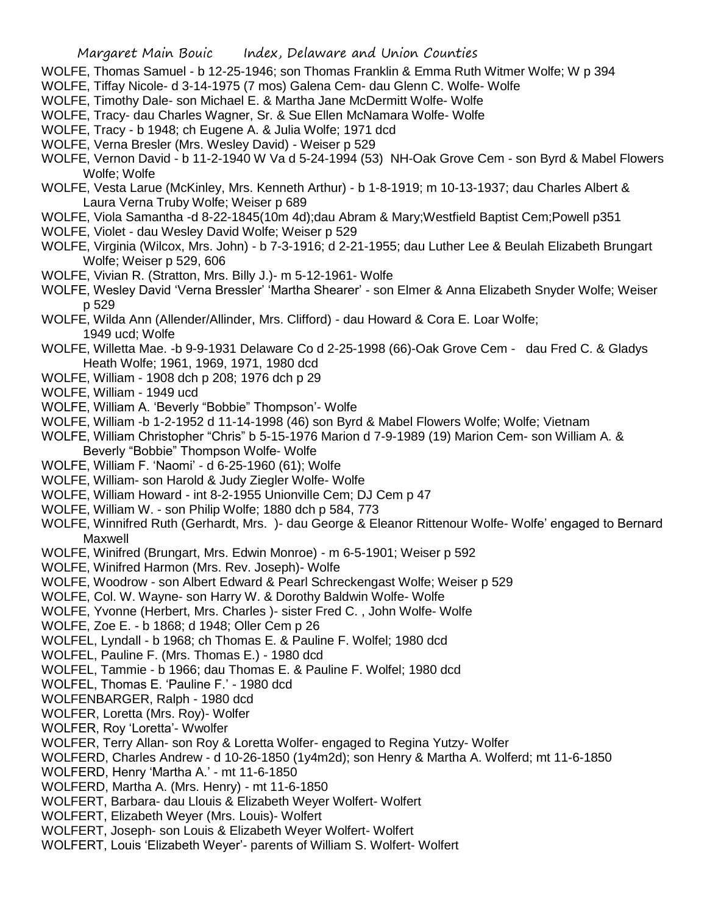- WOLFE, Thomas Samuel b 12-25-1946; son Thomas Franklin & Emma Ruth Witmer Wolfe; W p 394
- WOLFE, Tiffay Nicole- d 3-14-1975 (7 mos) Galena Cem- dau Glenn C. Wolfe- Wolfe
- WOLFE, Timothy Dale- son Michael E. & Martha Jane McDermitt Wolfe- Wolfe
- WOLFE, Tracy- dau Charles Wagner, Sr. & Sue Ellen McNamara Wolfe- Wolfe
- WOLFE, Tracy b 1948; ch Eugene A. & Julia Wolfe; 1971 dcd
- WOLFE, Verna Bresler (Mrs. Wesley David) Weiser p 529
- WOLFE, Vernon David b 11-2-1940 W Va d 5-24-1994 (53) NH-Oak Grove Cem son Byrd & Mabel Flowers Wolfe; Wolfe
- WOLFE, Vesta Larue (McKinley, Mrs. Kenneth Arthur) b 1-8-1919; m 10-13-1937; dau Charles Albert & Laura Verna Truby Wolfe; Weiser p 689
- WOLFE, Viola Samantha -d 8-22-1845(10m 4d);dau Abram & Mary;Westfield Baptist Cem;Powell p351
- WOLFE, Violet dau Wesley David Wolfe; Weiser p 529
- WOLFE, Virginia (Wilcox, Mrs. John) b 7-3-1916; d 2-21-1955; dau Luther Lee & Beulah Elizabeth Brungart Wolfe; Weiser p 529, 606
- WOLFE, Vivian R. (Stratton, Mrs. Billy J.)- m 5-12-1961- Wolfe
- WOLFE, Wesley David 'Verna Bressler' 'Martha Shearer' son Elmer & Anna Elizabeth Snyder Wolfe; Weiser p 529
- WOLFE, Wilda Ann (Allender/Allinder, Mrs. Clifford) dau Howard & Cora E. Loar Wolfe; 1949 ucd; Wolfe
- WOLFE, Willetta Mae. -b 9-9-1931 Delaware Co d 2-25-1998 (66)-Oak Grove Cem dau Fred C. & Gladys Heath Wolfe; 1961, 1969, 1971, 1980 dcd
- WOLFE, William 1908 dch p 208; 1976 dch p 29
- WOLFE, William 1949 ucd
- WOLFE, William A. 'Beverly "Bobbie" Thompson'- Wolfe
- WOLFE, William -b 1-2-1952 d 11-14-1998 (46) son Byrd & Mabel Flowers Wolfe; Wolfe; Vietnam
- WOLFE, William Christopher "Chris" b 5-15-1976 Marion d 7-9-1989 (19) Marion Cem- son William A. & Beverly "Bobbie" Thompson Wolfe- Wolfe
- WOLFE, William F. 'Naomi' d 6-25-1960 (61); Wolfe
- WOLFE, William- son Harold & Judy Ziegler Wolfe- Wolfe
- WOLFE, William Howard int 8-2-1955 Unionville Cem; DJ Cem p 47
- WOLFE, William W. son Philip Wolfe; 1880 dch p 584, 773
- WOLFE, Winnifred Ruth (Gerhardt, Mrs. )- dau George & Eleanor Rittenour Wolfe- Wolfe' engaged to Bernard Maxwell
- WOLFE, Winifred (Brungart, Mrs. Edwin Monroe) m 6-5-1901; Weiser p 592
- WOLFE, Winifred Harmon (Mrs. Rev. Joseph)- Wolfe
- WOLFE, Woodrow son Albert Edward & Pearl Schreckengast Wolfe; Weiser p 529
- WOLFE, Col. W. Wayne- son Harry W. & Dorothy Baldwin Wolfe- Wolfe
- WOLFE, Yvonne (Herbert, Mrs. Charles )- sister Fred C. , John Wolfe- Wolfe
- WOLFE, Zoe E. b 1868; d 1948; Oller Cem p 26
- WOLFEL, Lyndall b 1968; ch Thomas E. & Pauline F. Wolfel; 1980 dcd
- WOLFEL, Pauline F. (Mrs. Thomas E.) 1980 dcd
- WOLFEL, Tammie b 1966; dau Thomas E. & Pauline F. Wolfel; 1980 dcd
- WOLFEL, Thomas E. 'Pauline F.' 1980 dcd
- WOLFENBARGER, Ralph 1980 dcd
- WOLFER, Loretta (Mrs. Roy)- Wolfer
- WOLFER, Roy 'Loretta'- Wwolfer
- WOLFER, Terry Allan- son Roy & Loretta Wolfer- engaged to Regina Yutzy- Wolfer
- WOLFERD, Charles Andrew d 10-26-1850 (1y4m2d); son Henry & Martha A. Wolferd; mt 11-6-1850
- WOLFERD, Henry 'Martha A.' mt 11-6-1850
- WOLFERD, Martha A. (Mrs. Henry) mt 11-6-1850
- WOLFERT, Barbara- dau Llouis & Elizabeth Weyer Wolfert- Wolfert
- WOLFERT, Elizabeth Weyer (Mrs. Louis)- Wolfert
- WOLFERT, Joseph- son Louis & Elizabeth Weyer Wolfert- Wolfert
- WOLFERT, Louis 'Elizabeth Weyer'- parents of William S. Wolfert- Wolfert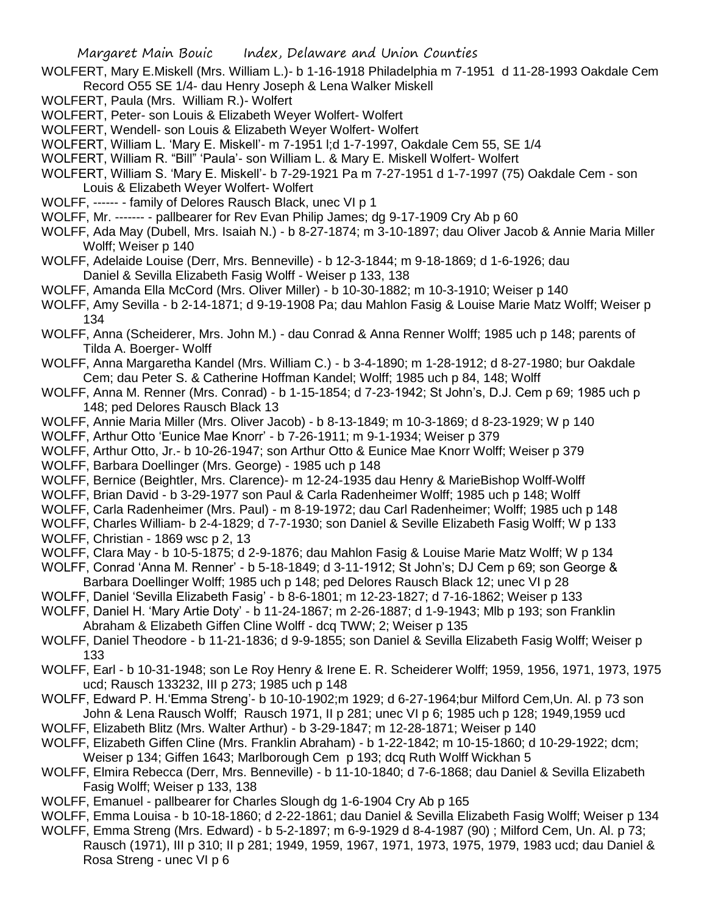- WOLFERT, Mary E.Miskell (Mrs. William L.)- b 1-16-1918 Philadelphia m 7-1951 d 11-28-1993 Oakdale Cem Record O55 SE 1/4- dau Henry Joseph & Lena Walker Miskell
- WOLFERT, Paula (Mrs. William R.)- Wolfert
- WOLFERT, Peter- son Louis & Elizabeth Weyer Wolfert- Wolfert
- WOLFERT, Wendell- son Louis & Elizabeth Weyer Wolfert- Wolfert
- WOLFERT, William L. 'Mary E. Miskell'- m 7-1951 l;d 1-7-1997, Oakdale Cem 55, SE 1/4
- WOLFERT, William R. "Bill" 'Paula'- son William L. & Mary E. Miskell Wolfert- Wolfert
- WOLFERT, William S. 'Mary E. Miskell'- b 7-29-1921 Pa m 7-27-1951 d 1-7-1997 (75) Oakdale Cem son Louis & Elizabeth Weyer Wolfert- Wolfert
- WOLFF, ------ family of Delores Rausch Black, unec VI p 1
- WOLFF, Mr. ------- pallbearer for Rev Evan Philip James; dg 9-17-1909 Cry Ab p 60
- WOLFF, Ada May (Dubell, Mrs. Isaiah N.) b 8-27-1874; m 3-10-1897; dau Oliver Jacob & Annie Maria Miller Wolff; Weiser p 140
- WOLFF, Adelaide Louise (Derr, Mrs. Benneville) b 12-3-1844; m 9-18-1869; d 1-6-1926; dau Daniel & Sevilla Elizabeth Fasig Wolff - Weiser p 133, 138
- WOLFF, Amanda Ella McCord (Mrs. Oliver Miller) b 10-30-1882; m 10-3-1910; Weiser p 140
- WOLFF, Amy Sevilla b 2-14-1871; d 9-19-1908 Pa; dau Mahlon Fasig & Louise Marie Matz Wolff; Weiser p 134
- WOLFF, Anna (Scheiderer, Mrs. John M.) dau Conrad & Anna Renner Wolff; 1985 uch p 148; parents of Tilda A. Boerger- Wolff
- WOLFF, Anna Margaretha Kandel (Mrs. William C.) b 3-4-1890; m 1-28-1912; d 8-27-1980; bur Oakdale Cem; dau Peter S. & Catherine Hoffman Kandel; Wolff; 1985 uch p 84, 148; Wolff
- WOLFF, Anna M. Renner (Mrs. Conrad) b 1-15-1854; d 7-23-1942; St John's, D.J. Cem p 69; 1985 uch p 148; ped Delores Rausch Black 13
- WOLFF, Annie Maria Miller (Mrs. Oliver Jacob) b 8-13-1849; m 10-3-1869; d 8-23-1929; W p 140
- WOLFF, Arthur Otto 'Eunice Mae Knorr' b 7-26-1911; m 9-1-1934; Weiser p 379
- WOLFF, Arthur Otto, Jr.- b 10-26-1947; son Arthur Otto & Eunice Mae Knorr Wolff; Weiser p 379 WOLFF, Barbara Doellinger (Mrs. George) - 1985 uch p 148
- WOLFF, Bernice (Beightler, Mrs. Clarence)- m 12-24-1935 dau Henry & MarieBishop Wolff-Wolff
- WOLFF, Brian David b 3-29-1977 son Paul & Carla Radenheimer Wolff; 1985 uch p 148; Wolff
- WOLFF, Carla Radenheimer (Mrs. Paul) m 8-19-1972; dau Carl Radenheimer; Wolff; 1985 uch p 148
- WOLFF, Charles William- b 2-4-1829; d 7-7-1930; son Daniel & Seville Elizabeth Fasig Wolff; W p 133
- WOLFF, Christian 1869 wsc p 2, 13
- WOLFF, Clara May b 10-5-1875; d 2-9-1876; dau Mahlon Fasig & Louise Marie Matz Wolff; W p 134
- WOLFF, Conrad 'Anna M. Renner' b 5-18-1849; d 3-11-1912; St John's; DJ Cem p 69; son George &
- Barbara Doellinger Wolff; 1985 uch p 148; ped Delores Rausch Black 12; unec VI p 28
- WOLFF, Daniel 'Sevilla Elizabeth Fasig' b 8-6-1801; m 12-23-1827; d 7-16-1862; Weiser p 133
- WOLFF, Daniel H. 'Mary Artie Doty' b 11-24-1867; m 2-26-1887; d 1-9-1943; Mlb p 193; son Franklin Abraham & Elizabeth Giffen Cline Wolff - dcq TWW; 2; Weiser p 135
- WOLFF, Daniel Theodore b 11-21-1836; d 9-9-1855; son Daniel & Sevilla Elizabeth Fasig Wolff; Weiser p 133
- WOLFF, Earl b 10-31-1948; son Le Roy Henry & Irene E. R. Scheiderer Wolff; 1959, 1956, 1971, 1973, 1975 ucd; Rausch 133232, III p 273; 1985 uch p 148
- WOLFF, Edward P. H.'Emma Streng'- b 10-10-1902;m 1929; d 6-27-1964;bur Milford Cem,Un. Al. p 73 son John & Lena Rausch Wolff; Rausch 1971, II p 281; unec VI p 6; 1985 uch p 128; 1949,1959 ucd
- WOLFF, Elizabeth Blitz (Mrs. Walter Arthur) b 3-29-1847; m 12-28-1871; Weiser p 140
- WOLFF, Elizabeth Giffen Cline (Mrs. Franklin Abraham) b 1-22-1842; m 10-15-1860; d 10-29-1922; dcm; Weiser p 134; Giffen 1643; Marlborough Cem p 193; dcq Ruth Wolff Wickhan 5
- WOLFF, Elmira Rebecca (Derr, Mrs. Benneville) b 11-10-1840; d 7-6-1868; dau Daniel & Sevilla Elizabeth Fasig Wolff; Weiser p 133, 138
- WOLFF, Emanuel pallbearer for Charles Slough dg 1-6-1904 Cry Ab p 165
- WOLFF, Emma Louisa b 10-18-1860; d 2-22-1861; dau Daniel & Sevilla Elizabeth Fasig Wolff; Weiser p 134
- WOLFF, Emma Streng (Mrs. Edward) b 5-2-1897; m 6-9-1929 d 8-4-1987 (90) ; Milford Cem, Un. Al. p 73; Rausch (1971), III p 310; II p 281; 1949, 1959, 1967, 1971, 1973, 1975, 1979, 1983 ucd; dau Daniel & Rosa Streng - unec VI p 6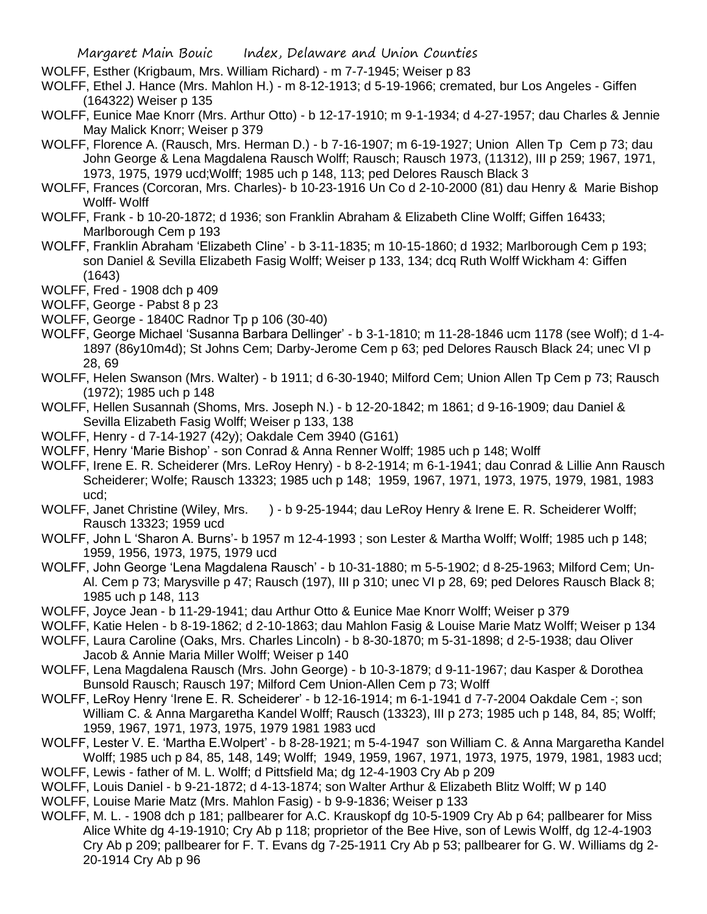- WOLFF, Esther (Krigbaum, Mrs. William Richard) m 7-7-1945; Weiser p 83
- WOLFF, Ethel J. Hance (Mrs. Mahlon H.) m 8-12-1913; d 5-19-1966; cremated, bur Los Angeles Giffen (164322) Weiser p 135
- WOLFF, Eunice Mae Knorr (Mrs. Arthur Otto) b 12-17-1910; m 9-1-1934; d 4-27-1957; dau Charles & Jennie May Malick Knorr; Weiser p 379
- WOLFF, Florence A. (Rausch, Mrs. Herman D.) b 7-16-1907; m 6-19-1927; Union Allen Tp Cem p 73; dau John George & Lena Magdalena Rausch Wolff; Rausch; Rausch 1973, (11312), III p 259; 1967, 1971, 1973, 1975, 1979 ucd;Wolff; 1985 uch p 148, 113; ped Delores Rausch Black 3
- WOLFF, Frances (Corcoran, Mrs. Charles)- b 10-23-1916 Un Co d 2-10-2000 (81) dau Henry & Marie Bishop Wolff- Wolff
- WOLFF, Frank b 10-20-1872; d 1936; son Franklin Abraham & Elizabeth Cline Wolff; Giffen 16433; Marlborough Cem p 193
- WOLFF, Franklin Abraham 'Elizabeth Cline' b 3-11-1835; m 10-15-1860; d 1932; Marlborough Cem p 193; son Daniel & Sevilla Elizabeth Fasig Wolff; Weiser p 133, 134; dcq Ruth Wolff Wickham 4: Giffen (1643)
- WOLFF, Fred 1908 dch p 409
- WOLFF, George Pabst 8 p 23
- WOLFF, George 1840C Radnor Tp p 106 (30-40)
- WOLFF, George Michael 'Susanna Barbara Dellinger' b 3-1-1810; m 11-28-1846 ucm 1178 (see Wolf); d 1-4- 1897 (86y10m4d); St Johns Cem; Darby-Jerome Cem p 63; ped Delores Rausch Black 24; unec VI p 28, 69
- WOLFF, Helen Swanson (Mrs. Walter) b 1911; d 6-30-1940; Milford Cem; Union Allen Tp Cem p 73; Rausch (1972); 1985 uch p 148
- WOLFF, Hellen Susannah (Shoms, Mrs. Joseph N.) b 12-20-1842; m 1861; d 9-16-1909; dau Daniel & Sevilla Elizabeth Fasig Wolff; Weiser p 133, 138
- WOLFF, Henry d 7-14-1927 (42y); Oakdale Cem 3940 (G161)
- WOLFF, Henry 'Marie Bishop' son Conrad & Anna Renner Wolff; 1985 uch p 148; Wolff
- WOLFF, Irene E. R. Scheiderer (Mrs. LeRoy Henry) b 8-2-1914; m 6-1-1941; dau Conrad & Lillie Ann Rausch Scheiderer; Wolfe; Rausch 13323; 1985 uch p 148; 1959, 1967, 1971, 1973, 1975, 1979, 1981, 1983 ucd;
- WOLFF, Janet Christine (Wiley, Mrs. ) b 9-25-1944; dau LeRoy Henry & Irene E. R. Scheiderer Wolff; Rausch 13323; 1959 ucd
- WOLFF, John L 'Sharon A. Burns'- b 1957 m 12-4-1993 ; son Lester & Martha Wolff; Wolff; 1985 uch p 148; 1959, 1956, 1973, 1975, 1979 ucd
- WOLFF, John George 'Lena Magdalena Rausch' b 10-31-1880; m 5-5-1902; d 8-25-1963; Milford Cem; Un-Al. Cem p 73; Marysville p 47; Rausch (197), III p 310; unec VI p 28, 69; ped Delores Rausch Black 8; 1985 uch p 148, 113
- WOLFF, Joyce Jean b 11-29-1941; dau Arthur Otto & Eunice Mae Knorr Wolff; Weiser p 379
- WOLFF, Katie Helen b 8-19-1862; d 2-10-1863; dau Mahlon Fasig & Louise Marie Matz Wolff; Weiser p 134
- WOLFF, Laura Caroline (Oaks, Mrs. Charles Lincoln) b 8-30-1870; m 5-31-1898; d 2-5-1938; dau Oliver Jacob & Annie Maria Miller Wolff; Weiser p 140
- WOLFF, Lena Magdalena Rausch (Mrs. John George) b 10-3-1879; d 9-11-1967; dau Kasper & Dorothea Bunsold Rausch; Rausch 197; Milford Cem Union-Allen Cem p 73; Wolff
- WOLFF, LeRoy Henry 'Irene E. R. Scheiderer' b 12-16-1914; m 6-1-1941 d 7-7-2004 Oakdale Cem -; son William C. & Anna Margaretha Kandel Wolff; Rausch (13323), III p 273; 1985 uch p 148, 84, 85; Wolff; 1959, 1967, 1971, 1973, 1975, 1979 1981 1983 ucd
- WOLFF, Lester V. E. 'Martha E.Wolpert' b 8-28-1921; m 5-4-1947 son William C. & Anna Margaretha Kandel Wolff; 1985 uch p 84, 85, 148, 149; Wolff; 1949, 1959, 1967, 1971, 1973, 1975, 1979, 1981, 1983 ucd; WOLFF, Lewis - father of M. L. Wolff; d Pittsfield Ma; dg 12-4-1903 Cry Ab p 209
- WOLFF, Louis Daniel b 9-21-1872; d 4-13-1874; son Walter Arthur & Elizabeth Blitz Wolff; W p 140
- WOLFF, Louise Marie Matz (Mrs. Mahlon Fasig) b 9-9-1836; Weiser p 133
- WOLFF, M. L. 1908 dch p 181; pallbearer for A.C. Krauskopf dg 10-5-1909 Cry Ab p 64; pallbearer for Miss Alice White dg 4-19-1910; Cry Ab p 118; proprietor of the Bee Hive, son of Lewis Wolff, dg 12-4-1903 Cry Ab p 209; pallbearer for F. T. Evans dg 7-25-1911 Cry Ab p 53; pallbearer for G. W. Williams dg 2- 20-1914 Cry Ab p 96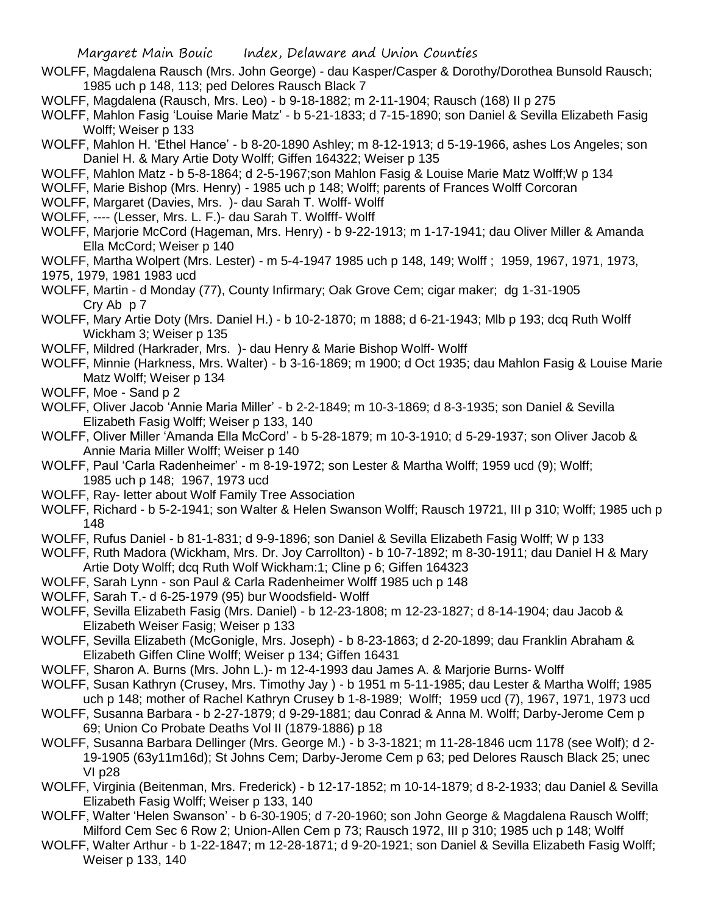- WOLFF, Magdalena Rausch (Mrs. John George) dau Kasper/Casper & Dorothy/Dorothea Bunsold Rausch; 1985 uch p 148, 113; ped Delores Rausch Black 7
- WOLFF, Magdalena (Rausch, Mrs. Leo) b 9-18-1882; m 2-11-1904; Rausch (168) II p 275
- WOLFF, Mahlon Fasig 'Louise Marie Matz' b 5-21-1833; d 7-15-1890; son Daniel & Sevilla Elizabeth Fasig Wolff; Weiser p 133
- WOLFF, Mahlon H. 'Ethel Hance' b 8-20-1890 Ashley; m 8-12-1913; d 5-19-1966, ashes Los Angeles; son Daniel H. & Mary Artie Doty Wolff; Giffen 164322; Weiser p 135
- WOLFF, Mahlon Matz b 5-8-1864; d 2-5-1967;son Mahlon Fasig & Louise Marie Matz Wolff;W p 134
- WOLFF, Marie Bishop (Mrs. Henry) 1985 uch p 148; Wolff; parents of Frances Wolff Corcoran
- WOLFF, Margaret (Davies, Mrs. )- dau Sarah T. Wolff- Wolff
- WOLFF, ---- (Lesser, Mrs. L. F.)- dau Sarah T. Wolfff- Wolff
- WOLFF, Marjorie McCord (Hageman, Mrs. Henry) b 9-22-1913; m 1-17-1941; dau Oliver Miller & Amanda Ella McCord; Weiser p 140
- WOLFF, Martha Wolpert (Mrs. Lester) m 5-4-1947 1985 uch p 148, 149; Wolff ; 1959, 1967, 1971, 1973, 1975, 1979, 1981 1983 ucd
- WOLFF, Martin d Monday (77), County Infirmary; Oak Grove Cem; cigar maker; dg 1-31-1905 Cry Ab p 7
- WOLFF, Mary Artie Doty (Mrs. Daniel H.) b 10-2-1870; m 1888; d 6-21-1943; Mlb p 193; dcq Ruth Wolff Wickham 3; Weiser p 135
- WOLFF, Mildred (Harkrader, Mrs. )- dau Henry & Marie Bishop Wolff- Wolff
- WOLFF, Minnie (Harkness, Mrs. Walter) b 3-16-1869; m 1900; d Oct 1935; dau Mahlon Fasig & Louise Marie Matz Wolff; Weiser p 134
- WOLFF, Moe Sand p 2
- WOLFF, Oliver Jacob 'Annie Maria Miller' b 2-2-1849; m 10-3-1869; d 8-3-1935; son Daniel & Sevilla Elizabeth Fasig Wolff; Weiser p 133, 140
- WOLFF, Oliver Miller 'Amanda Ella McCord' b 5-28-1879; m 10-3-1910; d 5-29-1937; son Oliver Jacob & Annie Maria Miller Wolff; Weiser p 140
- WOLFF, Paul 'Carla Radenheimer' m 8-19-1972; son Lester & Martha Wolff; 1959 ucd (9); Wolff; 1985 uch p 148; 1967, 1973 ucd
- WOLFF, Ray- letter about Wolf Family Tree Association
- WOLFF, Richard b 5-2-1941; son Walter & Helen Swanson Wolff; Rausch 19721, III p 310; Wolff; 1985 uch p 148
- WOLFF, Rufus Daniel b 81-1-831; d 9-9-1896; son Daniel & Sevilla Elizabeth Fasig Wolff; W p 133
- WOLFF, Ruth Madora (Wickham, Mrs. Dr. Joy Carrollton) b 10-7-1892; m 8-30-1911; dau Daniel H & Mary Artie Doty Wolff; dcq Ruth Wolf Wickham:1; Cline p 6; Giffen 164323
- WOLFF, Sarah Lynn son Paul & Carla Radenheimer Wolff 1985 uch p 148
- WOLFF, Sarah T.- d 6-25-1979 (95) bur Woodsfield- Wolff
- WOLFF, Sevilla Elizabeth Fasig (Mrs. Daniel) b 12-23-1808; m 12-23-1827; d 8-14-1904; dau Jacob & Elizabeth Weiser Fasig; Weiser p 133
- WOLFF, Sevilla Elizabeth (McGonigle, Mrs. Joseph) b 8-23-1863; d 2-20-1899; dau Franklin Abraham & Elizabeth Giffen Cline Wolff; Weiser p 134; Giffen 16431
- WOLFF, Sharon A. Burns (Mrs. John L.)- m 12-4-1993 dau James A. & Marjorie Burns- Wolff
- WOLFF, Susan Kathryn (Crusey, Mrs. Timothy Jay ) b 1951 m 5-11-1985; dau Lester & Martha Wolff; 1985 uch p 148; mother of Rachel Kathryn Crusey b 1-8-1989; Wolff; 1959 ucd (7), 1967, 1971, 1973 ucd
- WOLFF, Susanna Barbara b 2-27-1879; d 9-29-1881; dau Conrad & Anna M. Wolff; Darby-Jerome Cem p 69; Union Co Probate Deaths Vol II (1879-1886) p 18
- WOLFF, Susanna Barbara Dellinger (Mrs. George M.) b 3-3-1821; m 11-28-1846 ucm 1178 (see Wolf); d 2- 19-1905 (63y11m16d); St Johns Cem; Darby-Jerome Cem p 63; ped Delores Rausch Black 25; unec VI p28
- WOLFF, Virginia (Beitenman, Mrs. Frederick) b 12-17-1852; m 10-14-1879; d 8-2-1933; dau Daniel & Sevilla Elizabeth Fasig Wolff; Weiser p 133, 140
- WOLFF, Walter 'Helen Swanson' b 6-30-1905; d 7-20-1960; son John George & Magdalena Rausch Wolff; Milford Cem Sec 6 Row 2; Union-Allen Cem p 73; Rausch 1972, III p 310; 1985 uch p 148; Wolff
- WOLFF, Walter Arthur b 1-22-1847; m 12-28-1871; d 9-20-1921; son Daniel & Sevilla Elizabeth Fasig Wolff; Weiser p 133, 140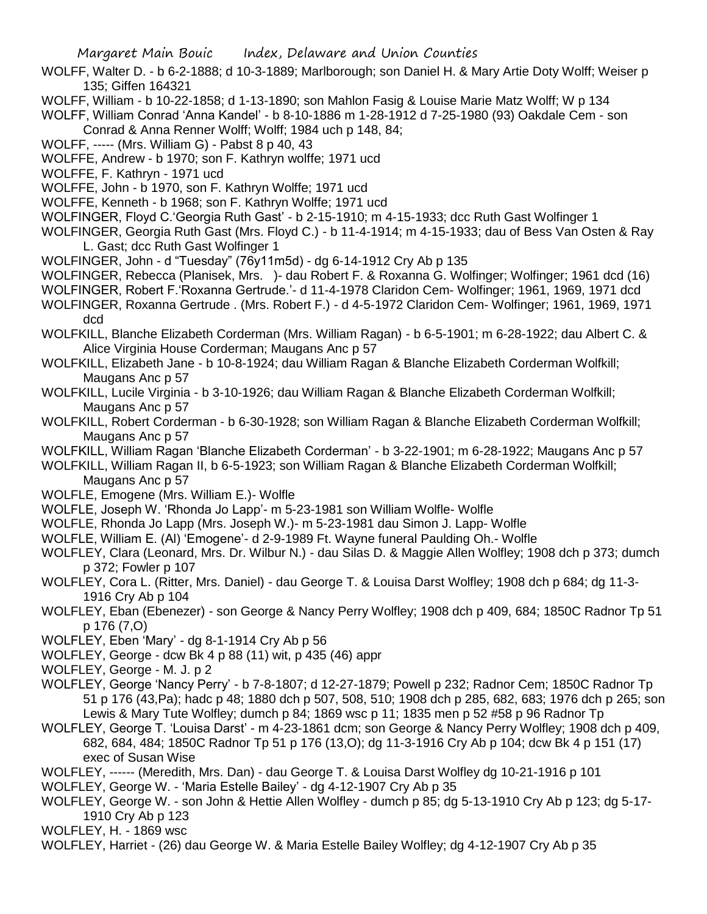- WOLFF, Walter D. b 6-2-1888; d 10-3-1889; Marlborough; son Daniel H. & Mary Artie Doty Wolff; Weiser p 135; Giffen 164321
- WOLFF, William b 10-22-1858; d 1-13-1890; son Mahlon Fasig & Louise Marie Matz Wolff; W p 134

WOLFF, William Conrad 'Anna Kandel' - b 8-10-1886 m 1-28-1912 d 7-25-1980 (93) Oakdale Cem - son Conrad & Anna Renner Wolff; Wolff; 1984 uch p 148, 84;

- WOLFF, ----- (Mrs. William G) Pabst 8 p 40, 43
- WOLFFE, Andrew b 1970; son F. Kathryn wolffe; 1971 ucd
- WOLFFE, F. Kathryn 1971 ucd
- WOLFFE, John b 1970, son F. Kathryn Wolffe; 1971 ucd
- WOLFFE, Kenneth b 1968; son F. Kathryn Wolffe; 1971 ucd
- WOLFINGER, Floyd C.'Georgia Ruth Gast' b 2-15-1910; m 4-15-1933; dcc Ruth Gast Wolfinger 1
- WOLFINGER, Georgia Ruth Gast (Mrs. Floyd C.) b 11-4-1914; m 4-15-1933; dau of Bess Van Osten & Ray L. Gast; dcc Ruth Gast Wolfinger 1
- WOLFINGER, John d "Tuesday" (76y11m5d) dg 6-14-1912 Cry Ab p 135
- WOLFINGER, Rebecca (Planisek, Mrs. )- dau Robert F. & Roxanna G. Wolfinger; Wolfinger; 1961 dcd (16)
- WOLFINGER, Robert F.'Roxanna Gertrude.'- d 11-4-1978 Claridon Cem- Wolfinger; 1961, 1969, 1971 dcd
- WOLFINGER, Roxanna Gertrude . (Mrs. Robert F.) d 4-5-1972 Claridon Cem- Wolfinger; 1961, 1969, 1971 dcd
- WOLFKILL, Blanche Elizabeth Corderman (Mrs. William Ragan) b 6-5-1901; m 6-28-1922; dau Albert C. & Alice Virginia House Corderman; Maugans Anc p 57
- WOLFKILL, Elizabeth Jane b 10-8-1924; dau William Ragan & Blanche Elizabeth Corderman Wolfkill; Maugans Anc p 57
- WOLFKILL, Lucile Virginia b 3-10-1926; dau William Ragan & Blanche Elizabeth Corderman Wolfkill; Maugans Anc p 57
- WOLFKILL, Robert Corderman b 6-30-1928; son William Ragan & Blanche Elizabeth Corderman Wolfkill; Maugans Anc p 57
- WOLFKILL, William Ragan 'Blanche Elizabeth Corderman' b 3-22-1901; m 6-28-1922; Maugans Anc p 57
- WOLFKILL, William Ragan II, b 6-5-1923; son William Ragan & Blanche Elizabeth Corderman Wolfkill; Maugans Anc p 57
- WOLFLE, Emogene (Mrs. William E.)- Wolfle
- WOLFLE, Joseph W. 'Rhonda Jo Lapp'- m 5-23-1981 son William Wolfle- Wolfle
- WOLFLE, Rhonda Jo Lapp (Mrs. Joseph W.)- m 5-23-1981 dau Simon J. Lapp- Wolfle
- WOLFLE, William E. (Al) 'Emogene'- d 2-9-1989 Ft. Wayne funeral Paulding Oh.- Wolfle
- WOLFLEY, Clara (Leonard, Mrs. Dr. Wilbur N.) dau Silas D. & Maggie Allen Wolfley; 1908 dch p 373; dumch p 372; Fowler p 107
- WOLFLEY, Cora L. (Ritter, Mrs. Daniel) dau George T. & Louisa Darst Wolfley; 1908 dch p 684; dg 11-3- 1916 Cry Ab p 104
- WOLFLEY, Eban (Ebenezer) son George & Nancy Perry Wolfley; 1908 dch p 409, 684; 1850C Radnor Tp 51 p 176 (7,O)
- WOLFLEY, Eben 'Mary' dg 8-1-1914 Cry Ab p 56
- WOLFLEY, George dcw Bk 4 p 88 (11) wit, p 435 (46) appr
- WOLFLEY, George M. J. p 2
- WOLFLEY, George 'Nancy Perry' b 7-8-1807; d 12-27-1879; Powell p 232; Radnor Cem; 1850C Radnor Tp 51 p 176 (43,Pa); hadc p 48; 1880 dch p 507, 508, 510; 1908 dch p 285, 682, 683; 1976 dch p 265; son Lewis & Mary Tute Wolfley; dumch p 84; 1869 wsc p 11; 1835 men p 52 #58 p 96 Radnor Tp
- WOLFLEY, George T. 'Louisa Darst' m 4-23-1861 dcm; son George & Nancy Perry Wolfley; 1908 dch p 409, 682, 684, 484; 1850C Radnor Tp 51 p 176 (13,O); dg 11-3-1916 Cry Ab p 104; dcw Bk 4 p 151 (17) exec of Susan Wise
- WOLFLEY, ------ (Meredith, Mrs. Dan) dau George T. & Louisa Darst Wolfley dg 10-21-1916 p 101
- WOLFLEY, George W. 'Maria Estelle Bailey' dg 4-12-1907 Cry Ab p 35
- WOLFLEY, George W. son John & Hettie Allen Wolfley dumch p 85; dg 5-13-1910 Cry Ab p 123; dg 5-17- 1910 Cry Ab p 123
- WOLFLEY, H. 1869 wsc
- WOLFLEY, Harriet (26) dau George W. & Maria Estelle Bailey Wolfley; dg 4-12-1907 Cry Ab p 35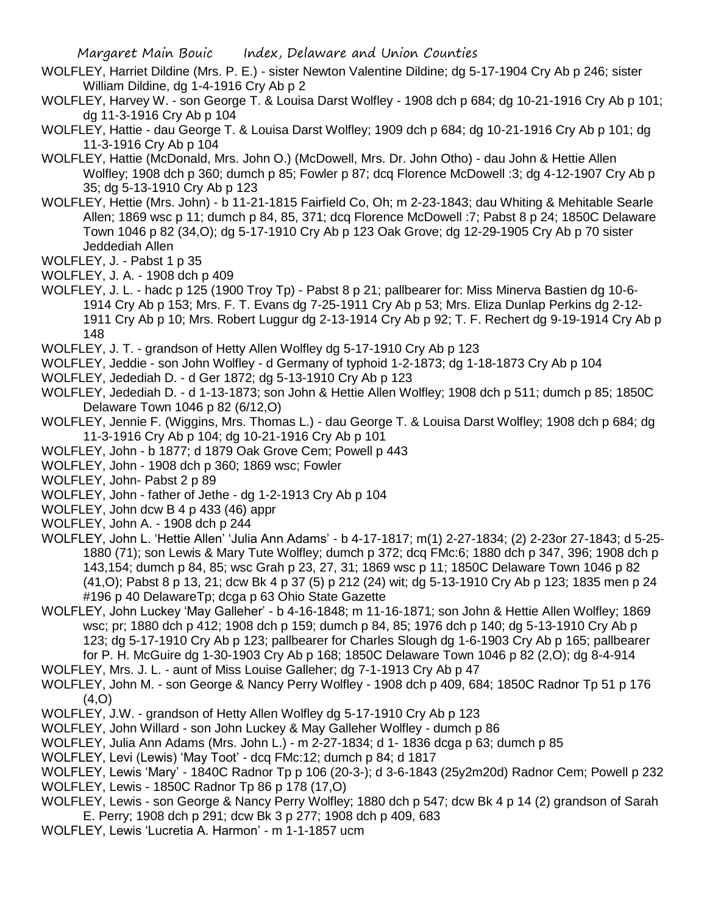- WOLFLEY, Harriet Dildine (Mrs. P. E.) sister Newton Valentine Dildine; dg 5-17-1904 Cry Ab p 246; sister William Dildine, dg 1-4-1916 Cry Ab p 2
- WOLFLEY, Harvey W. son George T. & Louisa Darst Wolfley 1908 dch p 684; dg 10-21-1916 Cry Ab p 101; dg 11-3-1916 Cry Ab p 104
- WOLFLEY, Hattie dau George T. & Louisa Darst Wolfley; 1909 dch p 684; dg 10-21-1916 Cry Ab p 101; dg 11-3-1916 Cry Ab p 104
- WOLFLEY, Hattie (McDonald, Mrs. John O.) (McDowell, Mrs. Dr. John Otho) dau John & Hettie Allen Wolfley; 1908 dch p 360; dumch p 85; Fowler p 87; dcq Florence McDowell :3; dg 4-12-1907 Cry Ab p 35; dg 5-13-1910 Cry Ab p 123
- WOLFLEY, Hettie (Mrs. John) b 11-21-1815 Fairfield Co, Oh; m 2-23-1843; dau Whiting & Mehitable Searle Allen; 1869 wsc p 11; dumch p 84, 85, 371; dcq Florence McDowell :7; Pabst 8 p 24; 1850C Delaware Town 1046 p 82 (34,O); dg 5-17-1910 Cry Ab p 123 Oak Grove; dg 12-29-1905 Cry Ab p 70 sister Jeddediah Allen
- WOLFLEY, J. Pabst 1 p 35
- WOLFLEY, J. A. 1908 dch p 409
- WOLFLEY, J. L. hadc p 125 (1900 Troy Tp) Pabst 8 p 21; pallbearer for: Miss Minerva Bastien dg 10-6- 1914 Cry Ab p 153; Mrs. F. T. Evans dg 7-25-1911 Cry Ab p 53; Mrs. Eliza Dunlap Perkins dg 2-12- 1911 Cry Ab p 10; Mrs. Robert Luggur dg 2-13-1914 Cry Ab p 92; T. F. Rechert dg 9-19-1914 Cry Ab p 148
- WOLFLEY, J. T. grandson of Hetty Allen Wolfley dg 5-17-1910 Cry Ab p 123
- WOLFLEY, Jeddie son John Wolfley d Germany of typhoid 1-2-1873; dg 1-18-1873 Cry Ab p 104
- WOLFLEY, Jedediah D. d Ger 1872; dg 5-13-1910 Cry Ab p 123
- WOLFLEY, Jedediah D. d 1-13-1873; son John & Hettie Allen Wolfley; 1908 dch p 511; dumch p 85; 1850C Delaware Town 1046 p 82 (6/12,O)
- WOLFLEY, Jennie F. (Wiggins, Mrs. Thomas L.) dau George T. & Louisa Darst Wolfley; 1908 dch p 684; dg 11-3-1916 Cry Ab p 104; dg 10-21-1916 Cry Ab p 101
- WOLFLEY, John b 1877; d 1879 Oak Grove Cem; Powell p 443
- WOLFLEY, John 1908 dch p 360; 1869 wsc; Fowler
- WOLFLEY, John- Pabst 2 p 89
- WOLFLEY, John father of Jethe dg 1-2-1913 Cry Ab p 104
- WOLFLEY, John dcw B 4 p 433 (46) appr
- WOLFLEY, John A. 1908 dch p 244
- WOLFLEY, John L. 'Hettie Allen' 'Julia Ann Adams' b 4-17-1817; m(1) 2-27-1834; (2) 2-23or 27-1843; d 5-25- 1880 (71); son Lewis & Mary Tute Wolfley; dumch p 372; dcq FMc:6; 1880 dch p 347, 396; 1908 dch p 143,154; dumch p 84, 85; wsc Grah p 23, 27, 31; 1869 wsc p 11; 1850C Delaware Town 1046 p 82 (41,O); Pabst 8 p 13, 21; dcw Bk 4 p 37 (5) p 212 (24) wit; dg 5-13-1910 Cry Ab p 123; 1835 men p 24 #196 p 40 DelawareTp; dcga p 63 Ohio State Gazette
- WOLFLEY, John Luckey 'May Galleher' b 4-16-1848; m 11-16-1871; son John & Hettie Allen Wolfley; 1869 wsc; pr; 1880 dch p 412; 1908 dch p 159; dumch p 84, 85; 1976 dch p 140; dg 5-13-1910 Cry Ab p 123; dg 5-17-1910 Cry Ab p 123; pallbearer for Charles Slough dg 1-6-1903 Cry Ab p 165; pallbearer for P. H. McGuire dg 1-30-1903 Cry Ab p 168; 1850C Delaware Town 1046 p 82 (2,O); dg 8-4-914
- WOLFLEY, Mrs. J. L. aunt of Miss Louise Galleher; dg 7-1-1913 Cry Ab p 47
- WOLFLEY, John M. son George & Nancy Perry Wolfley 1908 dch p 409, 684; 1850C Radnor Tp 51 p 176  $(4, 0)$
- WOLFLEY, J.W. grandson of Hetty Allen Wolfley dg 5-17-1910 Cry Ab p 123
- WOLFLEY, John Willard son John Luckey & May Galleher Wolfley dumch p 86
- WOLFLEY, Julia Ann Adams (Mrs. John L.) m 2-27-1834; d 1- 1836 dcga p 63; dumch p 85
- WOLFLEY, Levi (Lewis) 'May Toot' dcq FMc:12; dumch p 84; d 1817
- WOLFLEY, Lewis 'Mary' 1840C Radnor Tp p 106 (20-3-); d 3-6-1843 (25y2m20d) Radnor Cem; Powell p 232 WOLFLEY, Lewis - 1850C Radnor Tp 86 p 178 (17,O)
- WOLFLEY, Lewis son George & Nancy Perry Wolfley; 1880 dch p 547; dcw Bk 4 p 14 (2) grandson of Sarah E. Perry; 1908 dch p 291; dcw Bk 3 p 277; 1908 dch p 409, 683
- WOLFLEY, Lewis 'Lucretia A. Harmon' m 1-1-1857 ucm